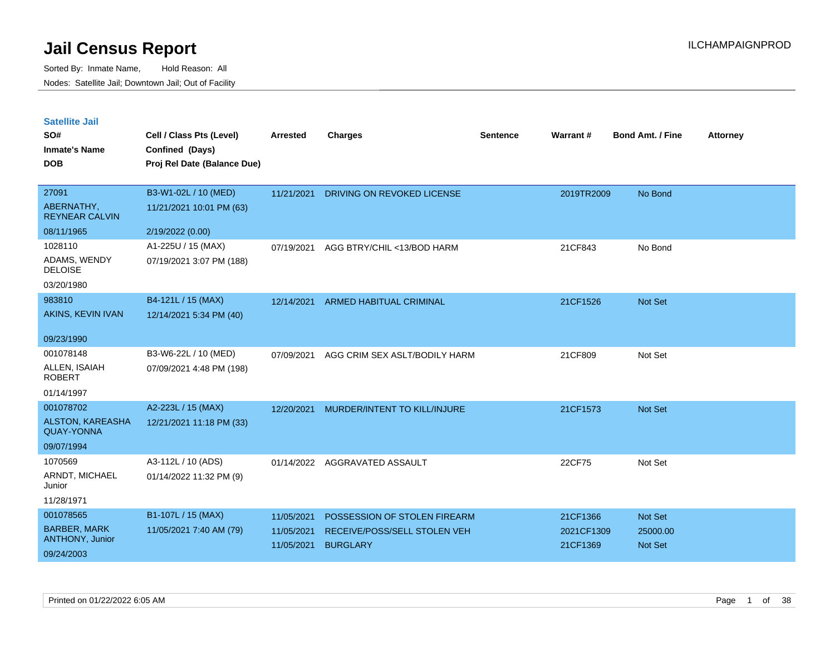| <b>Satellite Jail</b> |  |
|-----------------------|--|
|                       |  |

| SO#<br><b>Inmate's Name</b><br><b>DOB</b>                               | Cell / Class Pts (Level)<br>Confined (Days)<br>Proj Rel Date (Balance Due) | Arrested                               | <b>Charges</b>                                                                  | Sentence | Warrant#                           | <b>Bond Amt. / Fine</b>                      | <b>Attorney</b> |
|-------------------------------------------------------------------------|----------------------------------------------------------------------------|----------------------------------------|---------------------------------------------------------------------------------|----------|------------------------------------|----------------------------------------------|-----------------|
| 27091<br>ABERNATHY,<br><b>REYNEAR CALVIN</b>                            | B3-W1-02L / 10 (MED)<br>11/21/2021 10:01 PM (63)                           | 11/21/2021                             | DRIVING ON REVOKED LICENSE                                                      |          | 2019TR2009                         | No Bond                                      |                 |
| 08/11/1965<br>1028110<br>ADAMS, WENDY<br><b>DELOISE</b><br>03/20/1980   | 2/19/2022 (0.00)<br>A1-225U / 15 (MAX)<br>07/19/2021 3:07 PM (188)         | 07/19/2021                             | AGG BTRY/CHIL <13/BOD HARM                                                      |          | 21CF843                            | No Bond                                      |                 |
| 983810<br>AKINS, KEVIN IVAN<br>09/23/1990                               | B4-121L / 15 (MAX)<br>12/14/2021 5:34 PM (40)                              | 12/14/2021                             | <b>ARMED HABITUAL CRIMINAL</b>                                                  |          | 21CF1526                           | Not Set                                      |                 |
| 001078148<br>ALLEN, ISAIAH<br><b>ROBERT</b><br>01/14/1997               | B3-W6-22L / 10 (MED)<br>07/09/2021 4:48 PM (198)                           | 07/09/2021                             | AGG CRIM SEX ASLT/BODILY HARM                                                   |          | 21CF809                            | Not Set                                      |                 |
| 001078702<br><b>ALSTON, KAREASHA</b><br><b>QUAY-YONNA</b><br>09/07/1994 | A2-223L / 15 (MAX)<br>12/21/2021 11:18 PM (33)                             | 12/20/2021                             | MURDER/INTENT TO KILL/INJURE                                                    |          | 21CF1573                           | Not Set                                      |                 |
| 1070569<br>ARNDT, MICHAEL<br>Junior<br>11/28/1971                       | A3-112L / 10 (ADS)<br>01/14/2022 11:32 PM (9)                              | 01/14/2022                             | AGGRAVATED ASSAULT                                                              |          | 22CF75                             | Not Set                                      |                 |
| 001078565<br><b>BARBER, MARK</b><br>ANTHONY, Junior<br>09/24/2003       | B1-107L / 15 (MAX)<br>11/05/2021 7:40 AM (79)                              | 11/05/2021<br>11/05/2021<br>11/05/2021 | POSSESSION OF STOLEN FIREARM<br>RECEIVE/POSS/SELL STOLEN VEH<br><b>BURGLARY</b> |          | 21CF1366<br>2021CF1309<br>21CF1369 | <b>Not Set</b><br>25000.00<br><b>Not Set</b> |                 |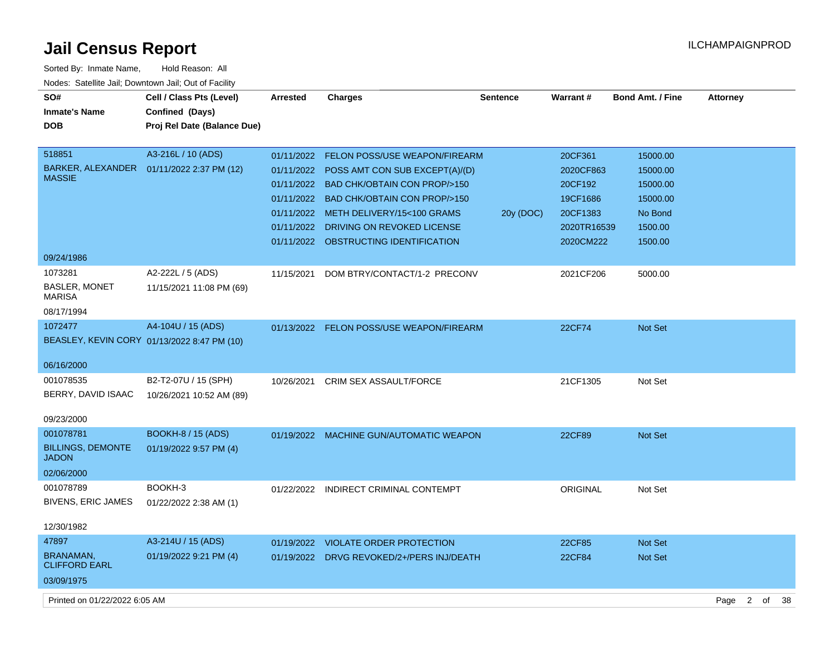| Sorted By: Inmate Name,                               | Hold Reason: All                            |                 |                                           |                 |               |                  |                        |    |    |
|-------------------------------------------------------|---------------------------------------------|-----------------|-------------------------------------------|-----------------|---------------|------------------|------------------------|----|----|
| Nodes: Satellite Jail; Downtown Jail; Out of Facility |                                             |                 |                                           |                 |               |                  |                        |    |    |
| SO#                                                   | Cell / Class Pts (Level)                    | <b>Arrested</b> | <b>Charges</b>                            | <b>Sentence</b> | Warrant#      | Bond Amt. / Fine | <b>Attorney</b>        |    |    |
| <b>Inmate's Name</b>                                  | Confined (Days)                             |                 |                                           |                 |               |                  |                        |    |    |
| <b>DOB</b>                                            | Proj Rel Date (Balance Due)                 |                 |                                           |                 |               |                  |                        |    |    |
|                                                       |                                             |                 |                                           |                 |               |                  |                        |    |    |
| 518851                                                | A3-216L / 10 (ADS)                          |                 | 01/11/2022 FELON POSS/USE WEAPON/FIREARM  |                 | 20CF361       | 15000.00         |                        |    |    |
| BARKER, ALEXANDER                                     | 01/11/2022 2:37 PM (12)                     | 01/11/2022      | POSS AMT CON SUB EXCEPT(A)/(D)            |                 | 2020CF863     | 15000.00         |                        |    |    |
| <b>MASSIE</b>                                         |                                             |                 | 01/11/2022 BAD CHK/OBTAIN CON PROP/>150   |                 | 20CF192       | 15000.00         |                        |    |    |
|                                                       |                                             |                 | 01/11/2022 BAD CHK/OBTAIN CON PROP/>150   |                 | 19CF1686      | 15000.00         |                        |    |    |
|                                                       |                                             |                 | 01/11/2022 METH DELIVERY/15<100 GRAMS     | 20y (DOC)       | 20CF1383      | No Bond          |                        |    |    |
|                                                       |                                             |                 | 01/11/2022 DRIVING ON REVOKED LICENSE     |                 | 2020TR16539   | 1500.00          |                        |    |    |
|                                                       |                                             |                 | 01/11/2022 OBSTRUCTING IDENTIFICATION     |                 | 2020CM222     | 1500.00          |                        |    |    |
| 09/24/1986                                            |                                             |                 |                                           |                 |               |                  |                        |    |    |
| 1073281                                               | A2-222L / 5 (ADS)                           | 11/15/2021      | DOM BTRY/CONTACT/1-2 PRECONV              |                 | 2021CF206     | 5000.00          |                        |    |    |
| <b>BASLER, MONET</b>                                  | 11/15/2021 11:08 PM (69)                    |                 |                                           |                 |               |                  |                        |    |    |
| <b>MARISA</b>                                         |                                             |                 |                                           |                 |               |                  |                        |    |    |
| 08/17/1994                                            |                                             |                 |                                           |                 |               |                  |                        |    |    |
| 1072477                                               | A4-104U / 15 (ADS)                          |                 | 01/13/2022 FELON POSS/USE WEAPON/FIREARM  |                 | <b>22CF74</b> | <b>Not Set</b>   |                        |    |    |
|                                                       | BEASLEY, KEVIN CORY 01/13/2022 8:47 PM (10) |                 |                                           |                 |               |                  |                        |    |    |
| 06/16/2000                                            |                                             |                 |                                           |                 |               |                  |                        |    |    |
| 001078535                                             |                                             |                 |                                           |                 |               |                  |                        |    |    |
|                                                       | B2-T2-07U / 15 (SPH)                        | 10/26/2021      | <b>CRIM SEX ASSAULT/FORCE</b>             |                 | 21CF1305      | Not Set          |                        |    |    |
| BERRY, DAVID ISAAC                                    | 10/26/2021 10:52 AM (89)                    |                 |                                           |                 |               |                  |                        |    |    |
| 09/23/2000                                            |                                             |                 |                                           |                 |               |                  |                        |    |    |
| 001078781                                             | <b>BOOKH-8 / 15 (ADS)</b>                   | 01/19/2022      | MACHINE GUN/AUTOMATIC WEAPON              |                 | <b>22CF89</b> | <b>Not Set</b>   |                        |    |    |
| <b>BILLINGS, DEMONTE</b>                              | 01/19/2022 9:57 PM (4)                      |                 |                                           |                 |               |                  |                        |    |    |
| <b>JADON</b>                                          |                                             |                 |                                           |                 |               |                  |                        |    |    |
| 02/06/2000                                            |                                             |                 |                                           |                 |               |                  |                        |    |    |
| 001078789                                             | BOOKH-3                                     | 01/22/2022      | INDIRECT CRIMINAL CONTEMPT                |                 | ORIGINAL      | Not Set          |                        |    |    |
| <b>BIVENS, ERIC JAMES</b>                             | 01/22/2022 2:38 AM (1)                      |                 |                                           |                 |               |                  |                        |    |    |
|                                                       |                                             |                 |                                           |                 |               |                  |                        |    |    |
| 12/30/1982                                            |                                             |                 |                                           |                 |               |                  |                        |    |    |
| 47897                                                 | A3-214U / 15 (ADS)                          |                 | 01/19/2022 VIOLATE ORDER PROTECTION       |                 | 22CF85        | <b>Not Set</b>   |                        |    |    |
| BRANAMAN,<br><b>CLIFFORD EARL</b>                     | 01/19/2022 9:21 PM (4)                      |                 | 01/19/2022 DRVG REVOKED/2+/PERS INJ/DEATH |                 | 22CF84        | Not Set          |                        |    |    |
| 03/09/1975                                            |                                             |                 |                                           |                 |               |                  |                        |    |    |
|                                                       |                                             |                 |                                           |                 |               |                  |                        |    |    |
| Printed on 01/22/2022 6:05 AM                         |                                             |                 |                                           |                 |               |                  | Page<br>$\overline{2}$ | of | 38 |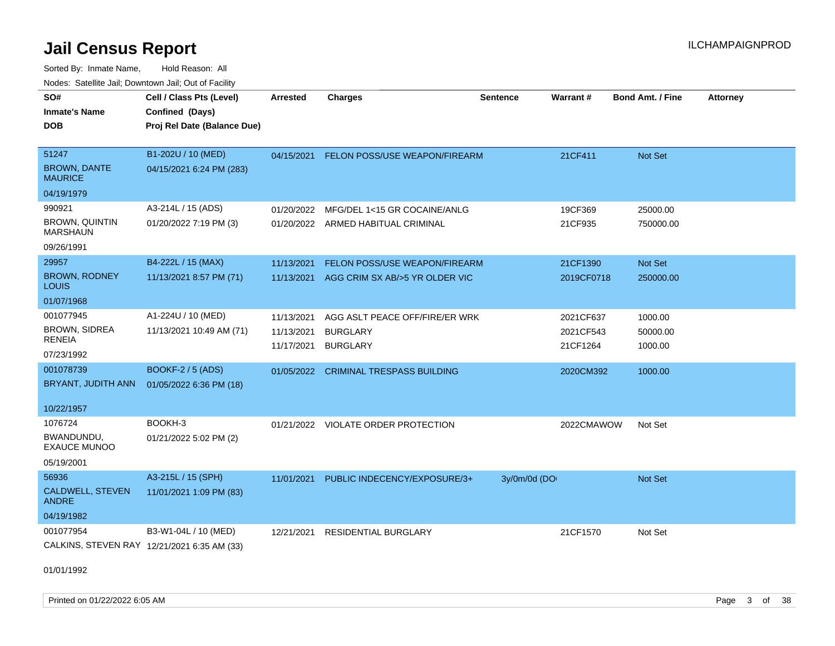Sorted By: Inmate Name, Hold Reason: All Nodes: Satellite Jail; Downtown Jail; Out of Facility

| SO#<br><b>Inmate's Name</b><br><b>DOB</b> | Cell / Class Pts (Level)<br>Confined (Days)<br>Proj Rel Date (Balance Due) | <b>Arrested</b> | <b>Charges</b>                      | <b>Sentence</b> | Warrant#   | <b>Bond Amt. / Fine</b> | <b>Attorney</b> |
|-------------------------------------------|----------------------------------------------------------------------------|-----------------|-------------------------------------|-----------------|------------|-------------------------|-----------------|
| 51247<br><b>BROWN, DANTE</b>              | B1-202U / 10 (MED)<br>04/15/2021 6:24 PM (283)                             | 04/15/2021      | FELON POSS/USE WEAPON/FIREARM       |                 | 21CF411    | Not Set                 |                 |
| <b>MAURICE</b>                            |                                                                            |                 |                                     |                 |            |                         |                 |
| 04/19/1979                                |                                                                            |                 |                                     |                 |            |                         |                 |
| 990921                                    | A3-214L / 15 (ADS)                                                         | 01/20/2022      | MFG/DEL 1<15 GR COCAINE/ANLG        |                 | 19CF369    | 25000.00                |                 |
| <b>BROWN, QUINTIN</b><br><b>MARSHAUN</b>  | 01/20/2022 7:19 PM (3)                                                     |                 | 01/20/2022 ARMED HABITUAL CRIMINAL  |                 | 21CF935    | 750000.00               |                 |
| 09/26/1991                                |                                                                            |                 |                                     |                 |            |                         |                 |
| 29957                                     | B4-222L / 15 (MAX)                                                         | 11/13/2021      | FELON POSS/USE WEAPON/FIREARM       |                 | 21CF1390   | Not Set                 |                 |
| <b>BROWN, RODNEY</b><br>LOUIS             | 11/13/2021 8:57 PM (71)                                                    | 11/13/2021      | AGG CRIM SX AB/>5 YR OLDER VIC      |                 | 2019CF0718 | 250000.00               |                 |
| 01/07/1968                                |                                                                            |                 |                                     |                 |            |                         |                 |
| 001077945                                 | A1-224U / 10 (MED)                                                         | 11/13/2021      | AGG ASLT PEACE OFF/FIRE/ER WRK      |                 | 2021CF637  | 1000.00                 |                 |
| <b>BROWN, SIDREA</b><br>RENEIA            | 11/13/2021 10:49 AM (71)                                                   | 11/13/2021      | <b>BURGLARY</b>                     |                 | 2021CF543  | 50000.00                |                 |
| 07/23/1992                                |                                                                            | 11/17/2021      | <b>BURGLARY</b>                     |                 | 21CF1264   | 1000.00                 |                 |
| 001078739                                 | <b>BOOKF-2 / 5 (ADS)</b>                                                   | 01/05/2022      | <b>CRIMINAL TRESPASS BUILDING</b>   |                 | 2020CM392  | 1000.00                 |                 |
| BRYANT, JUDITH ANN                        | 01/05/2022 6:36 PM (18)                                                    |                 |                                     |                 |            |                         |                 |
| 10/22/1957                                |                                                                            |                 |                                     |                 |            |                         |                 |
| 1076724                                   | BOOKH-3                                                                    |                 | 01/21/2022 VIOLATE ORDER PROTECTION |                 | 2022CMAWOW | Not Set                 |                 |
| BWANDUNDU,<br><b>EXAUCE MUNOO</b>         | 01/21/2022 5:02 PM (2)                                                     |                 |                                     |                 |            |                         |                 |
| 05/19/2001                                |                                                                            |                 |                                     |                 |            |                         |                 |
| 56936                                     | A3-215L / 15 (SPH)                                                         | 11/01/2021      | PUBLIC INDECENCY/EXPOSURE/3+        | 3y/0m/0d (DO    |            | <b>Not Set</b>          |                 |
| CALDWELL, STEVEN<br><b>ANDRE</b>          | 11/01/2021 1:09 PM (83)                                                    |                 |                                     |                 |            |                         |                 |
| 04/19/1982                                |                                                                            |                 |                                     |                 |            |                         |                 |
| 001077954                                 | B3-W1-04L / 10 (MED)                                                       | 12/21/2021      | <b>RESIDENTIAL BURGLARY</b>         |                 | 21CF1570   | Not Set                 |                 |
|                                           | CALKINS, STEVEN RAY 12/21/2021 6:35 AM (33)                                |                 |                                     |                 |            |                         |                 |
| 04/04/4000                                |                                                                            |                 |                                     |                 |            |                         |                 |

01/01/1992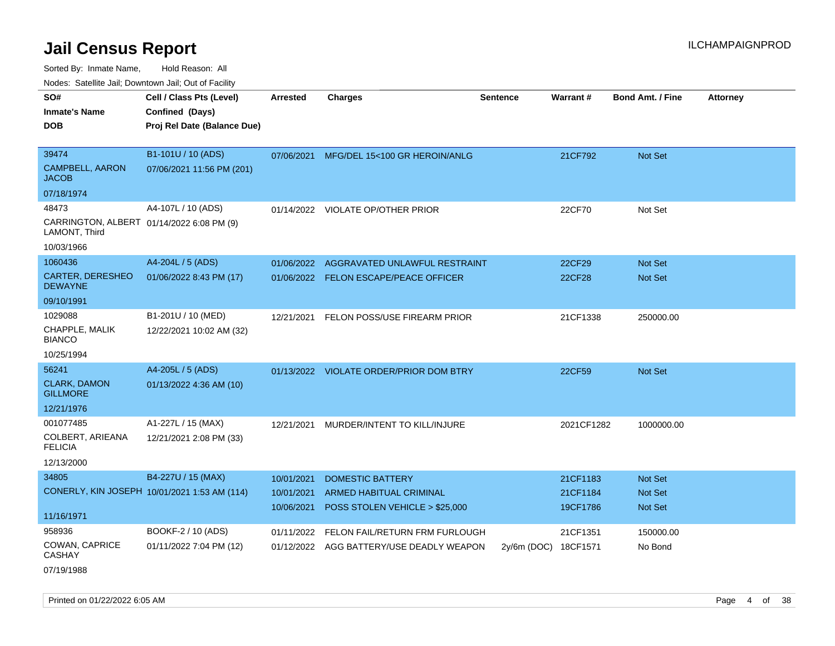Sorted By: Inmate Name, Hold Reason: All

Nodes: Satellite Jail; Downtown Jail; Out of Facility

| SO#                                                        | Cell / Class Pts (Level)                     | <b>Arrested</b> | <b>Charges</b>                           | <b>Sentence</b> | <b>Warrant#</b> | <b>Bond Amt. / Fine</b> | <b>Attorney</b> |
|------------------------------------------------------------|----------------------------------------------|-----------------|------------------------------------------|-----------------|-----------------|-------------------------|-----------------|
| <b>Inmate's Name</b>                                       | Confined (Days)                              |                 |                                          |                 |                 |                         |                 |
| <b>DOB</b>                                                 | Proj Rel Date (Balance Due)                  |                 |                                          |                 |                 |                         |                 |
|                                                            |                                              |                 |                                          |                 |                 |                         |                 |
| 39474                                                      | B1-101U / 10 (ADS)                           | 07/06/2021      | MFG/DEL 15<100 GR HEROIN/ANLG            |                 | 21CF792         | Not Set                 |                 |
| <b>CAMPBELL, AARON</b><br><b>JACOB</b>                     | 07/06/2021 11:56 PM (201)                    |                 |                                          |                 |                 |                         |                 |
| 07/18/1974                                                 |                                              |                 |                                          |                 |                 |                         |                 |
| 48473                                                      | A4-107L / 10 (ADS)                           |                 | 01/14/2022 VIOLATE OP/OTHER PRIOR        |                 | 22CF70          | Not Set                 |                 |
| CARRINGTON, ALBERT 01/14/2022 6:08 PM (9)<br>LAMONT, Third |                                              |                 |                                          |                 |                 |                         |                 |
| 10/03/1966                                                 |                                              |                 |                                          |                 |                 |                         |                 |
| 1060436                                                    | A4-204L / 5 (ADS)                            | 01/06/2022      | AGGRAVATED UNLAWFUL RESTRAINT            |                 | 22CF29          | Not Set                 |                 |
| CARTER, DERESHEO<br><b>DEWAYNE</b>                         | 01/06/2022 8:43 PM (17)                      |                 | 01/06/2022 FELON ESCAPE/PEACE OFFICER    |                 | 22CF28          | Not Set                 |                 |
| 09/10/1991                                                 |                                              |                 |                                          |                 |                 |                         |                 |
| 1029088                                                    | B1-201U / 10 (MED)                           | 12/21/2021      | FELON POSS/USE FIREARM PRIOR             |                 | 21CF1338        | 250000.00               |                 |
| CHAPPLE, MALIK<br><b>BIANCO</b>                            | 12/22/2021 10:02 AM (32)                     |                 |                                          |                 |                 |                         |                 |
| 10/25/1994                                                 |                                              |                 |                                          |                 |                 |                         |                 |
| 56241                                                      | A4-205L / 5 (ADS)                            | 01/13/2022      | <b>VIOLATE ORDER/PRIOR DOM BTRY</b>      |                 | 22CF59          | Not Set                 |                 |
| <b>CLARK, DAMON</b><br><b>GILLMORE</b>                     | 01/13/2022 4:36 AM (10)                      |                 |                                          |                 |                 |                         |                 |
| 12/21/1976                                                 |                                              |                 |                                          |                 |                 |                         |                 |
| 001077485                                                  | A1-227L / 15 (MAX)                           | 12/21/2021      | MURDER/INTENT TO KILL/INJURE             |                 | 2021CF1282      | 1000000.00              |                 |
| COLBERT, ARIEANA<br><b>FELICIA</b>                         | 12/21/2021 2:08 PM (33)                      |                 |                                          |                 |                 |                         |                 |
| 12/13/2000                                                 |                                              |                 |                                          |                 |                 |                         |                 |
| 34805                                                      | B4-227U / 15 (MAX)                           | 10/01/2021      | <b>DOMESTIC BATTERY</b>                  |                 | 21CF1183        | Not Set                 |                 |
|                                                            | CONERLY, KIN JOSEPH 10/01/2021 1:53 AM (114) | 10/01/2021      | <b>ARMED HABITUAL CRIMINAL</b>           |                 | 21CF1184        | <b>Not Set</b>          |                 |
|                                                            |                                              | 10/06/2021      | POSS STOLEN VEHICLE > \$25,000           |                 | 19CF1786        | Not Set                 |                 |
| 11/16/1971                                                 |                                              |                 |                                          |                 |                 |                         |                 |
| 958936                                                     | BOOKF-2 / 10 (ADS)                           | 01/11/2022      | FELON FAIL/RETURN FRM FURLOUGH           |                 | 21CF1351        | 150000.00               |                 |
| COWAN, CAPRICE<br><b>CASHAY</b>                            | 01/11/2022 7:04 PM (12)                      |                 | 01/12/2022 AGG BATTERY/USE DEADLY WEAPON | $2v/6m$ (DOC)   | 18CF1571        | No Bond                 |                 |

07/19/1988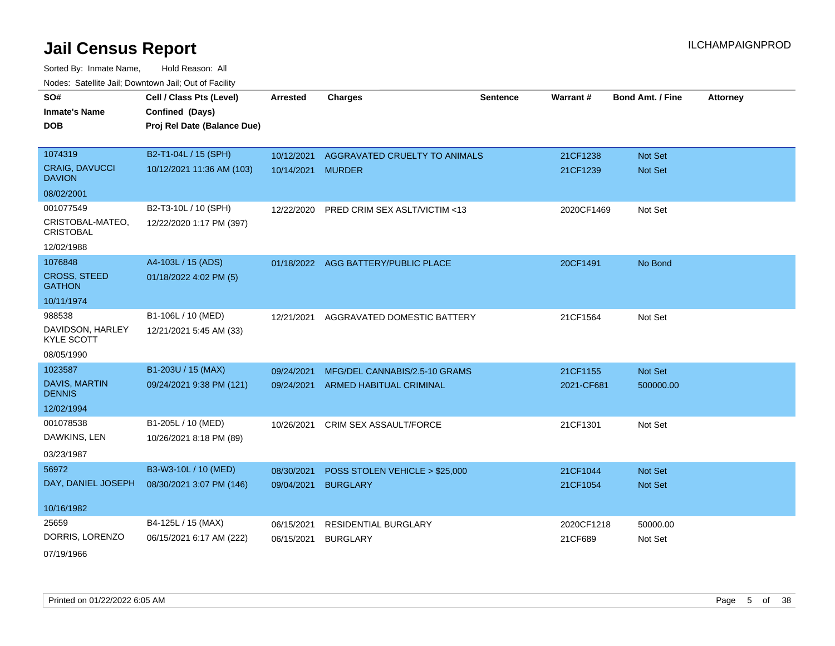Sorted By: Inmate Name, Hold Reason: All Nodes: Satellite Jail; Downtown Jail; Out of Facility

| SO#                                    | Cell / Class Pts (Level)    | <b>Arrested</b> | <b>Charges</b>                 | <b>Sentence</b> | Warrant#   | <b>Bond Amt. / Fine</b> | <b>Attorney</b> |
|----------------------------------------|-----------------------------|-----------------|--------------------------------|-----------------|------------|-------------------------|-----------------|
| <b>Inmate's Name</b>                   | Confined (Days)             |                 |                                |                 |            |                         |                 |
| <b>DOB</b>                             | Proj Rel Date (Balance Due) |                 |                                |                 |            |                         |                 |
|                                        |                             |                 |                                |                 |            |                         |                 |
| 1074319                                | B2-T1-04L / 15 (SPH)        | 10/12/2021      | AGGRAVATED CRUELTY TO ANIMALS  |                 | 21CF1238   | Not Set                 |                 |
| <b>CRAIG, DAVUCCI</b><br><b>DAVION</b> | 10/12/2021 11:36 AM (103)   | 10/14/2021      | <b>MURDER</b>                  |                 | 21CF1239   | <b>Not Set</b>          |                 |
| 08/02/2001                             |                             |                 |                                |                 |            |                         |                 |
| 001077549                              | B2-T3-10L / 10 (SPH)        | 12/22/2020      | PRED CRIM SEX ASLT/VICTIM <13  |                 | 2020CF1469 | Not Set                 |                 |
| CRISTOBAL-MATEO,<br><b>CRISTOBAL</b>   | 12/22/2020 1:17 PM (397)    |                 |                                |                 |            |                         |                 |
| 12/02/1988                             |                             |                 |                                |                 |            |                         |                 |
| 1076848                                | A4-103L / 15 (ADS)          | 01/18/2022      | AGG BATTERY/PUBLIC PLACE       |                 | 20CF1491   | No Bond                 |                 |
| <b>CROSS, STEED</b><br><b>GATHON</b>   | 01/18/2022 4:02 PM (5)      |                 |                                |                 |            |                         |                 |
| 10/11/1974                             |                             |                 |                                |                 |            |                         |                 |
| 988538                                 | B1-106L / 10 (MED)          | 12/21/2021      | AGGRAVATED DOMESTIC BATTERY    |                 | 21CF1564   | Not Set                 |                 |
| DAVIDSON, HARLEY<br><b>KYLE SCOTT</b>  | 12/21/2021 5:45 AM (33)     |                 |                                |                 |            |                         |                 |
| 08/05/1990                             |                             |                 |                                |                 |            |                         |                 |
| 1023587                                | B1-203U / 15 (MAX)          | 09/24/2021      | MFG/DEL CANNABIS/2.5-10 GRAMS  |                 | 21CF1155   | Not Set                 |                 |
| <b>DAVIS, MARTIN</b><br><b>DENNIS</b>  | 09/24/2021 9:38 PM (121)    | 09/24/2021      | <b>ARMED HABITUAL CRIMINAL</b> |                 | 2021-CF681 | 500000.00               |                 |
| 12/02/1994                             |                             |                 |                                |                 |            |                         |                 |
| 001078538                              | B1-205L / 10 (MED)          | 10/26/2021      | <b>CRIM SEX ASSAULT/FORCE</b>  |                 | 21CF1301   | Not Set                 |                 |
| DAWKINS, LEN                           | 10/26/2021 8:18 PM (89)     |                 |                                |                 |            |                         |                 |
| 03/23/1987                             |                             |                 |                                |                 |            |                         |                 |
| 56972                                  | B3-W3-10L / 10 (MED)        | 08/30/2021      | POSS STOLEN VEHICLE > \$25,000 |                 | 21CF1044   | Not Set                 |                 |
| DAY, DANIEL JOSEPH                     | 08/30/2021 3:07 PM (146)    | 09/04/2021      | <b>BURGLARY</b>                |                 | 21CF1054   | Not Set                 |                 |
| 10/16/1982                             |                             |                 |                                |                 |            |                         |                 |
| 25659                                  | B4-125L / 15 (MAX)          | 06/15/2021      | RESIDENTIAL BURGLARY           |                 | 2020CF1218 | 50000.00                |                 |
| DORRIS, LORENZO                        | 06/15/2021 6:17 AM (222)    | 06/15/2021      | <b>BURGLARY</b>                |                 | 21CF689    | Not Set                 |                 |
|                                        |                             |                 |                                |                 |            |                         |                 |

07/19/1966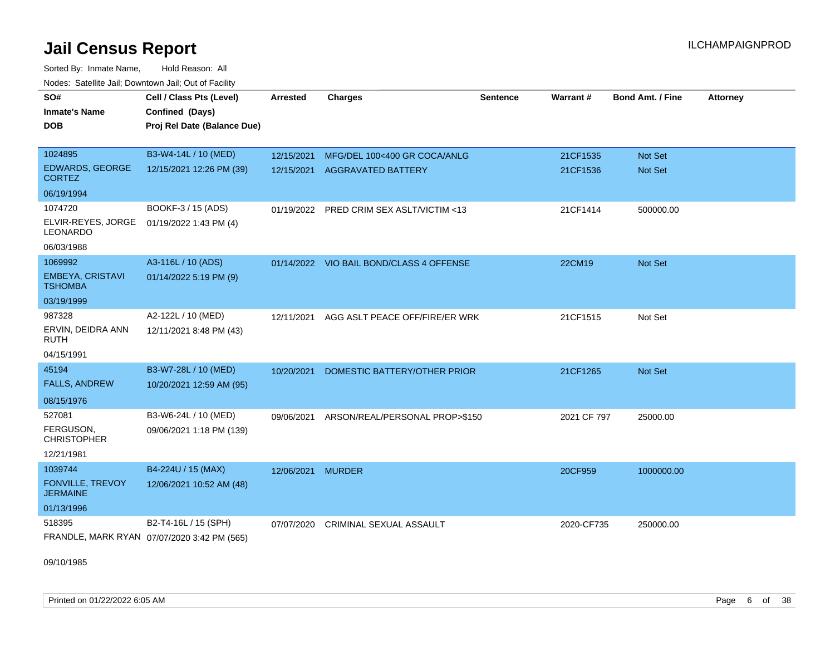Sorted By: Inmate Name, Hold Reason: All Nodes: Satellite Jail; Downtown Jail; Out of Facility

| SO#<br><b>Inmate's Name</b><br>DOB        | Cell / Class Pts (Level)<br>Confined (Days)<br>Proj Rel Date (Balance Due) | <b>Arrested</b> | <b>Charges</b>                           | Sentence | <b>Warrant#</b> | <b>Bond Amt. / Fine</b> | <b>Attorney</b> |
|-------------------------------------------|----------------------------------------------------------------------------|-----------------|------------------------------------------|----------|-----------------|-------------------------|-----------------|
| 1024895                                   | B3-W4-14L / 10 (MED)                                                       | 12/15/2021      | MFG/DEL 100<400 GR COCA/ANLG             |          | 21CF1535        | <b>Not Set</b>          |                 |
| <b>EDWARDS, GEORGE</b><br><b>CORTEZ</b>   | 12/15/2021 12:26 PM (39)                                                   | 12/15/2021      | <b>AGGRAVATED BATTERY</b>                |          | 21CF1536        | <b>Not Set</b>          |                 |
| 06/19/1994                                |                                                                            |                 |                                          |          |                 |                         |                 |
| 1074720                                   | BOOKF-3 / 15 (ADS)                                                         |                 | 01/19/2022 PRED CRIM SEX ASLT/VICTIM <13 |          | 21CF1414        | 500000.00               |                 |
| ELVIR-REYES, JORGE<br><b>LEONARDO</b>     | 01/19/2022 1:43 PM (4)                                                     |                 |                                          |          |                 |                         |                 |
| 06/03/1988                                |                                                                            |                 |                                          |          |                 |                         |                 |
| 1069992                                   | A3-116L / 10 (ADS)                                                         |                 | 01/14/2022 VIO BAIL BOND/CLASS 4 OFFENSE |          | 22CM19          | Not Set                 |                 |
| <b>EMBEYA, CRISTAVI</b><br><b>TSHOMBA</b> | 01/14/2022 5:19 PM (9)                                                     |                 |                                          |          |                 |                         |                 |
| 03/19/1999                                |                                                                            |                 |                                          |          |                 |                         |                 |
| 987328                                    | A2-122L / 10 (MED)                                                         | 12/11/2021      | AGG ASLT PEACE OFF/FIRE/ER WRK           |          | 21CF1515        | Not Set                 |                 |
| ERVIN, DEIDRA ANN<br>RUTH                 | 12/11/2021 8:48 PM (43)                                                    |                 |                                          |          |                 |                         |                 |
| 04/15/1991                                |                                                                            |                 |                                          |          |                 |                         |                 |
| 45194                                     | B3-W7-28L / 10 (MED)                                                       | 10/20/2021      | DOMESTIC BATTERY/OTHER PRIOR             |          | 21CF1265        | Not Set                 |                 |
| <b>FALLS, ANDREW</b>                      | 10/20/2021 12:59 AM (95)                                                   |                 |                                          |          |                 |                         |                 |
| 08/15/1976                                |                                                                            |                 |                                          |          |                 |                         |                 |
| 527081                                    | B3-W6-24L / 10 (MED)                                                       | 09/06/2021      | ARSON/REAL/PERSONAL PROP>\$150           |          | 2021 CF 797     | 25000.00                |                 |
| FERGUSON.<br><b>CHRISTOPHER</b>           | 09/06/2021 1:18 PM (139)                                                   |                 |                                          |          |                 |                         |                 |
| 12/21/1981                                |                                                                            |                 |                                          |          |                 |                         |                 |
| 1039744                                   | B4-224U / 15 (MAX)                                                         | 12/06/2021      | <b>MURDER</b>                            |          | 20CF959         | 1000000.00              |                 |
| FONVILLE, TREVOY<br><b>JERMAINE</b>       | 12/06/2021 10:52 AM (48)                                                   |                 |                                          |          |                 |                         |                 |
| 01/13/1996                                |                                                                            |                 |                                          |          |                 |                         |                 |
| 518395                                    | B2-T4-16L / 15 (SPH)                                                       | 07/07/2020      | CRIMINAL SEXUAL ASSAULT                  |          | 2020-CF735      | 250000.00               |                 |
|                                           | FRANDLE, MARK RYAN 07/07/2020 3:42 PM (565)                                |                 |                                          |          |                 |                         |                 |

09/10/1985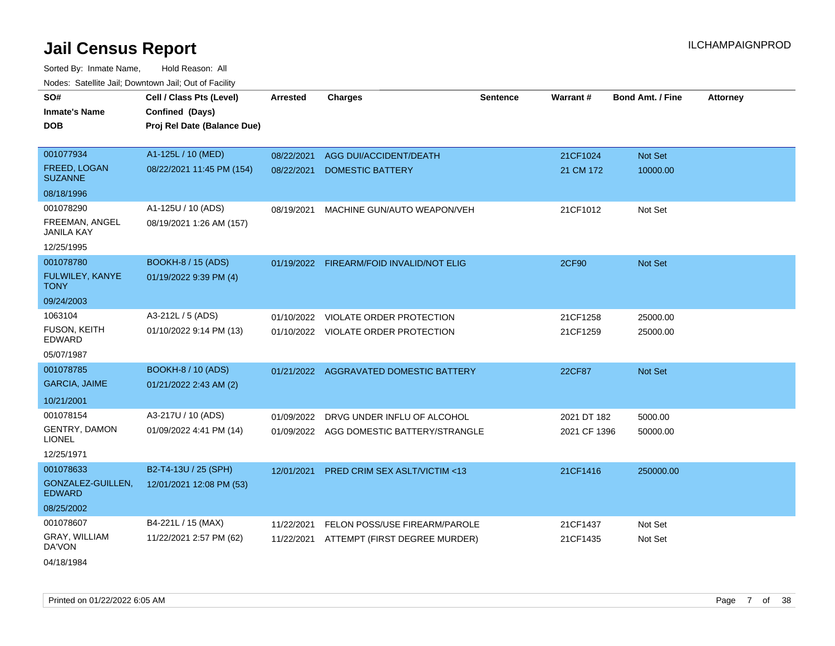| SO#                                        | Cell / Class Pts (Level)    | <b>Arrested</b> | <b>Charges</b>                           | <b>Sentence</b> | Warrant#     | <b>Bond Amt. / Fine</b> | <b>Attorney</b> |
|--------------------------------------------|-----------------------------|-----------------|------------------------------------------|-----------------|--------------|-------------------------|-----------------|
| <b>Inmate's Name</b>                       | Confined (Days)             |                 |                                          |                 |              |                         |                 |
| <b>DOB</b>                                 | Proj Rel Date (Balance Due) |                 |                                          |                 |              |                         |                 |
|                                            |                             |                 |                                          |                 |              |                         |                 |
| 001077934                                  | A1-125L / 10 (MED)          | 08/22/2021      | AGG DUI/ACCIDENT/DEATH                   |                 | 21CF1024     | Not Set                 |                 |
| FREED, LOGAN<br><b>SUZANNE</b>             | 08/22/2021 11:45 PM (154)   | 08/22/2021      | DOMESTIC BATTERY                         |                 | 21 CM 172    | 10000.00                |                 |
| 08/18/1996                                 |                             |                 |                                          |                 |              |                         |                 |
| 001078290                                  | A1-125U / 10 (ADS)          | 08/19/2021      | MACHINE GUN/AUTO WEAPON/VEH              |                 | 21CF1012     | Not Set                 |                 |
| <b>FREEMAN, ANGEL</b><br><b>JANILA KAY</b> | 08/19/2021 1:26 AM (157)    |                 |                                          |                 |              |                         |                 |
| 12/25/1995                                 |                             |                 |                                          |                 |              |                         |                 |
| 001078780                                  | <b>BOOKH-8 / 15 (ADS)</b>   |                 | 01/19/2022 FIREARM/FOID INVALID/NOT ELIG |                 | 2CF90        | Not Set                 |                 |
| FULWILEY, KANYE<br><b>TONY</b>             | 01/19/2022 9:39 PM (4)      |                 |                                          |                 |              |                         |                 |
| 09/24/2003                                 |                             |                 |                                          |                 |              |                         |                 |
| 1063104                                    | A3-212L / 5 (ADS)           |                 | 01/10/2022 VIOLATE ORDER PROTECTION      |                 | 21CF1258     | 25000.00                |                 |
| FUSON, KEITH<br>EDWARD                     | 01/10/2022 9:14 PM (13)     |                 | 01/10/2022 VIOLATE ORDER PROTECTION      |                 | 21CF1259     | 25000.00                |                 |
| 05/07/1987                                 |                             |                 |                                          |                 |              |                         |                 |
| 001078785                                  | <b>BOOKH-8 / 10 (ADS)</b>   |                 | 01/21/2022 AGGRAVATED DOMESTIC BATTERY   |                 | 22CF87       | <b>Not Set</b>          |                 |
| <b>GARCIA, JAIME</b>                       | 01/21/2022 2:43 AM (2)      |                 |                                          |                 |              |                         |                 |
| 10/21/2001                                 |                             |                 |                                          |                 |              |                         |                 |
| 001078154                                  | A3-217U / 10 (ADS)          | 01/09/2022      | DRVG UNDER INFLU OF ALCOHOL              |                 | 2021 DT 182  | 5000.00                 |                 |
| <b>GENTRY, DAMON</b><br><b>LIONEL</b>      | 01/09/2022 4:41 PM (14)     |                 | 01/09/2022 AGG DOMESTIC BATTERY/STRANGLE |                 | 2021 CF 1396 | 50000.00                |                 |
| 12/25/1971                                 |                             |                 |                                          |                 |              |                         |                 |
| 001078633                                  | B2-T4-13U / 25 (SPH)        | 12/01/2021      | PRED CRIM SEX ASLT/VICTIM <13            |                 | 21CF1416     | 250000.00               |                 |
| GONZALEZ-GUILLEN,<br><b>EDWARD</b>         | 12/01/2021 12:08 PM (53)    |                 |                                          |                 |              |                         |                 |
| 08/25/2002                                 |                             |                 |                                          |                 |              |                         |                 |
| 001078607                                  | B4-221L / 15 (MAX)          | 11/22/2021      | FELON POSS/USE FIREARM/PAROLE            |                 | 21CF1437     | Not Set                 |                 |
| GRAY, WILLIAM<br>DA'VON                    | 11/22/2021 2:57 PM (62)     |                 | 11/22/2021 ATTEMPT (FIRST DEGREE MURDER) |                 | 21CF1435     | Not Set                 |                 |
| 04/18/1984                                 |                             |                 |                                          |                 |              |                         |                 |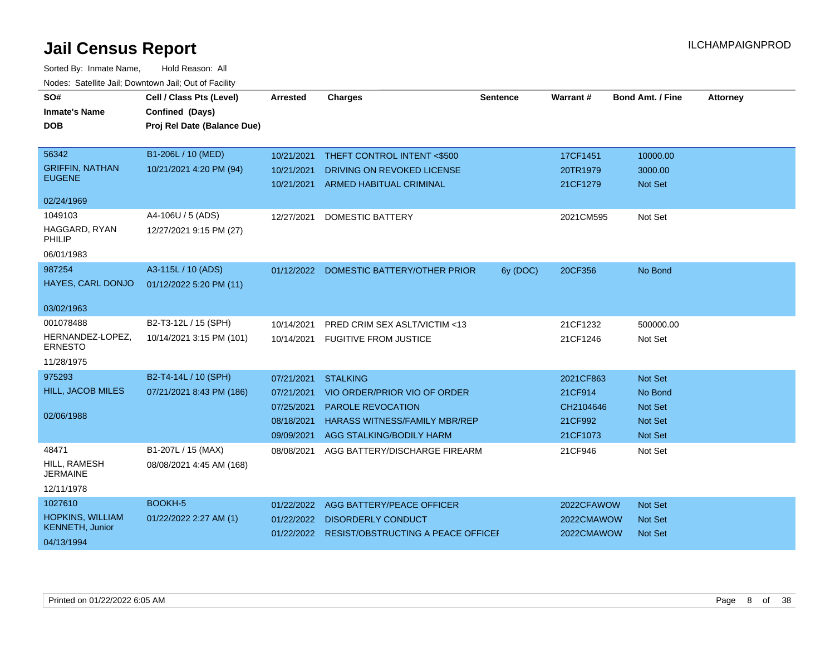| SO#                                               | Cell / Class Pts (Level)    | <b>Arrested</b> | <b>Charges</b>                                 | <b>Sentence</b> | Warrant#   | <b>Bond Amt. / Fine</b> | <b>Attorney</b> |
|---------------------------------------------------|-----------------------------|-----------------|------------------------------------------------|-----------------|------------|-------------------------|-----------------|
| <b>Inmate's Name</b>                              | Confined (Days)             |                 |                                                |                 |            |                         |                 |
| <b>DOB</b>                                        | Proj Rel Date (Balance Due) |                 |                                                |                 |            |                         |                 |
| 56342                                             | B1-206L / 10 (MED)          | 10/21/2021      | THEFT CONTROL INTENT <\$500                    |                 | 17CF1451   | 10000.00                |                 |
| <b>GRIFFIN, NATHAN</b>                            | 10/21/2021 4:20 PM (94)     | 10/21/2021      | DRIVING ON REVOKED LICENSE                     |                 | 20TR1979   | 3000.00                 |                 |
| <b>EUGENE</b>                                     |                             |                 | 10/21/2021 ARMED HABITUAL CRIMINAL             |                 | 21CF1279   | Not Set                 |                 |
| 02/24/1969                                        |                             |                 |                                                |                 |            |                         |                 |
| 1049103                                           | A4-106U / 5 (ADS)           | 12/27/2021      | <b>DOMESTIC BATTERY</b>                        |                 | 2021CM595  | Not Set                 |                 |
| HAGGARD, RYAN<br>PHILIP                           | 12/27/2021 9:15 PM (27)     |                 |                                                |                 |            |                         |                 |
| 06/01/1983                                        |                             |                 |                                                |                 |            |                         |                 |
| 987254                                            | A3-115L / 10 (ADS)          |                 | 01/12/2022 DOMESTIC BATTERY/OTHER PRIOR        | 6y (DOC)        | 20CF356    | No Bond                 |                 |
| HAYES, CARL DONJO                                 | 01/12/2022 5:20 PM (11)     |                 |                                                |                 |            |                         |                 |
| 03/02/1963                                        |                             |                 |                                                |                 |            |                         |                 |
| 001078488                                         | B2-T3-12L / 15 (SPH)        | 10/14/2021      | PRED CRIM SEX ASLT/VICTIM <13                  |                 | 21CF1232   | 500000.00               |                 |
| HERNANDEZ-LOPEZ,<br><b>ERNESTO</b>                | 10/14/2021 3:15 PM (101)    |                 | 10/14/2021 FUGITIVE FROM JUSTICE               |                 | 21CF1246   | Not Set                 |                 |
| 11/28/1975                                        |                             |                 |                                                |                 |            |                         |                 |
| 975293                                            | B2-T4-14L / 10 (SPH)        | 07/21/2021      | <b>STALKING</b>                                |                 | 2021CF863  | Not Set                 |                 |
| HILL, JACOB MILES                                 | 07/21/2021 8:43 PM (186)    | 07/21/2021      | VIO ORDER/PRIOR VIO OF ORDER                   |                 | 21CF914    | No Bond                 |                 |
|                                                   |                             | 07/25/2021      | <b>PAROLE REVOCATION</b>                       |                 | CH2104646  | <b>Not Set</b>          |                 |
| 02/06/1988                                        |                             | 08/18/2021      | <b>HARASS WITNESS/FAMILY MBR/REP</b>           |                 | 21CF992    | Not Set                 |                 |
|                                                   |                             | 09/09/2021      | AGG STALKING/BODILY HARM                       |                 | 21CF1073   | <b>Not Set</b>          |                 |
| 48471                                             | B1-207L / 15 (MAX)          | 08/08/2021      | AGG BATTERY/DISCHARGE FIREARM                  |                 | 21CF946    | Not Set                 |                 |
| HILL, RAMESH<br><b>JERMAINE</b>                   | 08/08/2021 4:45 AM (168)    |                 |                                                |                 |            |                         |                 |
| 12/11/1978                                        |                             |                 |                                                |                 |            |                         |                 |
| 1027610                                           | <b>BOOKH-5</b>              | 01/22/2022      | AGG BATTERY/PEACE OFFICER                      |                 | 2022CFAWOW | Not Set                 |                 |
| <b>HOPKINS, WILLIAM</b><br><b>KENNETH, Junior</b> | 01/22/2022 2:27 AM (1)      |                 | 01/22/2022 DISORDERLY CONDUCT                  |                 | 2022CMAWOW | <b>Not Set</b>          |                 |
| 04/13/1994                                        |                             |                 | 01/22/2022 RESIST/OBSTRUCTING A PEACE OFFICE I |                 | 2022CMAWOW | <b>Not Set</b>          |                 |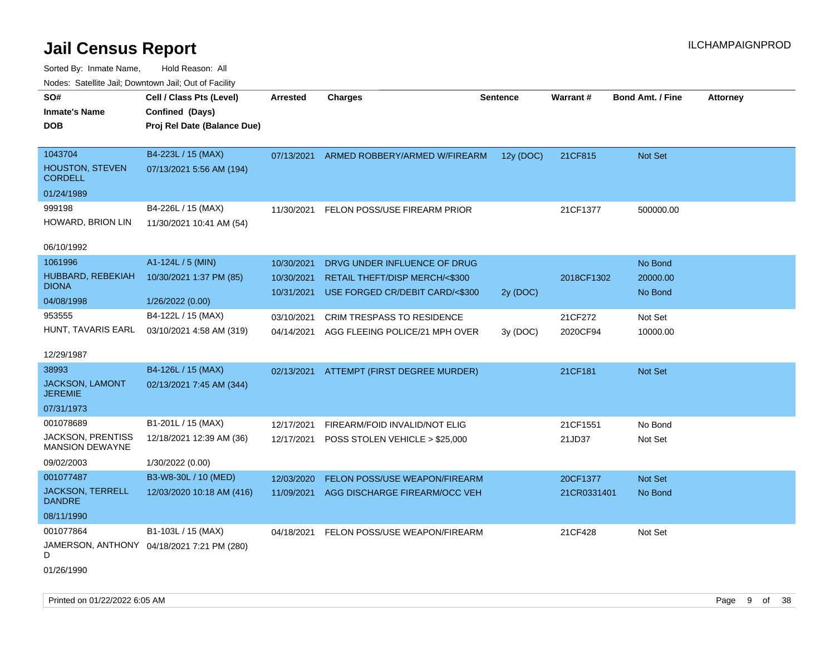Sorted By: Inmate Name, Hold Reason: All Nodes: Satellite Jail; Downtown Jail; Out of Facility

| roucs. Calcillic Jali, Downtown Jali, Out of Facility |                                             |                 |                                          |                 |             |                         |                 |
|-------------------------------------------------------|---------------------------------------------|-----------------|------------------------------------------|-----------------|-------------|-------------------------|-----------------|
| SO#<br><b>Inmate's Name</b>                           | Cell / Class Pts (Level)<br>Confined (Days) | <b>Arrested</b> | <b>Charges</b>                           | <b>Sentence</b> | Warrant#    | <b>Bond Amt. / Fine</b> | <b>Attorney</b> |
| <b>DOB</b>                                            | Proj Rel Date (Balance Due)                 |                 |                                          |                 |             |                         |                 |
|                                                       |                                             |                 |                                          |                 |             |                         |                 |
| 1043704                                               | B4-223L / 15 (MAX)                          | 07/13/2021      | ARMED ROBBERY/ARMED W/FIREARM            | 12y (DOC)       | 21CF815     | Not Set                 |                 |
| <b>HOUSTON, STEVEN</b><br><b>CORDELL</b>              | 07/13/2021 5:56 AM (194)                    |                 |                                          |                 |             |                         |                 |
| 01/24/1989                                            |                                             |                 |                                          |                 |             |                         |                 |
| 999198                                                | B4-226L / 15 (MAX)                          | 11/30/2021      | FELON POSS/USE FIREARM PRIOR             |                 | 21CF1377    | 500000.00               |                 |
| HOWARD, BRION LIN                                     | 11/30/2021 10:41 AM (54)                    |                 |                                          |                 |             |                         |                 |
| 06/10/1992                                            |                                             |                 |                                          |                 |             |                         |                 |
| 1061996                                               | A1-124L / 5 (MIN)                           | 10/30/2021      | DRVG UNDER INFLUENCE OF DRUG             |                 |             | No Bond                 |                 |
| HUBBARD, REBEKIAH                                     | 10/30/2021 1:37 PM (85)                     | 10/30/2021      | <b>RETAIL THEFT/DISP MERCH/&lt;\$300</b> |                 | 2018CF1302  | 20000.00                |                 |
| <b>DIONA</b>                                          |                                             | 10/31/2021      | USE FORGED CR/DEBIT CARD/<\$300          | 2y (DOC)        |             | No Bond                 |                 |
| 04/08/1998                                            | 1/26/2022 (0.00)                            |                 |                                          |                 |             |                         |                 |
| 953555                                                | B4-122L / 15 (MAX)                          | 03/10/2021      | CRIM TRESPASS TO RESIDENCE               |                 | 21CF272     | Not Set                 |                 |
| HUNT, TAVARIS EARL                                    | 03/10/2021 4:58 AM (319)                    | 04/14/2021      | AGG FLEEING POLICE/21 MPH OVER           | 3y (DOC)        | 2020CF94    | 10000.00                |                 |
| 12/29/1987                                            |                                             |                 |                                          |                 |             |                         |                 |
| 38993                                                 | B4-126L / 15 (MAX)                          | 02/13/2021      | ATTEMPT (FIRST DEGREE MURDER)            |                 | 21CF181     | <b>Not Set</b>          |                 |
| JACKSON, LAMONT<br><b>JEREMIE</b>                     | 02/13/2021 7:45 AM (344)                    |                 |                                          |                 |             |                         |                 |
| 07/31/1973                                            |                                             |                 |                                          |                 |             |                         |                 |
| 001078689                                             | B1-201L / 15 (MAX)                          | 12/17/2021      | FIREARM/FOID INVALID/NOT ELIG            |                 | 21CF1551    | No Bond                 |                 |
| <b>JACKSON, PRENTISS</b><br><b>MANSION DEWAYNE</b>    | 12/18/2021 12:39 AM (36)                    | 12/17/2021      | POSS STOLEN VEHICLE > \$25,000           |                 | 21JD37      | Not Set                 |                 |
| 09/02/2003                                            | 1/30/2022 (0.00)                            |                 |                                          |                 |             |                         |                 |
| 001077487                                             | B3-W8-30L / 10 (MED)                        | 12/03/2020      | FELON POSS/USE WEAPON/FIREARM            |                 | 20CF1377    | Not Set                 |                 |
| <b>JACKSON, TERRELL</b><br><b>DANDRE</b>              | 12/03/2020 10:18 AM (416)                   | 11/09/2021      | AGG DISCHARGE FIREARM/OCC VEH            |                 | 21CR0331401 | No Bond                 |                 |
| 08/11/1990                                            |                                             |                 |                                          |                 |             |                         |                 |
| 001077864                                             | B1-103L / 15 (MAX)                          | 04/18/2021      | FELON POSS/USE WEAPON/FIREARM            |                 | 21CF428     | Not Set                 |                 |
| D                                                     | JAMERSON, ANTHONY 04/18/2021 7:21 PM (280)  |                 |                                          |                 |             |                         |                 |
|                                                       |                                             |                 |                                          |                 |             |                         |                 |

01/26/1990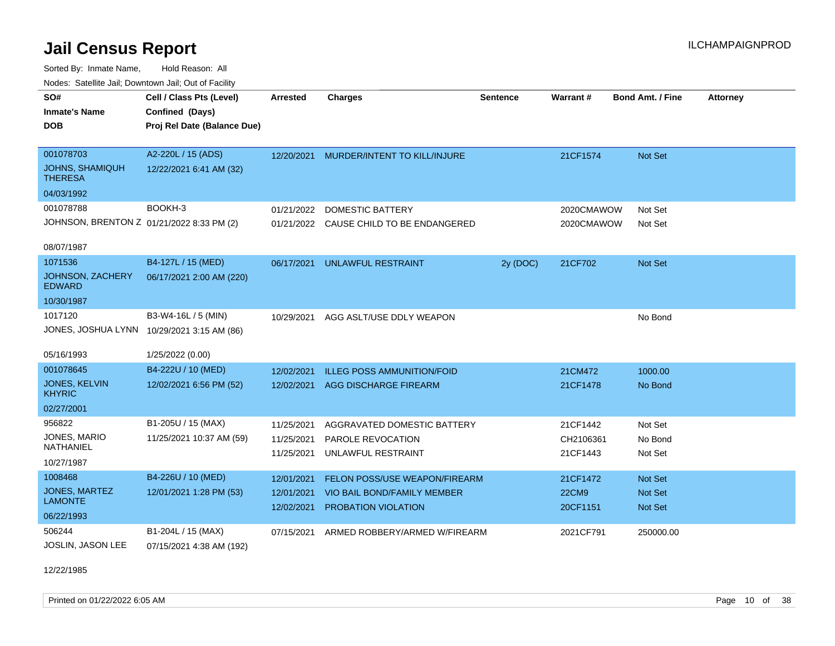Sorted By: Inmate Name, Hold Reason: All Nodes: Satellite Jail; Downtown Jail; Out of Facility

| Nuuts. Saltiille Jali, Duwilluwii Jali, Oul of Facility |                                            |                 |                                         |                 |              |                         |                 |
|---------------------------------------------------------|--------------------------------------------|-----------------|-----------------------------------------|-----------------|--------------|-------------------------|-----------------|
| SO#                                                     | Cell / Class Pts (Level)                   | <b>Arrested</b> | <b>Charges</b>                          | <b>Sentence</b> | Warrant#     | <b>Bond Amt. / Fine</b> | <b>Attorney</b> |
| <b>Inmate's Name</b>                                    | Confined (Days)                            |                 |                                         |                 |              |                         |                 |
| DOB.                                                    | Proj Rel Date (Balance Due)                |                 |                                         |                 |              |                         |                 |
|                                                         |                                            |                 |                                         |                 |              |                         |                 |
| 001078703                                               | A2-220L / 15 (ADS)                         | 12/20/2021      | MURDER/INTENT TO KILL/INJURE            |                 | 21CF1574     | <b>Not Set</b>          |                 |
| <b>JOHNS, SHAMIQUH</b><br><b>THERESA</b>                | 12/22/2021 6:41 AM (32)                    |                 |                                         |                 |              |                         |                 |
| 04/03/1992                                              |                                            |                 |                                         |                 |              |                         |                 |
| 001078788                                               | BOOKH-3                                    | 01/21/2022      | <b>DOMESTIC BATTERY</b>                 |                 | 2020CMAWOW   | Not Set                 |                 |
| JOHNSON, BRENTON Z 01/21/2022 8:33 PM (2)               |                                            |                 | 01/21/2022 CAUSE CHILD TO BE ENDANGERED |                 | 2020CMAWOW   | Not Set                 |                 |
|                                                         |                                            |                 |                                         |                 |              |                         |                 |
| 08/07/1987                                              |                                            |                 |                                         |                 |              |                         |                 |
| 1071536                                                 | B4-127L / 15 (MED)                         | 06/17/2021      | <b>UNLAWFUL RESTRAINT</b>               | 2y (DOC)        | 21CF702      | Not Set                 |                 |
| <b>JOHNSON, ZACHERY</b><br><b>EDWARD</b>                | 06/17/2021 2:00 AM (220)                   |                 |                                         |                 |              |                         |                 |
| 10/30/1987                                              |                                            |                 |                                         |                 |              |                         |                 |
| 1017120                                                 | B3-W4-16L / 5 (MIN)                        | 10/29/2021      | AGG ASLT/USE DDLY WEAPON                |                 |              | No Bond                 |                 |
|                                                         | JONES, JOSHUA LYNN 10/29/2021 3:15 AM (86) |                 |                                         |                 |              |                         |                 |
|                                                         |                                            |                 |                                         |                 |              |                         |                 |
| 05/16/1993                                              | 1/25/2022 (0.00)                           |                 |                                         |                 |              |                         |                 |
| 001078645                                               | B4-222U / 10 (MED)                         | 12/02/2021      | <b>ILLEG POSS AMMUNITION/FOID</b>       |                 | 21CM472      | 1000.00                 |                 |
| <b>JONES, KELVIN</b><br><b>KHYRIC</b>                   | 12/02/2021 6:56 PM (52)                    | 12/02/2021      | AGG DISCHARGE FIREARM                   |                 | 21CF1478     | No Bond                 |                 |
| 02/27/2001                                              |                                            |                 |                                         |                 |              |                         |                 |
| 956822                                                  | B1-205U / 15 (MAX)                         | 11/25/2021      | AGGRAVATED DOMESTIC BATTERY             |                 | 21CF1442     | Not Set                 |                 |
| JONES, MARIO                                            | 11/25/2021 10:37 AM (59)                   | 11/25/2021      | <b>PAROLE REVOCATION</b>                |                 | CH2106361    | No Bond                 |                 |
| <b>NATHANIEL</b>                                        |                                            | 11/25/2021      | UNLAWFUL RESTRAINT                      |                 | 21CF1443     | Not Set                 |                 |
| 10/27/1987                                              |                                            |                 |                                         |                 |              |                         |                 |
| 1008468                                                 | B4-226U / 10 (MED)                         | 12/01/2021      | <b>FELON POSS/USE WEAPON/FIREARM</b>    |                 | 21CF1472     | Not Set                 |                 |
| JONES, MARTEZ                                           | 12/01/2021 1:28 PM (53)                    | 12/01/2021      | VIO BAIL BOND/FAMILY MEMBER             |                 | <b>22CM9</b> | <b>Not Set</b>          |                 |
| <b>LAMONTE</b>                                          |                                            | 12/02/2021      | PROBATION VIOLATION                     |                 | 20CF1151     | <b>Not Set</b>          |                 |
| 06/22/1993                                              |                                            |                 |                                         |                 |              |                         |                 |
| 506244                                                  | B1-204L / 15 (MAX)                         | 07/15/2021      | ARMED ROBBERY/ARMED W/FIREARM           |                 | 2021CF791    | 250000.00               |                 |
| <b>JOSLIN, JASON LEE</b>                                | 07/15/2021 4:38 AM (192)                   |                 |                                         |                 |              |                         |                 |

12/22/1985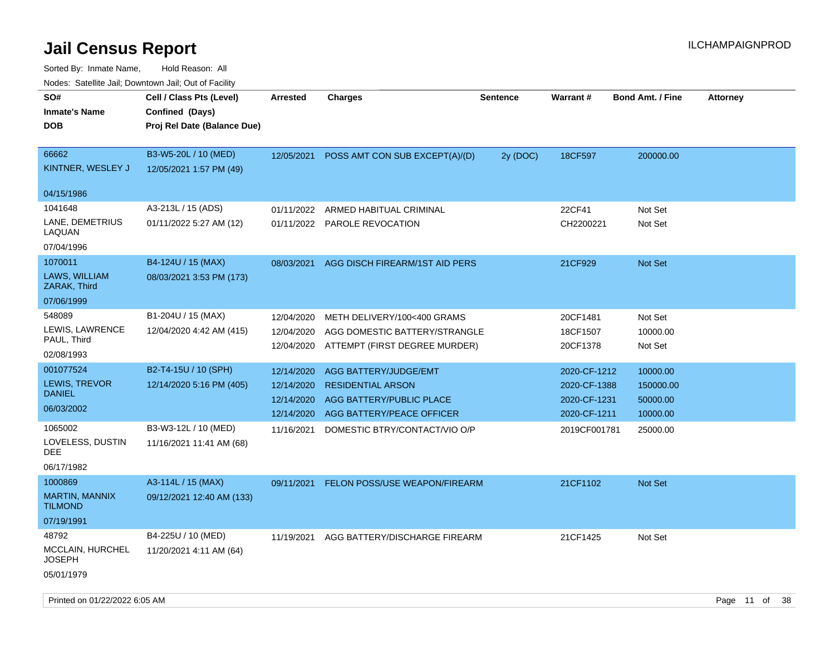| <b>Nouro:</b> Catoline Jan, Downtown Jan, Out of Fability |                                                                            |                          |                                                                |                 |                      |                         |                 |
|-----------------------------------------------------------|----------------------------------------------------------------------------|--------------------------|----------------------------------------------------------------|-----------------|----------------------|-------------------------|-----------------|
| SO#<br><b>Inmate's Name</b><br><b>DOB</b>                 | Cell / Class Pts (Level)<br>Confined (Days)<br>Proj Rel Date (Balance Due) | Arrested                 | <b>Charges</b>                                                 | <b>Sentence</b> | <b>Warrant#</b>      | <b>Bond Amt. / Fine</b> | <b>Attorney</b> |
| 66662<br>KINTNER, WESLEY J                                | B3-W5-20L / 10 (MED)<br>12/05/2021 1:57 PM (49)                            | 12/05/2021               | POSS AMT CON SUB EXCEPT(A)/(D)                                 | 2y (DOC)        | 18CF597              | 200000.00               |                 |
| 04/15/1986                                                |                                                                            |                          |                                                                |                 |                      |                         |                 |
| 1041648                                                   | A3-213L / 15 (ADS)                                                         | 01/11/2022               | ARMED HABITUAL CRIMINAL                                        |                 | 22CF41               | Not Set                 |                 |
| LANE, DEMETRIUS<br>LAQUAN                                 | 01/11/2022 5:27 AM (12)                                                    |                          | 01/11/2022 PAROLE REVOCATION                                   |                 | CH2200221            | Not Set                 |                 |
| 07/04/1996                                                |                                                                            |                          |                                                                |                 |                      |                         |                 |
| 1070011                                                   | B4-124U / 15 (MAX)                                                         | 08/03/2021               | AGG DISCH FIREARM/1ST AID PERS                                 |                 | 21CF929              | <b>Not Set</b>          |                 |
| LAWS, WILLIAM<br>ZARAK, Third                             | 08/03/2021 3:53 PM (173)                                                   |                          |                                                                |                 |                      |                         |                 |
| 07/06/1999                                                |                                                                            |                          |                                                                |                 |                      |                         |                 |
| 548089                                                    | B1-204U / 15 (MAX)                                                         | 12/04/2020               | METH DELIVERY/100<400 GRAMS                                    |                 | 20CF1481             | Not Set                 |                 |
| LEWIS, LAWRENCE<br>PAUL, Third                            | 12/04/2020 4:42 AM (415)                                                   | 12/04/2020<br>12/04/2020 | AGG DOMESTIC BATTERY/STRANGLE<br>ATTEMPT (FIRST DEGREE MURDER) |                 | 18CF1507<br>20CF1378 | 10000.00<br>Not Set     |                 |
| 02/08/1993                                                |                                                                            |                          |                                                                |                 |                      |                         |                 |
| 001077524                                                 | B2-T4-15U / 10 (SPH)                                                       | 12/14/2020               | AGG BATTERY/JUDGE/EMT                                          |                 | 2020-CF-1212         | 10000.00                |                 |
| LEWIS, TREVOR                                             | 12/14/2020 5:16 PM (405)                                                   | 12/14/2020               | <b>RESIDENTIAL ARSON</b>                                       |                 | 2020-CF-1388         | 150000.00               |                 |
| <b>DANIEL</b>                                             |                                                                            | 12/14/2020               | AGG BATTERY/PUBLIC PLACE                                       |                 | 2020-CF-1231         | 50000.00                |                 |
| 06/03/2002                                                |                                                                            | 12/14/2020               | AGG BATTERY/PEACE OFFICER                                      |                 | 2020-CF-1211         | 10000.00                |                 |
| 1065002<br>LOVELESS, DUSTIN<br>DEE                        | B3-W3-12L / 10 (MED)<br>11/16/2021 11:41 AM (68)                           | 11/16/2021               | DOMESTIC BTRY/CONTACT/VIO O/P                                  |                 | 2019CF001781         | 25000.00                |                 |
| 06/17/1982                                                |                                                                            |                          |                                                                |                 |                      |                         |                 |
| 1000869                                                   | A3-114L / 15 (MAX)                                                         | 09/11/2021               | FELON POSS/USE WEAPON/FIREARM                                  |                 | 21CF1102             | <b>Not Set</b>          |                 |
| <b>MARTIN, MANNIX</b><br><b>TILMOND</b>                   | 09/12/2021 12:40 AM (133)                                                  |                          |                                                                |                 |                      |                         |                 |
| 07/19/1991                                                |                                                                            |                          |                                                                |                 |                      |                         |                 |
| 48792                                                     | B4-225U / 10 (MED)                                                         | 11/19/2021               | AGG BATTERY/DISCHARGE FIREARM                                  |                 | 21CF1425             | Not Set                 |                 |
| MCCLAIN, HURCHEL<br><b>JOSEPH</b>                         | 11/20/2021 4:11 AM (64)                                                    |                          |                                                                |                 |                      |                         |                 |
| 05/01/1979                                                |                                                                            |                          |                                                                |                 |                      |                         |                 |
|                                                           |                                                                            |                          |                                                                |                 |                      |                         |                 |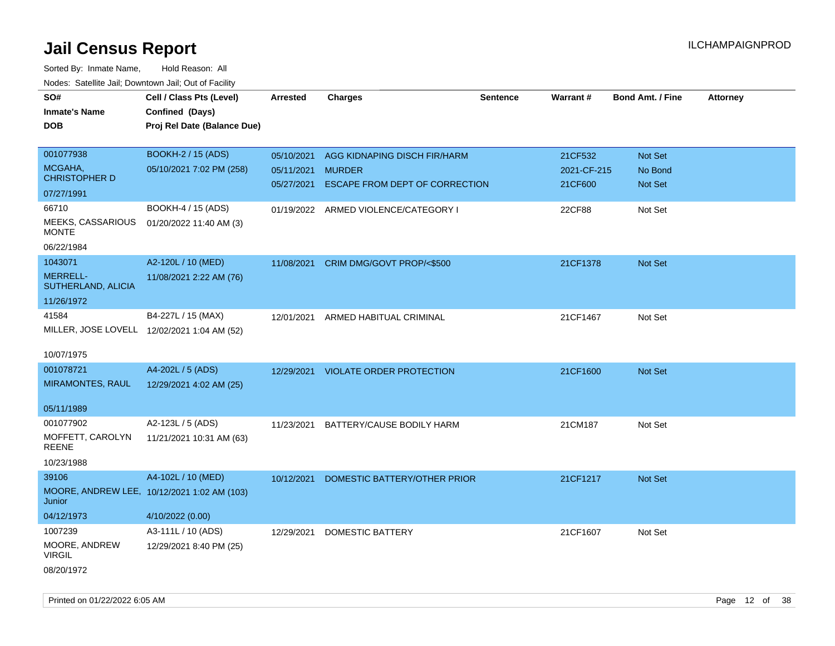| SO#<br>Cell / Class Pts (Level)<br><b>Charges</b><br><b>Warrant#</b><br><b>Bond Amt. / Fine</b><br>Attorney<br><b>Arrested</b><br><b>Sentence</b><br>Confined (Days)<br><b>Inmate's Name</b><br>Proj Rel Date (Balance Due)<br><b>DOB</b> |  |
|-------------------------------------------------------------------------------------------------------------------------------------------------------------------------------------------------------------------------------------------|--|
|                                                                                                                                                                                                                                           |  |
|                                                                                                                                                                                                                                           |  |
|                                                                                                                                                                                                                                           |  |
|                                                                                                                                                                                                                                           |  |
| 001077938<br><b>BOOKH-2 / 15 (ADS)</b><br>Not Set<br>05/10/2021<br>AGG KIDNAPING DISCH FIR/HARM<br>21CF532                                                                                                                                |  |
| MCGAHA,<br>05/10/2021 7:02 PM (258)<br>No Bond<br>05/11/2021<br><b>MURDER</b><br>2021-CF-215                                                                                                                                              |  |
| <b>CHRISTOPHER D</b><br>Not Set<br>ESCAPE FROM DEPT OF CORRECTION<br>21CF600<br>05/27/2021                                                                                                                                                |  |
| 07/27/1991                                                                                                                                                                                                                                |  |
| 66710<br>BOOKH-4 / 15 (ADS)<br>Not Set<br>01/19/2022 ARMED VIOLENCE/CATEGORY I<br>22CF88                                                                                                                                                  |  |
| MEEKS, CASSARIOUS<br>01/20/2022 11:40 AM (3)<br><b>MONTE</b>                                                                                                                                                                              |  |
| 06/22/1984                                                                                                                                                                                                                                |  |
| 1043071<br>A2-120L / 10 (MED)<br>Not Set<br>11/08/2021<br>CRIM DMG/GOVT PROP/<\$500<br>21CF1378                                                                                                                                           |  |
| <b>MERRELL-</b><br>11/08/2021 2:22 AM (76)                                                                                                                                                                                                |  |
| SUTHERLAND, ALICIA                                                                                                                                                                                                                        |  |
| 11/26/1972                                                                                                                                                                                                                                |  |
| 41584<br>B4-227L / 15 (MAX)<br>21CF1467<br>Not Set<br>12/01/2021<br>ARMED HABITUAL CRIMINAL                                                                                                                                               |  |
| MILLER, JOSE LOVELL 12/02/2021 1:04 AM (52)                                                                                                                                                                                               |  |
|                                                                                                                                                                                                                                           |  |
| 10/07/1975                                                                                                                                                                                                                                |  |
| 001078721<br>A4-202L / 5 (ADS)<br>12/29/2021 VIOLATE ORDER PROTECTION<br>21CF1600<br>Not Set                                                                                                                                              |  |
| <b>MIRAMONTES, RAUL</b><br>12/29/2021 4:02 AM (25)                                                                                                                                                                                        |  |
|                                                                                                                                                                                                                                           |  |
| 05/11/1989                                                                                                                                                                                                                                |  |
| 001077902<br>A2-123L / 5 (ADS)<br>21CM187<br>Not Set<br>11/23/2021<br>BATTERY/CAUSE BODILY HARM                                                                                                                                           |  |
| MOFFETT, CAROLYN<br>11/21/2021 10:31 AM (63)                                                                                                                                                                                              |  |
| <b>REENE</b>                                                                                                                                                                                                                              |  |
| 10/23/1988                                                                                                                                                                                                                                |  |
| 39106<br>A4-102L / 10 (MED)<br>10/12/2021<br>DOMESTIC BATTERY/OTHER PRIOR<br>21CF1217<br>Not Set                                                                                                                                          |  |
| MOORE, ANDREW LEE, 10/12/2021 1:02 AM (103)                                                                                                                                                                                               |  |
| Junior                                                                                                                                                                                                                                    |  |
| 04/12/1973<br>4/10/2022 (0.00)                                                                                                                                                                                                            |  |
| 1007239<br>A3-111L / 10 (ADS)<br>21CF1607<br>12/29/2021<br>DOMESTIC BATTERY<br>Not Set                                                                                                                                                    |  |
| MOORE, ANDREW<br>12/29/2021 8:40 PM (25)<br><b>VIRGIL</b>                                                                                                                                                                                 |  |
| 08/20/1972                                                                                                                                                                                                                                |  |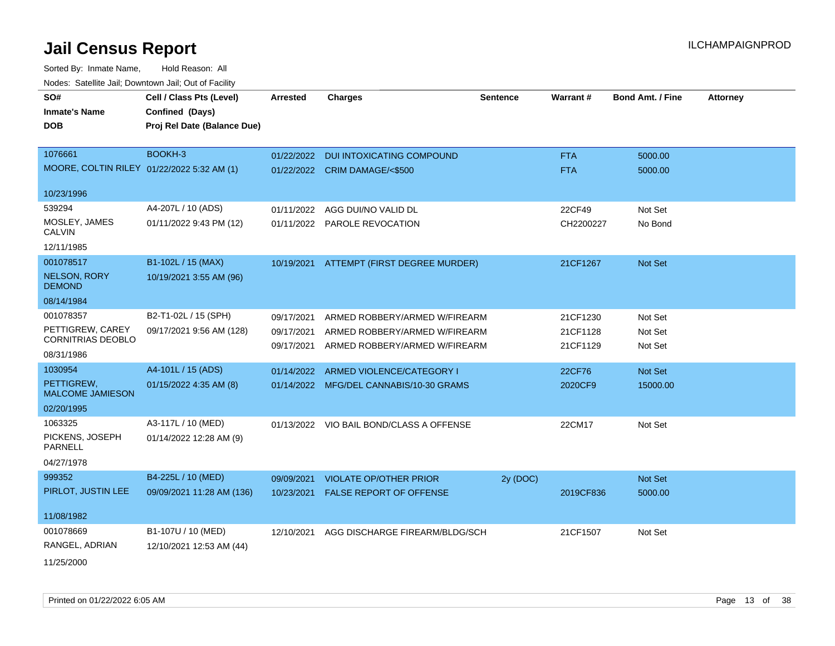| SO#                                          | Cell / Class Pts (Level)    | <b>Arrested</b> | <b>Charges</b>                           | <b>Sentence</b> | Warrant#   | <b>Bond Amt. / Fine</b> | <b>Attorney</b> |
|----------------------------------------------|-----------------------------|-----------------|------------------------------------------|-----------------|------------|-------------------------|-----------------|
| <b>Inmate's Name</b>                         | Confined (Days)             |                 |                                          |                 |            |                         |                 |
| DOB                                          | Proj Rel Date (Balance Due) |                 |                                          |                 |            |                         |                 |
|                                              |                             |                 |                                          |                 |            |                         |                 |
| 1076661                                      | BOOKH-3                     |                 | 01/22/2022 DUI INTOXICATING COMPOUND     |                 | <b>FTA</b> | 5000.00                 |                 |
| MOORE, COLTIN RILEY 01/22/2022 5:32 AM (1)   |                             |                 | 01/22/2022 CRIM DAMAGE/<\$500            |                 | <b>FTA</b> | 5000.00                 |                 |
| 10/23/1996                                   |                             |                 |                                          |                 |            |                         |                 |
| 539294                                       | A4-207L / 10 (ADS)          | 01/11/2022      | AGG DUI/NO VALID DL                      |                 | 22CF49     | Not Set                 |                 |
| MOSLEY, JAMES<br>CALVIN                      | 01/11/2022 9:43 PM (12)     |                 | 01/11/2022 PAROLE REVOCATION             |                 | CH2200227  | No Bond                 |                 |
| 12/11/1985                                   |                             |                 |                                          |                 |            |                         |                 |
| 001078517                                    | B1-102L / 15 (MAX)          |                 | 10/19/2021 ATTEMPT (FIRST DEGREE MURDER) |                 | 21CF1267   | Not Set                 |                 |
| <b>NELSON, RORY</b><br><b>DEMOND</b>         | 10/19/2021 3:55 AM (96)     |                 |                                          |                 |            |                         |                 |
| 08/14/1984                                   |                             |                 |                                          |                 |            |                         |                 |
| 001078357                                    | B2-T1-02L / 15 (SPH)        | 09/17/2021      | ARMED ROBBERY/ARMED W/FIREARM            |                 | 21CF1230   | Not Set                 |                 |
| PETTIGREW, CAREY<br><b>CORNITRIAS DEOBLO</b> | 09/17/2021 9:56 AM (128)    | 09/17/2021      | ARMED ROBBERY/ARMED W/FIREARM            |                 | 21CF1128   | Not Set                 |                 |
| 08/31/1986                                   |                             | 09/17/2021      | ARMED ROBBERY/ARMED W/FIREARM            |                 | 21CF1129   | Not Set                 |                 |
| 1030954                                      | A4-101L / 15 (ADS)          |                 |                                          |                 |            |                         |                 |
| PETTIGREW,                                   | 01/15/2022 4:35 AM (8)      | 01/14/2022      | ARMED VIOLENCE/CATEGORY I                |                 | 22CF76     | Not Set                 |                 |
| <b>MALCOME JAMIESON</b>                      |                             |                 | 01/14/2022 MFG/DEL CANNABIS/10-30 GRAMS  |                 | 2020CF9    | 15000.00                |                 |
| 02/20/1995                                   |                             |                 |                                          |                 |            |                         |                 |
| 1063325                                      | A3-117L / 10 (MED)          |                 | 01/13/2022 VIO BAIL BOND/CLASS A OFFENSE |                 | 22CM17     | Not Set                 |                 |
| PICKENS, JOSEPH<br><b>PARNELL</b>            | 01/14/2022 12:28 AM (9)     |                 |                                          |                 |            |                         |                 |
| 04/27/1978                                   |                             |                 |                                          |                 |            |                         |                 |
| 999352                                       | B4-225L / 10 (MED)          | 09/09/2021      | <b>VIOLATE OP/OTHER PRIOR</b>            | 2y (DOC)        |            | <b>Not Set</b>          |                 |
| PIRLOT, JUSTIN LEE                           | 09/09/2021 11:28 AM (136)   | 10/23/2021      | <b>FALSE REPORT OF OFFENSE</b>           |                 | 2019CF836  | 5000.00                 |                 |
| 11/08/1982                                   |                             |                 |                                          |                 |            |                         |                 |
| 001078669                                    | B1-107U / 10 (MED)          | 12/10/2021      | AGG DISCHARGE FIREARM/BLDG/SCH           |                 | 21CF1507   | Not Set                 |                 |
| RANGEL, ADRIAN                               | 12/10/2021 12:53 AM (44)    |                 |                                          |                 |            |                         |                 |
| 11/25/2000                                   |                             |                 |                                          |                 |            |                         |                 |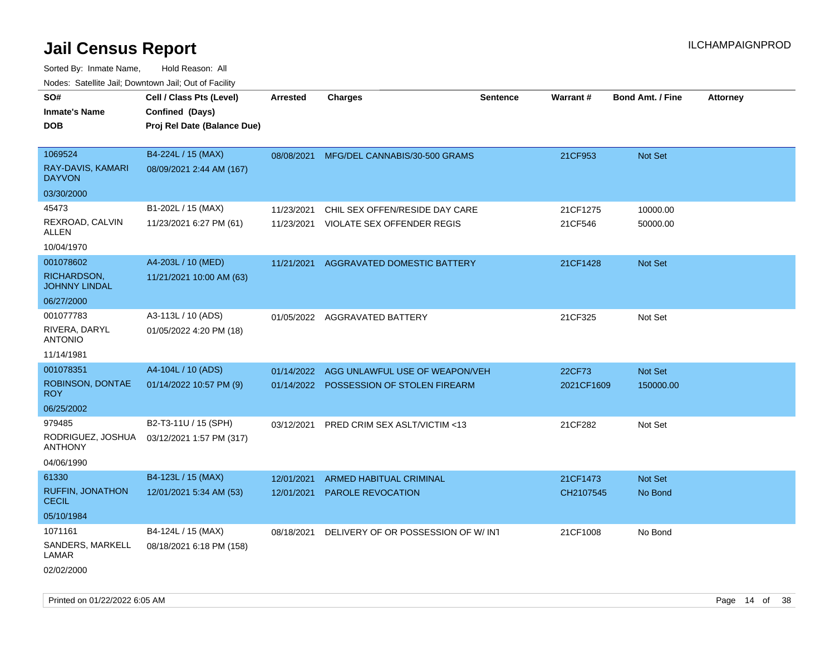| roaco. Catolino cali, Domntonn cali, Out of Facility |                             |            |                                          |                 |                 |                         |                 |
|------------------------------------------------------|-----------------------------|------------|------------------------------------------|-----------------|-----------------|-------------------------|-----------------|
| SO#                                                  | Cell / Class Pts (Level)    | Arrested   | <b>Charges</b>                           | <b>Sentence</b> | <b>Warrant#</b> | <b>Bond Amt. / Fine</b> | <b>Attorney</b> |
| <b>Inmate's Name</b>                                 | Confined (Days)             |            |                                          |                 |                 |                         |                 |
| <b>DOB</b>                                           | Proj Rel Date (Balance Due) |            |                                          |                 |                 |                         |                 |
|                                                      |                             |            |                                          |                 |                 |                         |                 |
| 1069524                                              | B4-224L / 15 (MAX)          |            | 08/08/2021 MFG/DEL CANNABIS/30-500 GRAMS |                 | 21CF953         | Not Set                 |                 |
| RAY-DAVIS, KAMARI<br><b>DAYVON</b>                   | 08/09/2021 2:44 AM (167)    |            |                                          |                 |                 |                         |                 |
| 03/30/2000                                           |                             |            |                                          |                 |                 |                         |                 |
| 45473                                                | B1-202L / 15 (MAX)          | 11/23/2021 | CHIL SEX OFFEN/RESIDE DAY CARE           |                 | 21CF1275        | 10000.00                |                 |
| REXROAD, CALVIN<br>ALLEN                             | 11/23/2021 6:27 PM (61)     | 11/23/2021 | <b>VIOLATE SEX OFFENDER REGIS</b>        |                 | 21CF546         | 50000.00                |                 |
| 10/04/1970                                           |                             |            |                                          |                 |                 |                         |                 |
| 001078602                                            | A4-203L / 10 (MED)          | 11/21/2021 | <b>AGGRAVATED DOMESTIC BATTERY</b>       |                 | 21CF1428        | <b>Not Set</b>          |                 |
| RICHARDSON,<br><b>JOHNNY LINDAL</b>                  | 11/21/2021 10:00 AM (63)    |            |                                          |                 |                 |                         |                 |
| 06/27/2000                                           |                             |            |                                          |                 |                 |                         |                 |
| 001077783                                            | A3-113L / 10 (ADS)          |            | 01/05/2022 AGGRAVATED BATTERY            |                 | 21CF325         | Not Set                 |                 |
| RIVERA, DARYL<br><b>ANTONIO</b>                      | 01/05/2022 4:20 PM (18)     |            |                                          |                 |                 |                         |                 |
| 11/14/1981                                           |                             |            |                                          |                 |                 |                         |                 |
| 001078351                                            | A4-104L / 10 (ADS)          | 01/14/2022 | AGG UNLAWFUL USE OF WEAPON/VEH           |                 | 22CF73          | Not Set                 |                 |
| ROBINSON, DONTAE<br><b>ROY</b>                       | 01/14/2022 10:57 PM (9)     | 01/14/2022 | POSSESSION OF STOLEN FIREARM             |                 | 2021CF1609      | 150000.00               |                 |
| 06/25/2002                                           |                             |            |                                          |                 |                 |                         |                 |
| 979485                                               | B2-T3-11U / 15 (SPH)        | 03/12/2021 | PRED CRIM SEX ASLT/VICTIM <13            |                 | 21CF282         | Not Set                 |                 |
| RODRIGUEZ, JOSHUA<br><b>ANTHONY</b>                  | 03/12/2021 1:57 PM (317)    |            |                                          |                 |                 |                         |                 |
| 04/06/1990                                           |                             |            |                                          |                 |                 |                         |                 |
| 61330                                                | B4-123L / 15 (MAX)          | 12/01/2021 | ARMED HABITUAL CRIMINAL                  |                 | 21CF1473        | <b>Not Set</b>          |                 |
| <b>RUFFIN, JONATHON</b><br><b>CECIL</b>              | 12/01/2021 5:34 AM (53)     | 12/01/2021 | PAROLE REVOCATION                        |                 | CH2107545       | No Bond                 |                 |
| 05/10/1984                                           |                             |            |                                          |                 |                 |                         |                 |
| 1071161                                              | B4-124L / 15 (MAX)          | 08/18/2021 | DELIVERY OF OR POSSESSION OF W/INT       |                 | 21CF1008        | No Bond                 |                 |
| SANDERS, MARKELL<br>LAMAR                            | 08/18/2021 6:18 PM (158)    |            |                                          |                 |                 |                         |                 |
| 02/02/2000                                           |                             |            |                                          |                 |                 |                         |                 |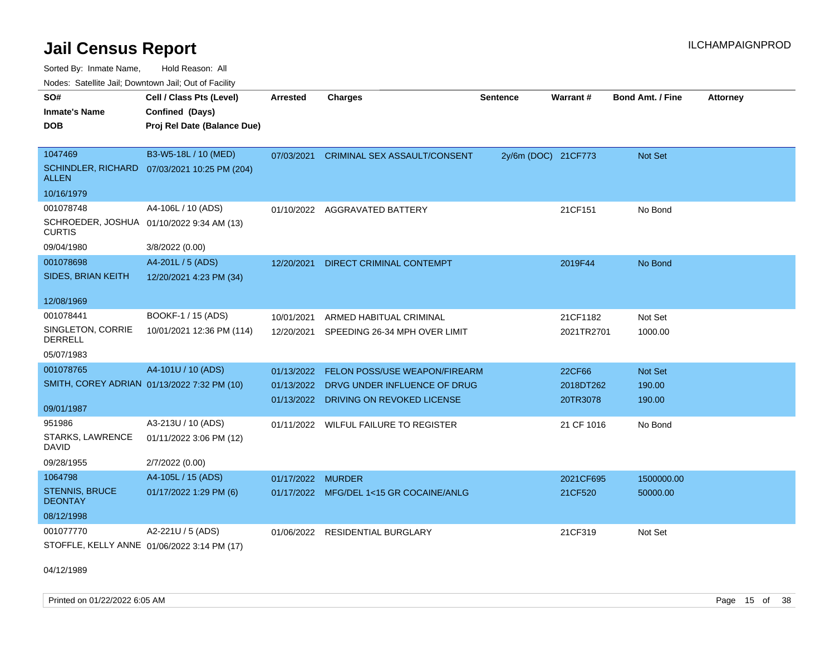Sorted By: Inmate Name, Hold Reason: All Nodes: Satellite Jail; Downtown Jail; Out of Facility

| SO#                                     | Cell / Class Pts (Level)                     | Arrested   | <b>Charges</b>                           | <b>Sentence</b>     | <b>Warrant#</b> | <b>Bond Amt. / Fine</b> | <b>Attorney</b> |
|-----------------------------------------|----------------------------------------------|------------|------------------------------------------|---------------------|-----------------|-------------------------|-----------------|
| <b>Inmate's Name</b>                    | Confined (Days)                              |            |                                          |                     |                 |                         |                 |
| <b>DOB</b>                              | Proj Rel Date (Balance Due)                  |            |                                          |                     |                 |                         |                 |
|                                         |                                              |            |                                          |                     |                 |                         |                 |
| 1047469                                 | B3-W5-18L / 10 (MED)                         | 07/03/2021 | <b>CRIMINAL SEX ASSAULT/CONSENT</b>      | 2y/6m (DOC) 21CF773 |                 | Not Set                 |                 |
| <b>ALLEN</b>                            | SCHINDLER, RICHARD 07/03/2021 10:25 PM (204) |            |                                          |                     |                 |                         |                 |
| 10/16/1979                              |                                              |            |                                          |                     |                 |                         |                 |
| 001078748                               | A4-106L / 10 (ADS)                           | 01/10/2022 | <b>AGGRAVATED BATTERY</b>                |                     | 21CF151         | No Bond                 |                 |
| <b>CURTIS</b>                           | SCHROEDER, JOSHUA 01/10/2022 9:34 AM (13)    |            |                                          |                     |                 |                         |                 |
| 09/04/1980                              | 3/8/2022 (0.00)                              |            |                                          |                     |                 |                         |                 |
| 001078698                               | A4-201L / 5 (ADS)                            | 12/20/2021 | DIRECT CRIMINAL CONTEMPT                 |                     | 2019F44         | No Bond                 |                 |
| SIDES, BRIAN KEITH                      | 12/20/2021 4:23 PM (34)                      |            |                                          |                     |                 |                         |                 |
| 12/08/1969                              |                                              |            |                                          |                     |                 |                         |                 |
| 001078441                               | BOOKF-1 / 15 (ADS)                           | 10/01/2021 | ARMED HABITUAL CRIMINAL                  |                     | 21CF1182        | Not Set                 |                 |
| SINGLETON, CORRIE<br><b>DERRELL</b>     | 10/01/2021 12:36 PM (114)                    |            | 12/20/2021 SPEEDING 26-34 MPH OVER LIMIT |                     | 2021TR2701      | 1000.00                 |                 |
| 05/07/1983                              |                                              |            |                                          |                     |                 |                         |                 |
| 001078765                               | A4-101U / 10 (ADS)                           | 01/13/2022 | FELON POSS/USE WEAPON/FIREARM            |                     | 22CF66          | Not Set                 |                 |
|                                         | SMITH, COREY ADRIAN 01/13/2022 7:32 PM (10)  |            | 01/13/2022 DRVG UNDER INFLUENCE OF DRUG  |                     | 2018DT262       | 190.00                  |                 |
|                                         |                                              |            | 01/13/2022 DRIVING ON REVOKED LICENSE    |                     | 20TR3078        | 190.00                  |                 |
| 09/01/1987                              |                                              |            |                                          |                     |                 |                         |                 |
| 951986                                  | A3-213U / 10 (ADS)                           |            | 01/11/2022 WILFUL FAILURE TO REGISTER    |                     | 21 CF 1016      | No Bond                 |                 |
| <b>STARKS, LAWRENCE</b><br><b>DAVID</b> | 01/11/2022 3:06 PM (12)                      |            |                                          |                     |                 |                         |                 |
| 09/28/1955                              | 2/7/2022 (0.00)                              |            |                                          |                     |                 |                         |                 |
| 1064798                                 | A4-105L / 15 (ADS)                           | 01/17/2022 | <b>MURDER</b>                            |                     | 2021CF695       | 1500000.00              |                 |
| <b>STENNIS, BRUCE</b><br><b>DEONTAY</b> | 01/17/2022 1:29 PM (6)                       |            | 01/17/2022 MFG/DEL 1<15 GR COCAINE/ANLG  |                     | 21CF520         | 50000.00                |                 |
| 08/12/1998                              |                                              |            |                                          |                     |                 |                         |                 |
| 001077770                               | A2-221U / 5 (ADS)                            | 01/06/2022 | <b>RESIDENTIAL BURGLARY</b>              |                     | 21CF319         | Not Set                 |                 |
|                                         | STOFFLE, KELLY ANNE 01/06/2022 3:14 PM (17)  |            |                                          |                     |                 |                         |                 |

04/12/1989

Printed on 01/22/2022 6:05 AM Page 15 of 38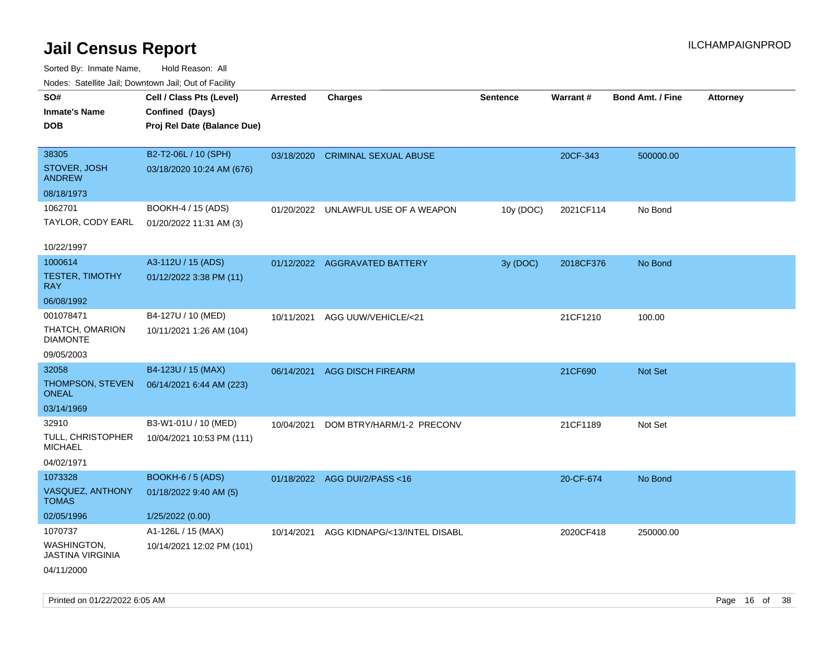| Nudes. Satellite Jali, Downtown Jali, Out of Facility |                             |            |                                     |                 |           |                         |                 |
|-------------------------------------------------------|-----------------------------|------------|-------------------------------------|-----------------|-----------|-------------------------|-----------------|
| SO#                                                   | Cell / Class Pts (Level)    | Arrested   | <b>Charges</b>                      | <b>Sentence</b> | Warrant#  | <b>Bond Amt. / Fine</b> | <b>Attorney</b> |
| Inmate's Name                                         | Confined (Days)             |            |                                     |                 |           |                         |                 |
| <b>DOB</b>                                            | Proj Rel Date (Balance Due) |            |                                     |                 |           |                         |                 |
|                                                       |                             |            |                                     |                 |           |                         |                 |
| 38305                                                 | B2-T2-06L / 10 (SPH)        |            | 03/18/2020 CRIMINAL SEXUAL ABUSE    |                 | 20CF-343  | 500000.00               |                 |
| STOVER, JOSH<br><b>ANDREW</b>                         | 03/18/2020 10:24 AM (676)   |            |                                     |                 |           |                         |                 |
| 08/18/1973                                            |                             |            |                                     |                 |           |                         |                 |
| 1062701                                               | BOOKH-4 / 15 (ADS)          |            | 01/20/2022 UNLAWFUL USE OF A WEAPON | 10y (DOC)       | 2021CF114 | No Bond                 |                 |
| TAYLOR, CODY EARL                                     | 01/20/2022 11:31 AM (3)     |            |                                     |                 |           |                         |                 |
| 10/22/1997                                            |                             |            |                                     |                 |           |                         |                 |
| 1000614                                               | A3-112U / 15 (ADS)          |            | 01/12/2022 AGGRAVATED BATTERY       | 3y (DOC)        | 2018CF376 | No Bond                 |                 |
| <b>TESTER, TIMOTHY</b><br>RAY.                        | 01/12/2022 3:38 PM (11)     |            |                                     |                 |           |                         |                 |
| 06/08/1992                                            |                             |            |                                     |                 |           |                         |                 |
| 001078471                                             | B4-127U / 10 (MED)          | 10/11/2021 | AGG UUW/VEHICLE/<21                 |                 | 21CF1210  | 100.00                  |                 |
| THATCH, OMARION<br>DIAMONTE                           | 10/11/2021 1:26 AM (104)    |            |                                     |                 |           |                         |                 |
| 09/05/2003                                            |                             |            |                                     |                 |           |                         |                 |
| 32058                                                 | B4-123U / 15 (MAX)          |            | 06/14/2021 AGG DISCH FIREARM        |                 | 21CF690   | <b>Not Set</b>          |                 |
| THOMPSON, STEVEN<br>ONEAL                             | 06/14/2021 6:44 AM (223)    |            |                                     |                 |           |                         |                 |
| 03/14/1969                                            |                             |            |                                     |                 |           |                         |                 |
| 32910                                                 | B3-W1-01U / 10 (MED)        | 10/04/2021 | DOM BTRY/HARM/1-2 PRECONV           |                 | 21CF1189  | Not Set                 |                 |
| TULL, CHRISTOPHER<br>MICHAEL                          | 10/04/2021 10:53 PM (111)   |            |                                     |                 |           |                         |                 |
| 04/02/1971                                            |                             |            |                                     |                 |           |                         |                 |
| 1073328                                               | <b>BOOKH-6 / 5 (ADS)</b>    |            | 01/18/2022 AGG DUI/2/PASS<16        |                 | 20-CF-674 | No Bond                 |                 |
| VASQUEZ, ANTHONY<br>TOMAS                             | 01/18/2022 9:40 AM (5)      |            |                                     |                 |           |                         |                 |
| 02/05/1996                                            | 1/25/2022 (0.00)            |            |                                     |                 |           |                         |                 |
| 1070737                                               | A1-126L / 15 (MAX)          | 10/14/2021 | AGG KIDNAPG/<13/INTEL DISABL        |                 | 2020CF418 | 250000.00               |                 |
| WASHINGTON,<br>JASTINA VIRGINIA                       | 10/14/2021 12:02 PM (101)   |            |                                     |                 |           |                         |                 |
| 04/11/2000                                            |                             |            |                                     |                 |           |                         |                 |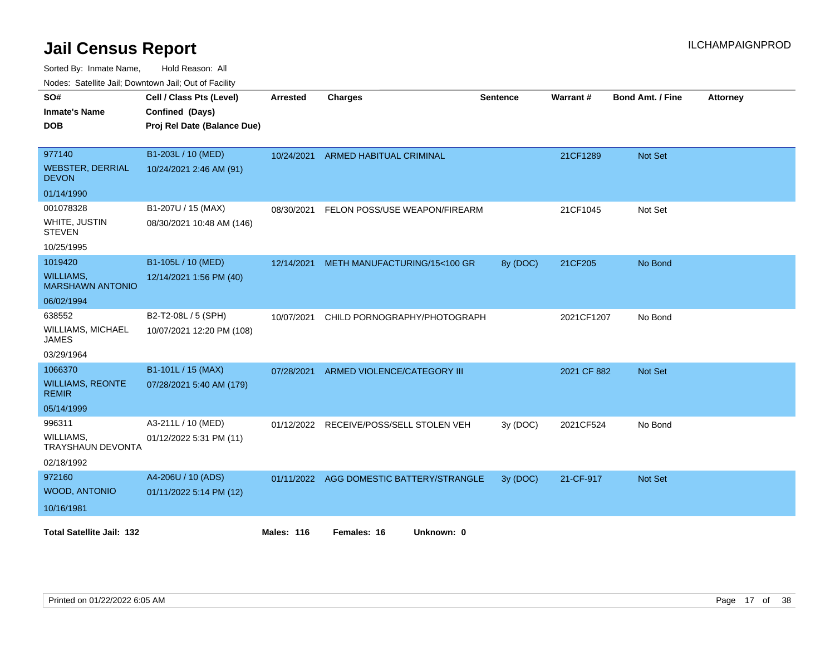Sorted By: Inmate Name, Hold Reason: All

Nodes: Satellite Jail; Downtown Jail; Out of Facility

| SO#<br><b>Inmate's Name</b><br><b>DOB</b>   | Cell / Class Pts (Level)<br>Confined (Days)<br>Proj Rel Date (Balance Due) | <b>Arrested</b>   | <b>Charges</b>                           | <b>Sentence</b> | Warrant#    | <b>Bond Amt. / Fine</b> | <b>Attorney</b> |
|---------------------------------------------|----------------------------------------------------------------------------|-------------------|------------------------------------------|-----------------|-------------|-------------------------|-----------------|
| 977140                                      | B1-203L / 10 (MED)                                                         | 10/24/2021        | <b>ARMED HABITUAL CRIMINAL</b>           |                 | 21CF1289    | <b>Not Set</b>          |                 |
| <b>WEBSTER, DERRIAL</b><br><b>DEVON</b>     | 10/24/2021 2:46 AM (91)                                                    |                   |                                          |                 |             |                         |                 |
| 01/14/1990                                  |                                                                            |                   |                                          |                 |             |                         |                 |
| 001078328                                   | B1-207U / 15 (MAX)                                                         | 08/30/2021        | FELON POSS/USE WEAPON/FIREARM            |                 | 21CF1045    | Not Set                 |                 |
| WHITE, JUSTIN<br><b>STEVEN</b>              | 08/30/2021 10:48 AM (146)                                                  |                   |                                          |                 |             |                         |                 |
| 10/25/1995                                  |                                                                            |                   |                                          |                 |             |                         |                 |
| 1019420                                     | B1-105L / 10 (MED)                                                         | 12/14/2021        | METH MANUFACTURING/15<100 GR             | 8y (DOC)        | 21CF205     | No Bond                 |                 |
| <b>WILLIAMS,</b><br><b>MARSHAWN ANTONIO</b> | 12/14/2021 1:56 PM (40)                                                    |                   |                                          |                 |             |                         |                 |
| 06/02/1994                                  |                                                                            |                   |                                          |                 |             |                         |                 |
| 638552                                      | B2-T2-08L / 5 (SPH)                                                        | 10/07/2021        | CHILD PORNOGRAPHY/PHOTOGRAPH             |                 | 2021CF1207  | No Bond                 |                 |
| <b>WILLIAMS, MICHAEL</b><br><b>JAMES</b>    | 10/07/2021 12:20 PM (108)                                                  |                   |                                          |                 |             |                         |                 |
| 03/29/1964                                  |                                                                            |                   |                                          |                 |             |                         |                 |
| 1066370                                     | B1-101L / 15 (MAX)                                                         | 07/28/2021        | ARMED VIOLENCE/CATEGORY III              |                 | 2021 CF 882 | Not Set                 |                 |
| <b>WILLIAMS, REONTE</b><br><b>REMIR</b>     | 07/28/2021 5:40 AM (179)                                                   |                   |                                          |                 |             |                         |                 |
| 05/14/1999                                  |                                                                            |                   |                                          |                 |             |                         |                 |
| 996311                                      | A3-211L / 10 (MED)                                                         | 01/12/2022        | RECEIVE/POSS/SELL STOLEN VEH             | 3y (DOC)        | 2021CF524   | No Bond                 |                 |
| WILLIAMS,<br>TRAYSHAUN DEVONTA              | 01/12/2022 5:31 PM (11)                                                    |                   |                                          |                 |             |                         |                 |
| 02/18/1992                                  |                                                                            |                   |                                          |                 |             |                         |                 |
| 972160                                      | A4-206U / 10 (ADS)                                                         |                   | 01/11/2022 AGG DOMESTIC BATTERY/STRANGLE | 3y (DOC)        | 21-CF-917   | Not Set                 |                 |
| WOOD, ANTONIO                               | 01/11/2022 5:14 PM (12)                                                    |                   |                                          |                 |             |                         |                 |
| 10/16/1981                                  |                                                                            |                   |                                          |                 |             |                         |                 |
| <b>Total Satellite Jail: 132</b>            |                                                                            | <b>Males: 116</b> | Females: 16<br>Unknown: 0                |                 |             |                         |                 |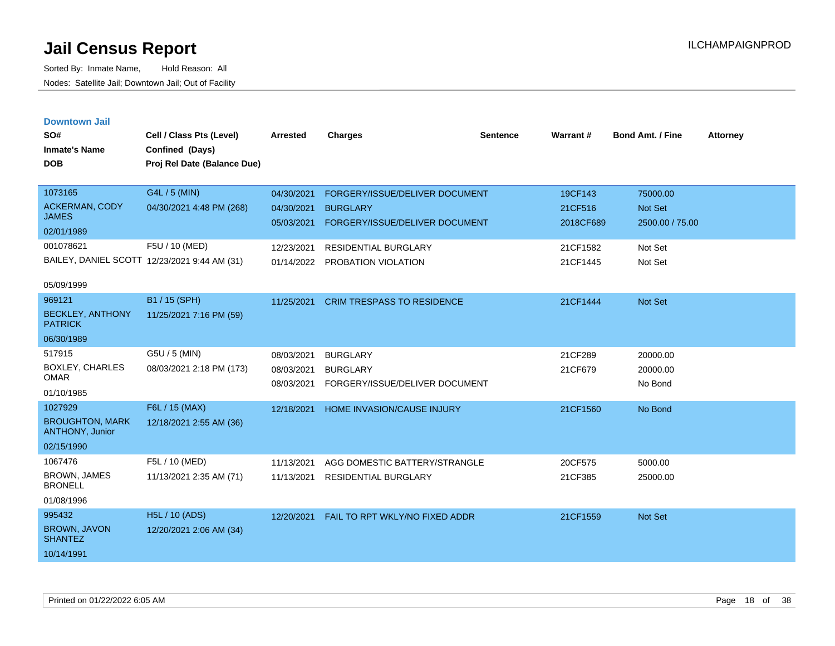| <b>Downtown Jail</b> |  |
|----------------------|--|
|                      |  |
|                      |  |

| SO#<br><b>Inmate's Name</b><br><b>DOB</b> | Cell / Class Pts (Level)<br>Confined (Days)<br>Proj Rel Date (Balance Due) | <b>Arrested</b> | <b>Charges</b>                    | <b>Sentence</b> | Warrant#  | Bond Amt. / Fine | <b>Attorney</b> |
|-------------------------------------------|----------------------------------------------------------------------------|-----------------|-----------------------------------|-----------------|-----------|------------------|-----------------|
| 1073165                                   | G4L / 5 (MIN)                                                              | 04/30/2021      | FORGERY/ISSUE/DELIVER DOCUMENT    |                 | 19CF143   | 75000.00         |                 |
| <b>ACKERMAN, CODY</b><br><b>JAMES</b>     | 04/30/2021 4:48 PM (268)                                                   | 04/30/2021      | <b>BURGLARY</b>                   |                 | 21CF516   | <b>Not Set</b>   |                 |
| 02/01/1989                                |                                                                            | 05/03/2021      | FORGERY/ISSUE/DELIVER DOCUMENT    |                 | 2018CF689 | 2500.00 / 75.00  |                 |
| 001078621                                 | F5U / 10 (MED)                                                             | 12/23/2021      | <b>RESIDENTIAL BURGLARY</b>       |                 | 21CF1582  | Not Set          |                 |
|                                           | BAILEY, DANIEL SCOTT 12/23/2021 9:44 AM (31)                               |                 | 01/14/2022 PROBATION VIOLATION    |                 | 21CF1445  | Not Set          |                 |
| 05/09/1999                                |                                                                            |                 |                                   |                 |           |                  |                 |
| 969121                                    | B1 / 15 (SPH)                                                              | 11/25/2021      | <b>CRIM TRESPASS TO RESIDENCE</b> |                 | 21CF1444  | Not Set          |                 |
| <b>BECKLEY, ANTHONY</b><br><b>PATRICK</b> | 11/25/2021 7:16 PM (59)                                                    |                 |                                   |                 |           |                  |                 |
| 06/30/1989                                |                                                                            |                 |                                   |                 |           |                  |                 |
| 517915                                    | G5U / 5 (MIN)                                                              | 08/03/2021      | <b>BURGLARY</b>                   |                 | 21CF289   | 20000.00         |                 |
| <b>BOXLEY, CHARLES</b><br><b>OMAR</b>     | 08/03/2021 2:18 PM (173)                                                   | 08/03/2021      | <b>BURGLARY</b>                   |                 | 21CF679   | 20000.00         |                 |
| 01/10/1985                                |                                                                            | 08/03/2021      | FORGERY/ISSUE/DELIVER DOCUMENT    |                 |           | No Bond          |                 |
| 1027929                                   | F6L / 15 (MAX)                                                             | 12/18/2021      | HOME INVASION/CAUSE INJURY        |                 | 21CF1560  | No Bond          |                 |
| <b>BROUGHTON, MARK</b><br>ANTHONY, Junior | 12/18/2021 2:55 AM (36)                                                    |                 |                                   |                 |           |                  |                 |
| 02/15/1990                                |                                                                            |                 |                                   |                 |           |                  |                 |
| 1067476                                   | F5L / 10 (MED)                                                             | 11/13/2021      | AGG DOMESTIC BATTERY/STRANGLE     |                 | 20CF575   | 5000.00          |                 |
| BROWN, JAMES<br><b>BRONELL</b>            | 11/13/2021 2:35 AM (71)                                                    | 11/13/2021      | <b>RESIDENTIAL BURGLARY</b>       |                 | 21CF385   | 25000.00         |                 |
| 01/08/1996                                |                                                                            |                 |                                   |                 |           |                  |                 |
| 995432                                    | <b>H5L / 10 (ADS)</b>                                                      | 12/20/2021      | FAIL TO RPT WKLY/NO FIXED ADDR    |                 | 21CF1559  | <b>Not Set</b>   |                 |
| BROWN, JAVON<br><b>SHANTEZ</b>            | 12/20/2021 2:06 AM (34)                                                    |                 |                                   |                 |           |                  |                 |
| 10/14/1991                                |                                                                            |                 |                                   |                 |           |                  |                 |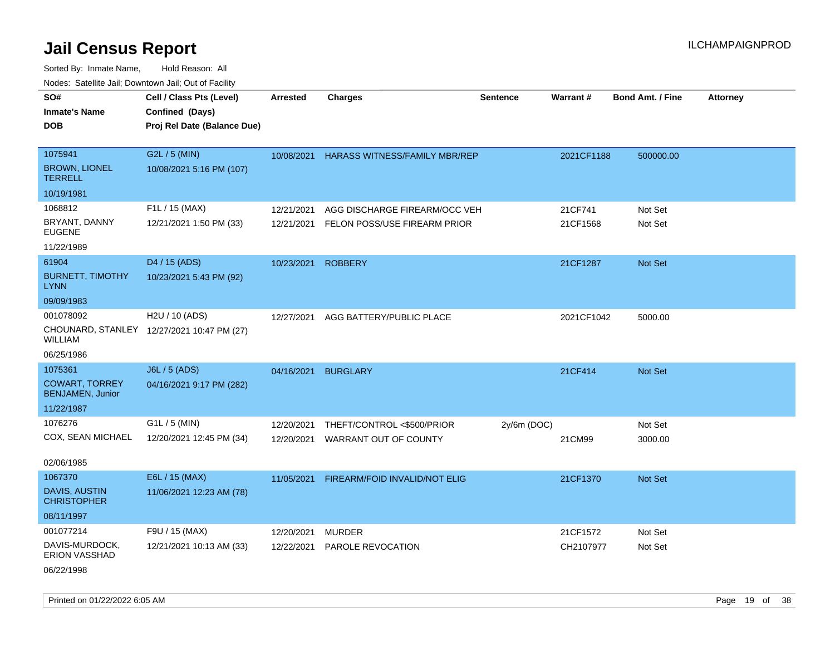Sorted By: Inmate Name, Hold Reason: All Nodes: Satellite Jail; Downtown Jail; Out of Facility

| roaco. Catolino cali, Domntonn cali, Out of Facility |                                                                            |                 |                                      |                 |            |                         |                 |
|------------------------------------------------------|----------------------------------------------------------------------------|-----------------|--------------------------------------|-----------------|------------|-------------------------|-----------------|
| SO#<br><b>Inmate's Name</b><br><b>DOB</b>            | Cell / Class Pts (Level)<br>Confined (Days)<br>Proj Rel Date (Balance Due) | <b>Arrested</b> | <b>Charges</b>                       | <b>Sentence</b> | Warrant#   | <b>Bond Amt. / Fine</b> | <b>Attorney</b> |
| 1075941                                              | G2L / 5 (MIN)                                                              | 10/08/2021      | <b>HARASS WITNESS/FAMILY MBR/REP</b> |                 | 2021CF1188 | 500000.00               |                 |
| <b>BROWN, LIONEL</b><br><b>TERRELL</b>               | 10/08/2021 5:16 PM (107)                                                   |                 |                                      |                 |            |                         |                 |
| 10/19/1981                                           |                                                                            |                 |                                      |                 |            |                         |                 |
| 1068812                                              | F1L / 15 (MAX)                                                             | 12/21/2021      | AGG DISCHARGE FIREARM/OCC VEH        |                 | 21CF741    | Not Set                 |                 |
| BRYANT, DANNY<br><b>EUGENE</b>                       | 12/21/2021 1:50 PM (33)                                                    | 12/21/2021      | FELON POSS/USE FIREARM PRIOR         |                 | 21CF1568   | Not Set                 |                 |
| 11/22/1989                                           |                                                                            |                 |                                      |                 |            |                         |                 |
| 61904                                                | D4 / 15 (ADS)                                                              | 10/23/2021      | <b>ROBBERY</b>                       |                 | 21CF1287   | <b>Not Set</b>          |                 |
| <b>BURNETT, TIMOTHY</b><br><b>LYNN</b>               | 10/23/2021 5:43 PM (92)                                                    |                 |                                      |                 |            |                         |                 |
| 09/09/1983                                           |                                                                            |                 |                                      |                 |            |                         |                 |
| 001078092                                            | H2U / 10 (ADS)                                                             | 12/27/2021      | AGG BATTERY/PUBLIC PLACE             |                 | 2021CF1042 | 5000.00                 |                 |
| WILLIAM                                              | CHOUNARD, STANLEY 12/27/2021 10:47 PM (27)                                 |                 |                                      |                 |            |                         |                 |
| 06/25/1986                                           |                                                                            |                 |                                      |                 |            |                         |                 |
| 1075361                                              | <b>J6L / 5 (ADS)</b>                                                       | 04/16/2021      | <b>BURGLARY</b>                      |                 | 21CF414    | <b>Not Set</b>          |                 |
| <b>COWART, TORREY</b><br><b>BENJAMEN, Junior</b>     | 04/16/2021 9:17 PM (282)                                                   |                 |                                      |                 |            |                         |                 |
| 11/22/1987                                           |                                                                            |                 |                                      |                 |            |                         |                 |
| 1076276                                              | G1L / 5 (MIN)                                                              | 12/20/2021      | THEFT/CONTROL <\$500/PRIOR           | $2y/6m$ (DOC)   |            | Not Set                 |                 |
| COX, SEAN MICHAEL                                    | 12/20/2021 12:45 PM (34)                                                   | 12/20/2021      | WARRANT OUT OF COUNTY                |                 | 21CM99     | 3000.00                 |                 |
| 02/06/1985                                           |                                                                            |                 |                                      |                 |            |                         |                 |
| 1067370                                              | E6L / 15 (MAX)                                                             | 11/05/2021      | FIREARM/FOID INVALID/NOT ELIG        |                 | 21CF1370   | Not Set                 |                 |
| DAVIS, AUSTIN<br><b>CHRISTOPHER</b>                  | 11/06/2021 12:23 AM (78)                                                   |                 |                                      |                 |            |                         |                 |
| 08/11/1997                                           |                                                                            |                 |                                      |                 |            |                         |                 |
| 001077214                                            | F9U / 15 (MAX)                                                             | 12/20/2021      | <b>MURDER</b>                        |                 | 21CF1572   | Not Set                 |                 |
| DAVIS-MURDOCK,<br><b>ERION VASSHAD</b>               | 12/21/2021 10:13 AM (33)                                                   | 12/22/2021      | PAROLE REVOCATION                    |                 | CH2107977  | Not Set                 |                 |

06/22/1998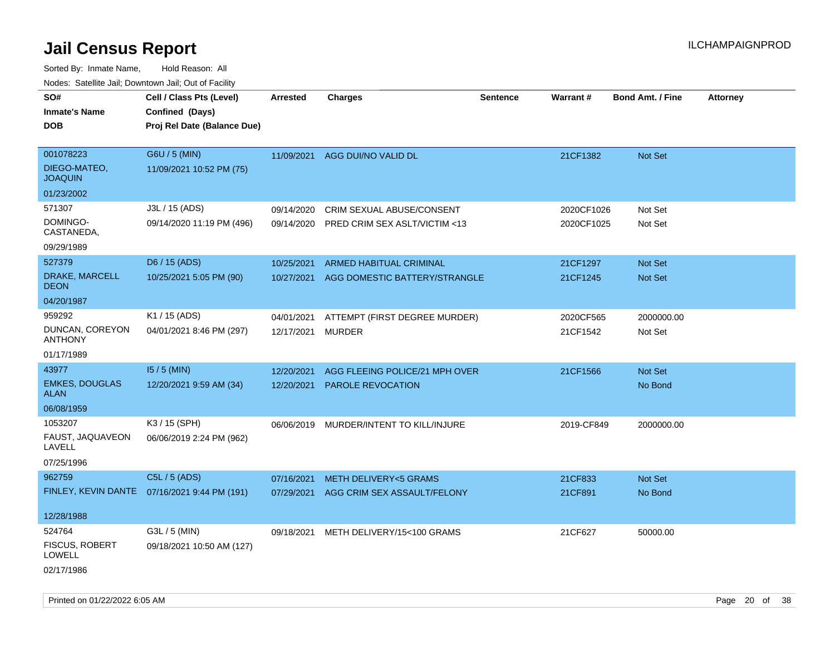| roaco. Catolino dall, Downtown dall, Out of Fability |                                              |                   |                                         |                 |            |                         |                 |
|------------------------------------------------------|----------------------------------------------|-------------------|-----------------------------------------|-----------------|------------|-------------------------|-----------------|
| SO#                                                  | Cell / Class Pts (Level)                     | Arrested          | <b>Charges</b>                          | <b>Sentence</b> | Warrant#   | <b>Bond Amt. / Fine</b> | <b>Attorney</b> |
| <b>Inmate's Name</b>                                 | Confined (Days)                              |                   |                                         |                 |            |                         |                 |
| <b>DOB</b>                                           | Proj Rel Date (Balance Due)                  |                   |                                         |                 |            |                         |                 |
|                                                      |                                              |                   |                                         |                 |            |                         |                 |
| 001078223                                            | G6U / 5 (MIN)                                |                   | 11/09/2021 AGG DUI/NO VALID DL          |                 | 21CF1382   | <b>Not Set</b>          |                 |
| DIEGO-MATEO,<br><b>JOAQUIN</b>                       | 11/09/2021 10:52 PM (75)                     |                   |                                         |                 |            |                         |                 |
| 01/23/2002                                           |                                              |                   |                                         |                 |            |                         |                 |
| 571307                                               | J3L / 15 (ADS)                               | 09/14/2020        | CRIM SEXUAL ABUSE/CONSENT               |                 | 2020CF1026 | Not Set                 |                 |
| DOMINGO-<br>CASTANEDA,                               | 09/14/2020 11:19 PM (496)                    | 09/14/2020        | PRED CRIM SEX ASLT/VICTIM <13           |                 | 2020CF1025 | Not Set                 |                 |
| 09/29/1989                                           |                                              |                   |                                         |                 |            |                         |                 |
| 527379                                               | D6 / 15 (ADS)                                | 10/25/2021        | ARMED HABITUAL CRIMINAL                 |                 | 21CF1297   | Not Set                 |                 |
| DRAKE, MARCELL<br><b>DEON</b>                        | 10/25/2021 5:05 PM (90)                      | 10/27/2021        | AGG DOMESTIC BATTERY/STRANGLE           |                 | 21CF1245   | Not Set                 |                 |
| 04/20/1987                                           |                                              |                   |                                         |                 |            |                         |                 |
| 959292                                               | K1 / 15 (ADS)                                | 04/01/2021        | ATTEMPT (FIRST DEGREE MURDER)           |                 | 2020CF565  | 2000000.00              |                 |
| DUNCAN, COREYON<br><b>ANTHONY</b>                    | 04/01/2021 8:46 PM (297)                     | 12/17/2021 MURDER |                                         |                 | 21CF1542   | Not Set                 |                 |
| 01/17/1989                                           |                                              |                   |                                         |                 |            |                         |                 |
| 43977                                                | $15/5$ (MIN)                                 | 12/20/2021        | AGG FLEEING POLICE/21 MPH OVER          |                 | 21CF1566   | <b>Not Set</b>          |                 |
| <b>EMKES, DOUGLAS</b><br>ALAN                        | 12/20/2021 9:59 AM (34)                      | 12/20/2021        | PAROLE REVOCATION                       |                 |            | No Bond                 |                 |
| 06/08/1959                                           |                                              |                   |                                         |                 |            |                         |                 |
| 1053207                                              | K3 / 15 (SPH)                                |                   | 06/06/2019 MURDER/INTENT TO KILL/INJURE |                 | 2019-CF849 | 2000000.00              |                 |
| FAUST, JAQUAVEON<br>LAVELL                           | 06/06/2019 2:24 PM (962)                     |                   |                                         |                 |            |                         |                 |
| 07/25/1996                                           |                                              |                   |                                         |                 |            |                         |                 |
| 962759                                               | C5L / 5 (ADS)                                | 07/16/2021        | <b>METH DELIVERY&lt;5 GRAMS</b>         |                 | 21CF833    | Not Set                 |                 |
|                                                      | FINLEY, KEVIN DANTE 07/16/2021 9:44 PM (191) |                   | 07/29/2021 AGG CRIM SEX ASSAULT/FELONY  |                 | 21CF891    | No Bond                 |                 |
|                                                      |                                              |                   |                                         |                 |            |                         |                 |
| 12/28/1988                                           |                                              |                   |                                         |                 |            |                         |                 |
| 524764                                               | G3L / 5 (MIN)                                |                   | 09/18/2021 METH DELIVERY/15<100 GRAMS   |                 | 21CF627    | 50000.00                |                 |
| <b>FISCUS, ROBERT</b><br><b>LOWELL</b>               | 09/18/2021 10:50 AM (127)                    |                   |                                         |                 |            |                         |                 |
| 02/17/1986                                           |                                              |                   |                                         |                 |            |                         |                 |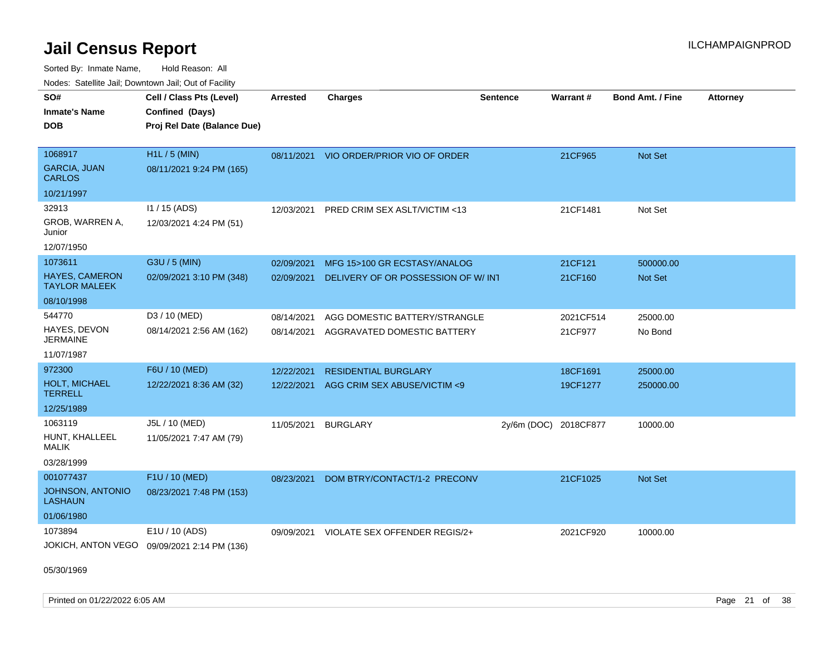Sorted By: Inmate Name, Hold Reason: All Nodes: Satellite Jail; Downtown Jail; Out of Facility

| rouco. Calcillo Jali, Downtown Jali, Out of Facility |                                                                            |                 |                                          |                       |           |                         |                 |
|------------------------------------------------------|----------------------------------------------------------------------------|-----------------|------------------------------------------|-----------------------|-----------|-------------------------|-----------------|
| SO#<br>Inmate's Name<br>DOB                          | Cell / Class Pts (Level)<br>Confined (Days)<br>Proj Rel Date (Balance Due) | <b>Arrested</b> | <b>Charges</b>                           | <b>Sentence</b>       | Warrant#  | <b>Bond Amt. / Fine</b> | <b>Attorney</b> |
|                                                      |                                                                            |                 |                                          |                       |           |                         |                 |
| 1068917                                              | $H1L / 5$ (MIN)                                                            |                 | 08/11/2021 VIO ORDER/PRIOR VIO OF ORDER  |                       | 21CF965   | <b>Not Set</b>          |                 |
| <b>GARCIA, JUAN</b><br><b>CARLOS</b>                 | 08/11/2021 9:24 PM (165)                                                   |                 |                                          |                       |           |                         |                 |
| 10/21/1997                                           |                                                                            |                 |                                          |                       |           |                         |                 |
| 32913                                                | $11 / 15$ (ADS)                                                            |                 | 12/03/2021 PRED CRIM SEX ASLT/VICTIM <13 |                       | 21CF1481  | Not Set                 |                 |
| GROB, WARREN A,<br>Junior                            | 12/03/2021 4:24 PM (51)                                                    |                 |                                          |                       |           |                         |                 |
| 12/07/1950                                           |                                                                            |                 |                                          |                       |           |                         |                 |
| 1073611                                              | G3U / 5 (MIN)                                                              | 02/09/2021      | MFG 15>100 GR ECSTASY/ANALOG             |                       | 21CF121   | 500000.00               |                 |
| <b>HAYES, CAMERON</b><br><b>TAYLOR MALEEK</b>        | 02/09/2021 3:10 PM (348)                                                   | 02/09/2021      | DELIVERY OF OR POSSESSION OF W/INT       |                       | 21CF160   | <b>Not Set</b>          |                 |
| 08/10/1998                                           |                                                                            |                 |                                          |                       |           |                         |                 |
| 544770                                               | D3 / 10 (MED)                                                              | 08/14/2021      | AGG DOMESTIC BATTERY/STRANGLE            |                       | 2021CF514 | 25000.00                |                 |
| HAYES, DEVON<br>JERMAINE                             | 08/14/2021 2:56 AM (162)                                                   | 08/14/2021      | AGGRAVATED DOMESTIC BATTERY              |                       | 21CF977   | No Bond                 |                 |
| 11/07/1987                                           |                                                                            |                 |                                          |                       |           |                         |                 |
| 972300                                               | F6U / 10 (MED)                                                             | 12/22/2021      | <b>RESIDENTIAL BURGLARY</b>              |                       | 18CF1691  | 25000.00                |                 |
| <b>HOLT, MICHAEL</b><br>TERRELL                      | 12/22/2021 8:36 AM (32)                                                    | 12/22/2021      | AGG CRIM SEX ABUSE/VICTIM <9             |                       | 19CF1277  | 250000.00               |                 |
| 12/25/1989                                           |                                                                            |                 |                                          |                       |           |                         |                 |
| 1063119                                              | J5L / 10 (MED)                                                             | 11/05/2021      | <b>BURGLARY</b>                          | 2y/6m (DOC) 2018CF877 |           | 10000.00                |                 |
| HUNT, KHALLEEL<br>MALIK                              | 11/05/2021 7:47 AM (79)                                                    |                 |                                          |                       |           |                         |                 |
| 03/28/1999                                           |                                                                            |                 |                                          |                       |           |                         |                 |
| 001077437                                            | F1U / 10 (MED)                                                             | 08/23/2021      | DOM BTRY/CONTACT/1-2 PRECONV             |                       | 21CF1025  | <b>Not Set</b>          |                 |
| JOHNSON, ANTONIO<br>LASHAUN                          | 08/23/2021 7:48 PM (153)                                                   |                 |                                          |                       |           |                         |                 |
| 01/06/1980                                           |                                                                            |                 |                                          |                       |           |                         |                 |
| 1073894                                              | E1U / 10 (ADS)                                                             | 09/09/2021      | VIOLATE SEX OFFENDER REGIS/2+            |                       | 2021CF920 | 10000.00                |                 |
|                                                      | JOKICH, ANTON VEGO 09/09/2021 2:14 PM (136)                                |                 |                                          |                       |           |                         |                 |

05/30/1969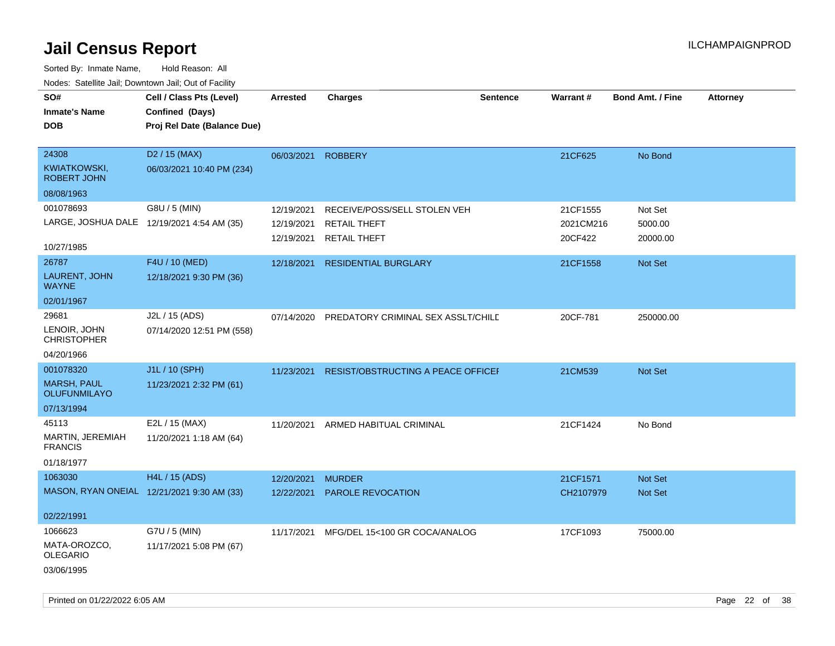| SO#<br><b>Inmate's Name</b><br><b>DOB</b>                            | Cell / Class Pts (Level)<br>Confined (Days)<br>Proj Rel Date (Balance Due) | <b>Arrested</b>                        | <b>Charges</b>                                                             | <b>Sentence</b> | <b>Warrant#</b>                  | Bond Amt. / Fine               | <b>Attorney</b> |
|----------------------------------------------------------------------|----------------------------------------------------------------------------|----------------------------------------|----------------------------------------------------------------------------|-----------------|----------------------------------|--------------------------------|-----------------|
| 24308<br>KWIATKOWSKI,<br>ROBERT JOHN<br>08/08/1963                   | D <sub>2</sub> / 15 (MAX)<br>06/03/2021 10:40 PM (234)                     | 06/03/2021                             | <b>ROBBERY</b>                                                             |                 | 21CF625                          | No Bond                        |                 |
| 001078693<br>10/27/1985                                              | G8U / 5 (MIN)<br>LARGE, JOSHUA DALE 12/19/2021 4:54 AM (35)                | 12/19/2021<br>12/19/2021<br>12/19/2021 | RECEIVE/POSS/SELL STOLEN VEH<br><b>RETAIL THEFT</b><br><b>RETAIL THEFT</b> |                 | 21CF1555<br>2021CM216<br>20CF422 | Not Set<br>5000.00<br>20000.00 |                 |
| 26787<br>LAURENT, JOHN<br><b>WAYNE</b><br>02/01/1967                 | F4U / 10 (MED)<br>12/18/2021 9:30 PM (36)                                  | 12/18/2021                             | <b>RESIDENTIAL BURGLARY</b>                                                |                 | 21CF1558                         | Not Set                        |                 |
| 29681<br>LENOIR, JOHN<br><b>CHRISTOPHER</b><br>04/20/1966            | J2L / 15 (ADS)<br>07/14/2020 12:51 PM (558)                                | 07/14/2020                             | PREDATORY CRIMINAL SEX ASSLT/CHILD                                         |                 | 20CF-781                         | 250000.00                      |                 |
| 001078320<br><b>MARSH, PAUL</b><br><b>OLUFUNMILAYO</b><br>07/13/1994 | J1L / 10 (SPH)<br>11/23/2021 2:32 PM (61)                                  | 11/23/2021                             | <b>RESIST/OBSTRUCTING A PEACE OFFICEF</b>                                  |                 | 21CM539                          | Not Set                        |                 |
| 45113<br>MARTIN, JEREMIAH<br><b>FRANCIS</b><br>01/18/1977            | E2L / 15 (MAX)<br>11/20/2021 1:18 AM (64)                                  | 11/20/2021                             | ARMED HABITUAL CRIMINAL                                                    |                 | 21CF1424                         | No Bond                        |                 |
| 1063030<br>02/22/1991                                                | H4L / 15 (ADS)<br>MASON, RYAN ONEIAL 12/21/2021 9:30 AM (33)               | 12/20/2021<br>12/22/2021               | <b>MURDER</b><br>PAROLE REVOCATION                                         |                 | 21CF1571<br>CH2107979            | Not Set<br>Not Set             |                 |
| 1066623<br>MATA-OROZCO,<br><b>OLEGARIO</b><br>03/06/1995             | G7U / 5 (MIN)<br>11/17/2021 5:08 PM (67)                                   |                                        | 11/17/2021 MFG/DEL 15<100 GR COCA/ANALOG                                   |                 | 17CF1093                         | 75000.00                       |                 |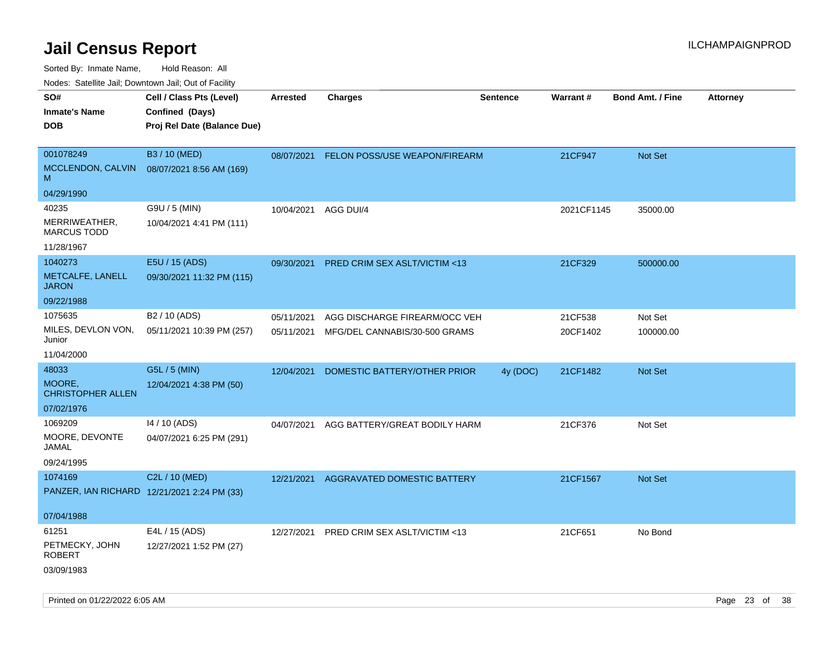Sorted By: Inmate Name, Hold Reason: All

Nodes: Satellite Jail; Downtown Jail; Out of Facility

| SO#<br><b>Inmate's Name</b><br><b>DOB</b>              | Cell / Class Pts (Level)<br>Confined (Days)<br>Proj Rel Date (Balance Due) | <b>Arrested</b>          | <b>Charges</b>                                                 | <b>Sentence</b> | Warrant#            | <b>Bond Amt. / Fine</b> | <b>Attorney</b> |
|--------------------------------------------------------|----------------------------------------------------------------------------|--------------------------|----------------------------------------------------------------|-----------------|---------------------|-------------------------|-----------------|
| 001078249<br>MCCLENDON, CALVIN<br>M                    | B3 / 10 (MED)<br>08/07/2021 8:56 AM (169)                                  | 08/07/2021               | FELON POSS/USE WEAPON/FIREARM                                  |                 | 21CF947             | Not Set                 |                 |
| 04/29/1990                                             |                                                                            |                          |                                                                |                 |                     |                         |                 |
| 40235<br>MERRIWEATHER,<br><b>MARCUS TODD</b>           | G9U / 5 (MIN)<br>10/04/2021 4:41 PM (111)                                  | 10/04/2021               | AGG DUI/4                                                      |                 | 2021CF1145          | 35000.00                |                 |
| 11/28/1967                                             |                                                                            |                          |                                                                |                 |                     |                         |                 |
| 1040273<br>METCALFE, LANELL<br><b>JARON</b>            | E5U / 15 (ADS)<br>09/30/2021 11:32 PM (115)                                | 09/30/2021               | PRED CRIM SEX ASLT/VICTIM <13                                  |                 | 21CF329             | 500000.00               |                 |
| 09/22/1988                                             |                                                                            |                          |                                                                |                 |                     |                         |                 |
| 1075635<br>MILES, DEVLON VON,<br>Junior                | B2 / 10 (ADS)<br>05/11/2021 10:39 PM (257)                                 | 05/11/2021<br>05/11/2021 | AGG DISCHARGE FIREARM/OCC VEH<br>MFG/DEL CANNABIS/30-500 GRAMS |                 | 21CF538<br>20CF1402 | Not Set<br>100000.00    |                 |
| 11/04/2000                                             |                                                                            |                          |                                                                |                 |                     |                         |                 |
| 48033                                                  | G5L / 5 (MIN)                                                              | 12/04/2021               | DOMESTIC BATTERY/OTHER PRIOR                                   | 4y (DOC)        | 21CF1482            | Not Set                 |                 |
| MOORE,<br><b>CHRISTOPHER ALLEN</b>                     | 12/04/2021 4:38 PM (50)                                                    |                          |                                                                |                 |                     |                         |                 |
| 07/02/1976                                             |                                                                            |                          |                                                                |                 |                     |                         |                 |
| 1069209<br>MOORE, DEVONTE<br><b>JAMAL</b>              | 14 / 10 (ADS)<br>04/07/2021 6:25 PM (291)                                  | 04/07/2021               | AGG BATTERY/GREAT BODILY HARM                                  |                 | 21CF376             | Not Set                 |                 |
| 09/24/1995                                             |                                                                            |                          |                                                                |                 |                     |                         |                 |
| 1074169<br>PANZER, IAN RICHARD 12/21/2021 2:24 PM (33) | C2L / 10 (MED)                                                             | 12/21/2021               | AGGRAVATED DOMESTIC BATTERY                                    |                 | 21CF1567            | Not Set                 |                 |
| 07/04/1988                                             |                                                                            |                          |                                                                |                 |                     |                         |                 |
| 61251<br>PETMECKY, JOHN<br><b>ROBERT</b><br>03/09/1983 | E4L / 15 (ADS)<br>12/27/2021 1:52 PM (27)                                  | 12/27/2021               | PRED CRIM SEX ASLT/VICTIM <13                                  |                 | 21CF651             | No Bond                 |                 |
|                                                        |                                                                            |                          |                                                                |                 |                     |                         |                 |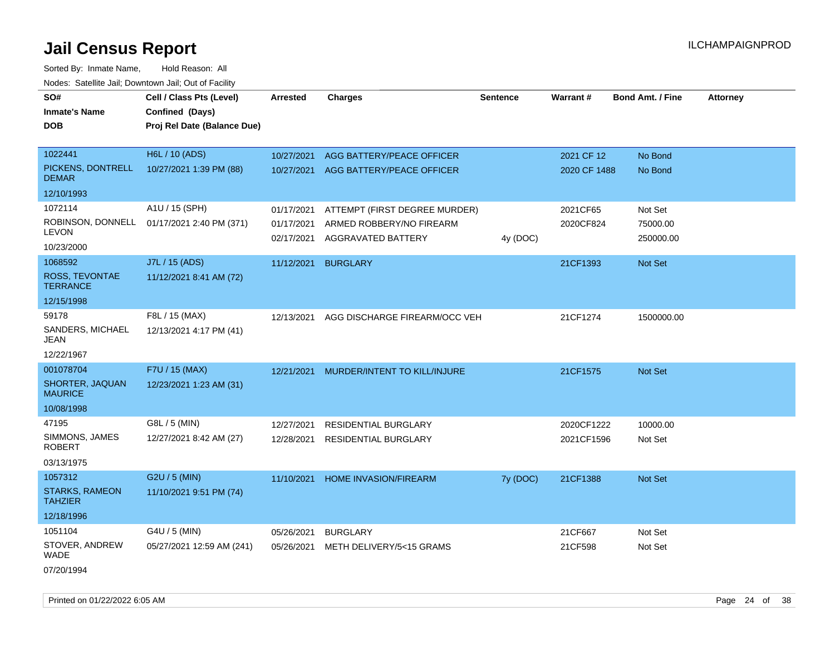Sorted By: Inmate Name, Hold Reason: All Nodes: Satellite Jail; Downtown Jail; Out of Facility

| SO#                                     | Cell / Class Pts (Level)    | Arrested   | <b>Charges</b>                | <b>Sentence</b> | Warrant#     | <b>Bond Amt. / Fine</b> | <b>Attorney</b> |
|-----------------------------------------|-----------------------------|------------|-------------------------------|-----------------|--------------|-------------------------|-----------------|
| <b>Inmate's Name</b>                    | Confined (Days)             |            |                               |                 |              |                         |                 |
| DOB                                     | Proj Rel Date (Balance Due) |            |                               |                 |              |                         |                 |
| 1022441                                 | H6L / 10 (ADS)              |            |                               |                 |              |                         |                 |
|                                         |                             | 10/27/2021 | AGG BATTERY/PEACE OFFICER     |                 | 2021 CF 12   | No Bond                 |                 |
| PICKENS, DONTRELL<br><b>DEMAR</b>       | 10/27/2021 1:39 PM (88)     | 10/27/2021 | AGG BATTERY/PEACE OFFICER     |                 | 2020 CF 1488 | No Bond                 |                 |
| 12/10/1993                              |                             |            |                               |                 |              |                         |                 |
| 1072114                                 | A1U / 15 (SPH)              | 01/17/2021 | ATTEMPT (FIRST DEGREE MURDER) |                 | 2021CF65     | Not Set                 |                 |
| ROBINSON, DONNELL<br>LEVON              | 01/17/2021 2:40 PM (371)    | 01/17/2021 | ARMED ROBBERY/NO FIREARM      |                 | 2020CF824    | 75000.00                |                 |
| 10/23/2000                              |                             | 02/17/2021 | AGGRAVATED BATTERY            | 4y (DOC)        |              | 250000.00               |                 |
| 1068592                                 | J7L / 15 (ADS)              | 11/12/2021 | <b>BURGLARY</b>               |                 | 21CF1393     | <b>Not Set</b>          |                 |
| ROSS, TEVONTAE<br><b>TERRANCE</b>       | 11/12/2021 8:41 AM (72)     |            |                               |                 |              |                         |                 |
| 12/15/1998                              |                             |            |                               |                 |              |                         |                 |
| 59178                                   | F8L / 15 (MAX)              | 12/13/2021 | AGG DISCHARGE FIREARM/OCC VEH |                 | 21CF1274     | 1500000.00              |                 |
| SANDERS, MICHAEL<br>JEAN                | 12/13/2021 4:17 PM (41)     |            |                               |                 |              |                         |                 |
| 12/22/1967                              |                             |            |                               |                 |              |                         |                 |
| 001078704                               | F7U / 15 (MAX)              | 12/21/2021 | MURDER/INTENT TO KILL/INJURE  |                 | 21CF1575     | Not Set                 |                 |
| SHORTER, JAQUAN<br><b>MAURICE</b>       | 12/23/2021 1:23 AM (31)     |            |                               |                 |              |                         |                 |
| 10/08/1998                              |                             |            |                               |                 |              |                         |                 |
| 47195                                   | G8L / 5 (MIN)               | 12/27/2021 | <b>RESIDENTIAL BURGLARY</b>   |                 | 2020CF1222   | 10000.00                |                 |
| SIMMONS, JAMES<br><b>ROBERT</b>         | 12/27/2021 8:42 AM (27)     | 12/28/2021 | <b>RESIDENTIAL BURGLARY</b>   |                 | 2021CF1596   | Not Set                 |                 |
| 03/13/1975                              |                             |            |                               |                 |              |                         |                 |
| 1057312                                 | G2U / 5 (MIN)               | 11/10/2021 | HOME INVASION/FIREARM         | 7y (DOC)        | 21CF1388     | Not Set                 |                 |
| <b>STARKS, RAMEON</b><br><b>TAHZIER</b> | 11/10/2021 9:51 PM (74)     |            |                               |                 |              |                         |                 |
| 12/18/1996                              |                             |            |                               |                 |              |                         |                 |
| 1051104                                 | G4U / 5 (MIN)               | 05/26/2021 | <b>BURGLARY</b>               |                 | 21CF667      | Not Set                 |                 |
| STOVER, ANDREW<br><b>WADE</b>           | 05/27/2021 12:59 AM (241)   | 05/26/2021 | METH DELIVERY/5<15 GRAMS      |                 | 21CF598      | Not Set                 |                 |
|                                         |                             |            |                               |                 |              |                         |                 |

07/20/1994

Printed on 01/22/2022 6:05 AM Page 24 of 38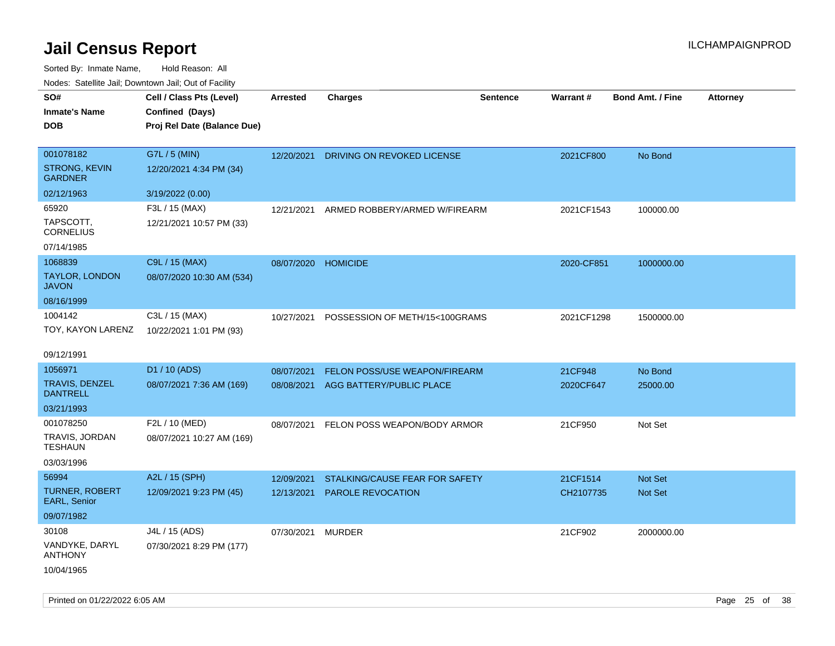| roaco. Calcinio dan, Downtown dan, Cal or Fability |                                           |            |                                       |                 |                 |                         |                 |
|----------------------------------------------------|-------------------------------------------|------------|---------------------------------------|-----------------|-----------------|-------------------------|-----------------|
| SO#                                                | Cell / Class Pts (Level)                  | Arrested   | <b>Charges</b>                        | <b>Sentence</b> | <b>Warrant#</b> | <b>Bond Amt. / Fine</b> | <b>Attorney</b> |
| Inmate's Name                                      | Confined (Days)                           |            |                                       |                 |                 |                         |                 |
| <b>DOB</b>                                         | Proj Rel Date (Balance Due)               |            |                                       |                 |                 |                         |                 |
|                                                    |                                           |            |                                       |                 |                 |                         |                 |
| 001078182                                          | G7L / 5 (MIN)                             |            | 12/20/2021 DRIVING ON REVOKED LICENSE |                 | 2021CF800       | No Bond                 |                 |
| <b>STRONG, KEVIN</b><br><b>GARDNER</b>             | 12/20/2021 4:34 PM (34)                   |            |                                       |                 |                 |                         |                 |
| 02/12/1963                                         | 3/19/2022 (0.00)                          |            |                                       |                 |                 |                         |                 |
| 65920                                              | F3L / 15 (MAX)                            | 12/21/2021 | ARMED ROBBERY/ARMED W/FIREARM         |                 | 2021CF1543      | 100000.00               |                 |
| TAPSCOTT,<br><b>CORNELIUS</b>                      | 12/21/2021 10:57 PM (33)                  |            |                                       |                 |                 |                         |                 |
| 07/14/1985                                         |                                           |            |                                       |                 |                 |                         |                 |
| 1068839                                            | C9L / 15 (MAX)                            | 08/07/2020 | <b>HOMICIDE</b>                       |                 | 2020-CF851      | 1000000.00              |                 |
| TAYLOR, LONDON<br>JAVON                            | 08/07/2020 10:30 AM (534)                 |            |                                       |                 |                 |                         |                 |
| 08/16/1999                                         |                                           |            |                                       |                 |                 |                         |                 |
| 1004142<br>TOY, KAYON LARENZ                       | C3L / 15 (MAX)<br>10/22/2021 1:01 PM (93) | 10/27/2021 | POSSESSION OF METH/15<100GRAMS        |                 | 2021CF1298      | 1500000.00              |                 |
| 09/12/1991                                         |                                           |            |                                       |                 |                 |                         |                 |
| 1056971                                            | D1 / 10 (ADS)                             | 08/07/2021 | FELON POSS/USE WEAPON/FIREARM         |                 | 21CF948         | No Bond                 |                 |
| TRAVIS, DENZEL<br><b>DANTRELL</b>                  | 08/07/2021 7:36 AM (169)                  | 08/08/2021 | AGG BATTERY/PUBLIC PLACE              |                 | 2020CF647       | 25000.00                |                 |
| 03/21/1993                                         |                                           |            |                                       |                 |                 |                         |                 |
| 001078250                                          | F2L / 10 (MED)                            | 08/07/2021 | FELON POSS WEAPON/BODY ARMOR          |                 | 21CF950         | Not Set                 |                 |
| TRAVIS, JORDAN<br>TESHAUN                          | 08/07/2021 10:27 AM (169)                 |            |                                       |                 |                 |                         |                 |
| 03/03/1996                                         |                                           |            |                                       |                 |                 |                         |                 |
| 56994                                              | A2L / 15 (SPH)                            | 12/09/2021 | STALKING/CAUSE FEAR FOR SAFETY        |                 | 21CF1514        | <b>Not Set</b>          |                 |
| <b>TURNER, ROBERT</b><br><b>EARL, Senior</b>       | 12/09/2021 9:23 PM (45)                   | 12/13/2021 | <b>PAROLE REVOCATION</b>              |                 | CH2107735       | <b>Not Set</b>          |                 |
| 09/07/1982                                         |                                           |            |                                       |                 |                 |                         |                 |
| 30108                                              | J4L / 15 (ADS)                            | 07/30/2021 | MURDER                                |                 | 21CF902         | 2000000.00              |                 |
| VANDYKE, DARYL<br>ANTHONY                          | 07/30/2021 8:29 PM (177)                  |            |                                       |                 |                 |                         |                 |
| 10/04/1965                                         |                                           |            |                                       |                 |                 |                         |                 |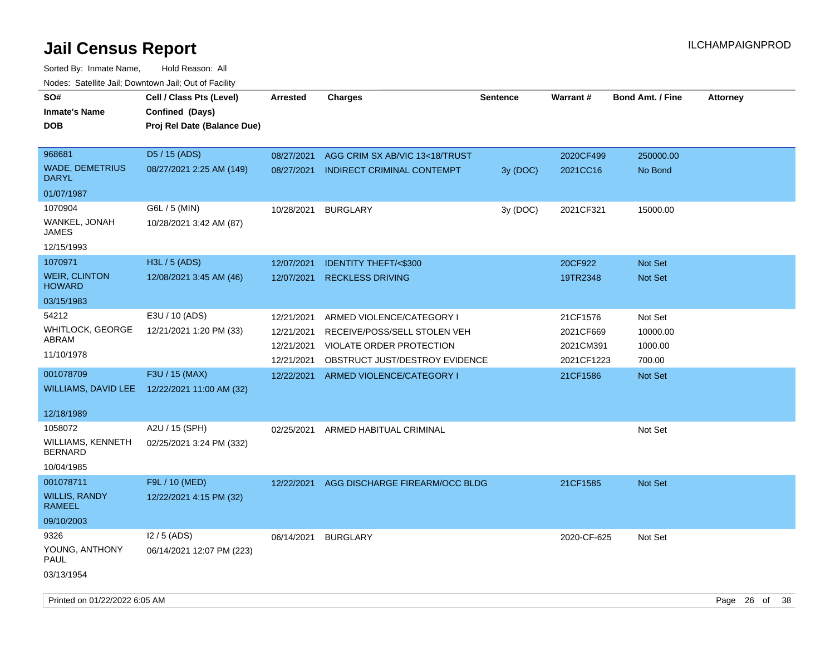|                                                                | rougs. Calcing Jan, Downtown Jan, Out of Facility                                                           |                                                                    |                                                                                                                                                      |                 |                                                              |                                                     |                 |
|----------------------------------------------------------------|-------------------------------------------------------------------------------------------------------------|--------------------------------------------------------------------|------------------------------------------------------------------------------------------------------------------------------------------------------|-----------------|--------------------------------------------------------------|-----------------------------------------------------|-----------------|
| SO#<br><b>Inmate's Name</b><br><b>DOB</b>                      | Cell / Class Pts (Level)<br>Confined (Days)<br>Proj Rel Date (Balance Due)                                  | <b>Arrested</b>                                                    | <b>Charges</b>                                                                                                                                       | <b>Sentence</b> | Warrant#                                                     | <b>Bond Amt. / Fine</b>                             | <b>Attorney</b> |
| 968681<br><b>WADE, DEMETRIUS</b><br><b>DARYL</b><br>01/07/1987 | D5 / 15 (ADS)<br>08/27/2021 2:25 AM (149)                                                                   | 08/27/2021<br>08/27/2021                                           | AGG CRIM SX AB/VIC 13<18/TRUST<br>INDIRECT CRIMINAL CONTEMPT                                                                                         | 3y (DOC)        | 2020CF499<br>2021CC16                                        | 250000.00<br>No Bond                                |                 |
| 1070904<br>WANKEL, JONAH<br>JAMES<br>12/15/1993                | G6L / 5 (MIN)<br>10/28/2021 3:42 AM (87)                                                                    | 10/28/2021                                                         | <b>BURGLARY</b>                                                                                                                                      | 3y (DOC)        | 2021CF321                                                    | 15000.00                                            |                 |
| 1070971<br><b>WEIR, CLINTON</b><br><b>HOWARD</b><br>03/15/1983 | H3L / 5 (ADS)<br>12/08/2021 3:45 AM (46)                                                                    | 12/07/2021<br>12/07/2021                                           | <b>IDENTITY THEFT/&lt;\$300</b><br><b>RECKLESS DRIVING</b>                                                                                           |                 | 20CF922<br>19TR2348                                          | Not Set<br><b>Not Set</b>                           |                 |
| 54212<br>WHITLOCK, GEORGE<br>ABRAM<br>11/10/1978<br>001078709  | E3U / 10 (ADS)<br>12/21/2021 1:20 PM (33)<br>F3U / 15 (MAX)<br>WILLIAMS, DAVID LEE 12/22/2021 11:00 AM (32) | 12/21/2021<br>12/21/2021<br>12/21/2021<br>12/21/2021<br>12/22/2021 | ARMED VIOLENCE/CATEGORY I<br>RECEIVE/POSS/SELL STOLEN VEH<br>VIOLATE ORDER PROTECTION<br>OBSTRUCT JUST/DESTROY EVIDENCE<br>ARMED VIOLENCE/CATEGORY I |                 | 21CF1576<br>2021CF669<br>2021CM391<br>2021CF1223<br>21CF1586 | Not Set<br>10000.00<br>1000.00<br>700.00<br>Not Set |                 |
| 12/18/1989<br>1058072                                          | A2U / 15 (SPH)                                                                                              | 02/25/2021                                                         | ARMED HABITUAL CRIMINAL                                                                                                                              |                 |                                                              | Not Set                                             |                 |
| WILLIAMS, KENNETH<br><b>BERNARD</b><br>10/04/1985              | 02/25/2021 3:24 PM (332)                                                                                    |                                                                    |                                                                                                                                                      |                 |                                                              |                                                     |                 |
| 001078711<br><b>WILLIS, RANDY</b><br>RAMEEL<br>09/10/2003      | F9L / 10 (MED)<br>12/22/2021 4:15 PM (32)                                                                   | 12/22/2021                                                         | AGG DISCHARGE FIREARM/OCC BLDG                                                                                                                       |                 | 21CF1585                                                     | <b>Not Set</b>                                      |                 |
| 9326<br>YOUNG, ANTHONY<br>PAUL<br>03/13/1954                   | $12/5$ (ADS)<br>06/14/2021 12:07 PM (223)                                                                   | 06/14/2021                                                         | <b>BURGLARY</b>                                                                                                                                      |                 | 2020-CF-625                                                  | Not Set                                             |                 |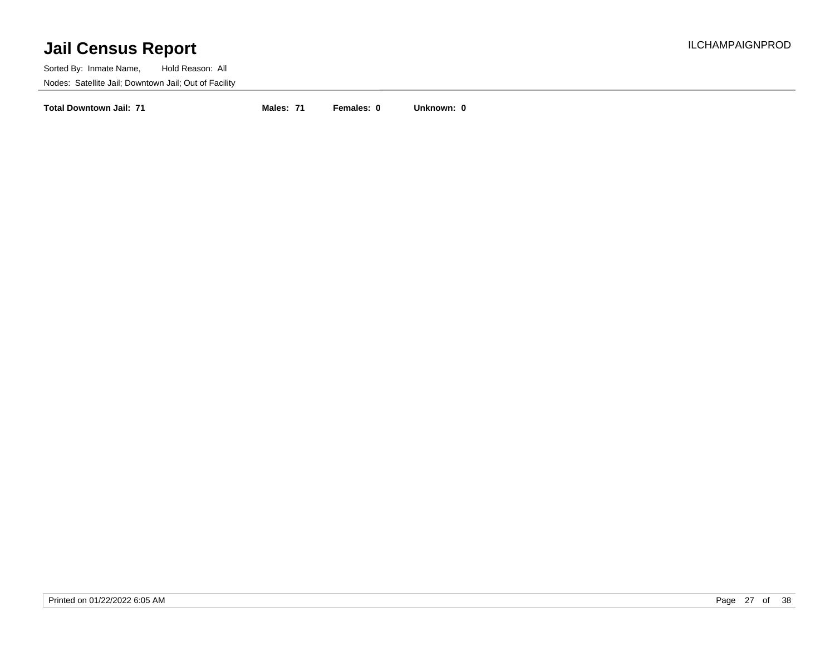Sorted By: Inmate Name, Hold Reason: All Nodes: Satellite Jail; Downtown Jail; Out of Facility

**Total Downtown Jail: 71 Males: 71 Females: 0 Unknown: 0**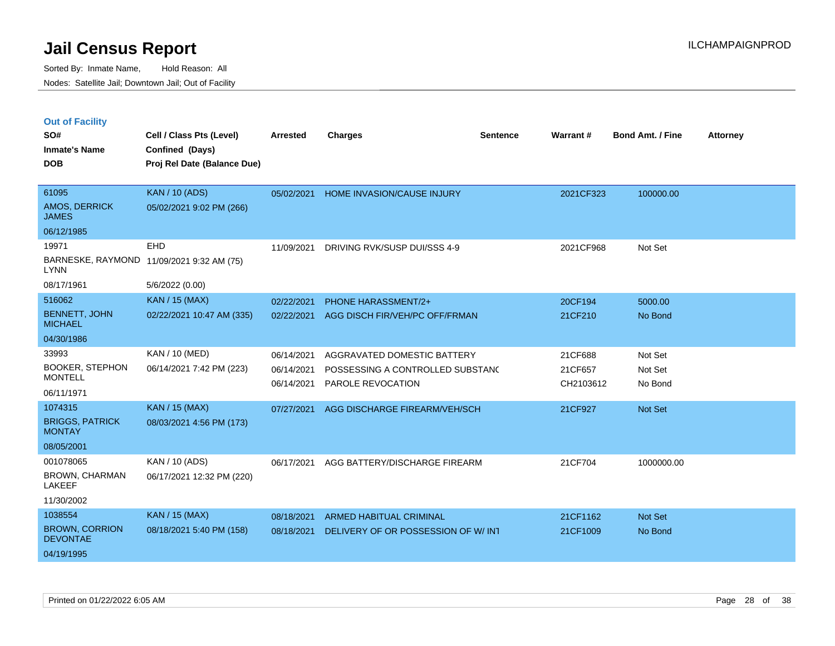Sorted By: Inmate Name, Hold Reason: All Nodes: Satellite Jail; Downtown Jail; Out of Facility

| <b>Out of Facility</b> |                             |                 |         |          |           |                         |                 |
|------------------------|-----------------------------|-----------------|---------|----------|-----------|-------------------------|-----------------|
| SO#                    | Cell / Class Pts (Level)    | <b>Arrested</b> | Charges | Sentence | Warrant # | <b>Bond Amt. / Fine</b> | <b>Attorney</b> |
| <b>Inmate's Name</b>   | Confined (Days)             |                 |         |          |           |                         |                 |
| <b>DOB</b>             | Proi Rel Date (Balance Due) |                 |         |          |           |                         |                 |

| 61095                                    | <b>KAN / 10 (ADS)</b>                     | 05/02/2021 | <b>HOME INVASION/CAUSE INJURY</b>   | 2021CF323 | 100000.00      |
|------------------------------------------|-------------------------------------------|------------|-------------------------------------|-----------|----------------|
| AMOS, DERRICK<br><b>JAMES</b>            | 05/02/2021 9:02 PM (266)                  |            |                                     |           |                |
| 06/12/1985                               |                                           |            |                                     |           |                |
| 19971                                    | <b>EHD</b>                                | 11/09/2021 | DRIVING RVK/SUSP DUI/SSS 4-9        | 2021CF968 | Not Set        |
| <b>LYNN</b>                              | BARNESKE, RAYMOND 11/09/2021 9:32 AM (75) |            |                                     |           |                |
| 08/17/1961                               | 5/6/2022 (0.00)                           |            |                                     |           |                |
| 516062                                   | <b>KAN / 15 (MAX)</b>                     | 02/22/2021 | <b>PHONE HARASSMENT/2+</b>          | 20CF194   | 5000.00        |
| BENNETT, JOHN<br><b>MICHAEL</b>          | 02/22/2021 10:47 AM (335)                 | 02/22/2021 | AGG DISCH FIR/VEH/PC OFF/FRMAN      | 21CF210   | No Bond        |
| 04/30/1986                               |                                           |            |                                     |           |                |
| 33993                                    | <b>KAN / 10 (MED)</b>                     | 06/14/2021 | AGGRAVATED DOMESTIC BATTERY         | 21CF688   | Not Set        |
| <b>BOOKER, STEPHON</b>                   | 06/14/2021 7:42 PM (223)                  | 06/14/2021 | POSSESSING A CONTROLLED SUBSTANC    | 21CF657   | Not Set        |
| <b>MONTELL</b>                           |                                           | 06/14/2021 | PAROLE REVOCATION                   | CH2103612 | No Bond        |
| 06/11/1971                               |                                           |            |                                     |           |                |
| 1074315                                  | <b>KAN / 15 (MAX)</b>                     | 07/27/2021 | AGG DISCHARGE FIREARM/VEH/SCH       | 21CF927   | <b>Not Set</b> |
| <b>BRIGGS, PATRICK</b><br><b>MONTAY</b>  | 08/03/2021 4:56 PM (173)                  |            |                                     |           |                |
| 08/05/2001                               |                                           |            |                                     |           |                |
| 001078065                                | KAN / 10 (ADS)                            | 06/17/2021 | AGG BATTERY/DISCHARGE FIREARM       | 21CF704   | 1000000.00     |
| <b>BROWN, CHARMAN</b><br><b>LAKEEF</b>   | 06/17/2021 12:32 PM (220)                 |            |                                     |           |                |
| 11/30/2002                               |                                           |            |                                     |           |                |
| 1038554                                  | <b>KAN / 15 (MAX)</b>                     | 08/18/2021 | ARMED HABITUAL CRIMINAL             | 21CF1162  | <b>Not Set</b> |
| <b>BROWN, CORRION</b><br><b>DEVONTAE</b> | 08/18/2021 5:40 PM (158)                  | 08/18/2021 | DELIVERY OF OR POSSESSION OF W/ INT | 21CF1009  | No Bond        |
| 04/19/1995                               |                                           |            |                                     |           |                |
|                                          |                                           |            |                                     |           |                |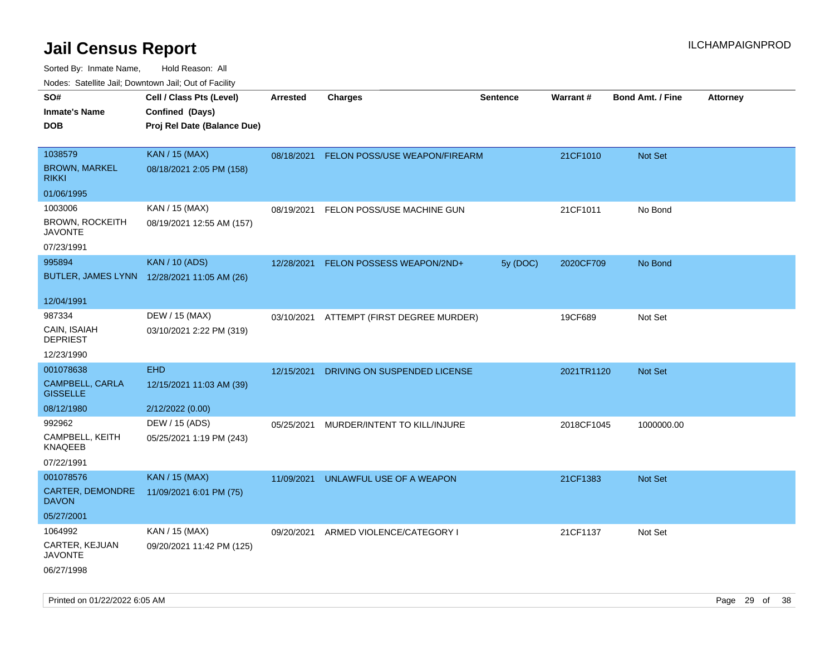| ivouss. Satellite Jali, Downtown Jali, Out of Facility |                                             |            |                                          |                 |            |                         |                 |
|--------------------------------------------------------|---------------------------------------------|------------|------------------------------------------|-----------------|------------|-------------------------|-----------------|
| SO#                                                    | Cell / Class Pts (Level)                    | Arrested   | <b>Charges</b>                           | <b>Sentence</b> | Warrant#   | <b>Bond Amt. / Fine</b> | <b>Attorney</b> |
| Inmate's Name                                          | Confined (Days)                             |            |                                          |                 |            |                         |                 |
| DOB                                                    | Proj Rel Date (Balance Due)                 |            |                                          |                 |            |                         |                 |
|                                                        |                                             |            |                                          |                 |            |                         |                 |
| 1038579                                                | <b>KAN / 15 (MAX)</b>                       | 08/18/2021 | FELON POSS/USE WEAPON/FIREARM            |                 | 21CF1010   | Not Set                 |                 |
| <b>BROWN, MARKEL</b><br>rikki                          | 08/18/2021 2:05 PM (158)                    |            |                                          |                 |            |                         |                 |
| 01/06/1995                                             |                                             |            |                                          |                 |            |                         |                 |
| 1003006                                                | KAN / 15 (MAX)                              | 08/19/2021 | FELON POSS/USE MACHINE GUN               |                 | 21CF1011   | No Bond                 |                 |
| <b>BROWN, ROCKEITH</b><br>JAVONTE                      | 08/19/2021 12:55 AM (157)                   |            |                                          |                 |            |                         |                 |
| 07/23/1991                                             |                                             |            |                                          |                 |            |                         |                 |
| 995894                                                 | <b>KAN / 10 (ADS)</b>                       | 12/28/2021 | FELON POSSESS WEAPON/2ND+                | 5y (DOC)        | 2020CF709  | No Bond                 |                 |
|                                                        | BUTLER, JAMES LYNN 12/28/2021 11:05 AM (26) |            |                                          |                 |            |                         |                 |
| 12/04/1991                                             |                                             |            |                                          |                 |            |                         |                 |
| 987334                                                 | DEW / 15 (MAX)                              |            | 03/10/2021 ATTEMPT (FIRST DEGREE MURDER) |                 | 19CF689    | Not Set                 |                 |
| CAIN, ISAIAH<br><b>DEPRIEST</b>                        | 03/10/2021 2:22 PM (319)                    |            |                                          |                 |            |                         |                 |
| 12/23/1990                                             |                                             |            |                                          |                 |            |                         |                 |
| 001078638                                              | <b>EHD</b>                                  | 12/15/2021 | DRIVING ON SUSPENDED LICENSE             |                 | 2021TR1120 | Not Set                 |                 |
| CAMPBELL, CARLA<br><b>GISSELLE</b>                     | 12/15/2021 11:03 AM (39)                    |            |                                          |                 |            |                         |                 |
| 08/12/1980                                             | 2/12/2022 (0.00)                            |            |                                          |                 |            |                         |                 |
| 992962                                                 | DEW / 15 (ADS)                              | 05/25/2021 | MURDER/INTENT TO KILL/INJURE             |                 | 2018CF1045 | 1000000.00              |                 |
| CAMPBELL, KEITH<br>KNAQEEB                             | 05/25/2021 1:19 PM (243)                    |            |                                          |                 |            |                         |                 |
| 07/22/1991                                             |                                             |            |                                          |                 |            |                         |                 |
| 001078576                                              | <b>KAN / 15 (MAX)</b>                       | 11/09/2021 | UNLAWFUL USE OF A WEAPON                 |                 | 21CF1383   | Not Set                 |                 |
| CARTER, DEMONDRE<br><b>DAVON</b>                       | 11/09/2021 6:01 PM (75)                     |            |                                          |                 |            |                         |                 |
| 05/27/2001                                             |                                             |            |                                          |                 |            |                         |                 |
| 1064992                                                | KAN / 15 (MAX)                              | 09/20/2021 | ARMED VIOLENCE/CATEGORY I                |                 | 21CF1137   | Not Set                 |                 |
| CARTER, KEJUAN<br>JAVONTE                              | 09/20/2021 11:42 PM (125)                   |            |                                          |                 |            |                         |                 |
| 06/27/1998                                             |                                             |            |                                          |                 |            |                         |                 |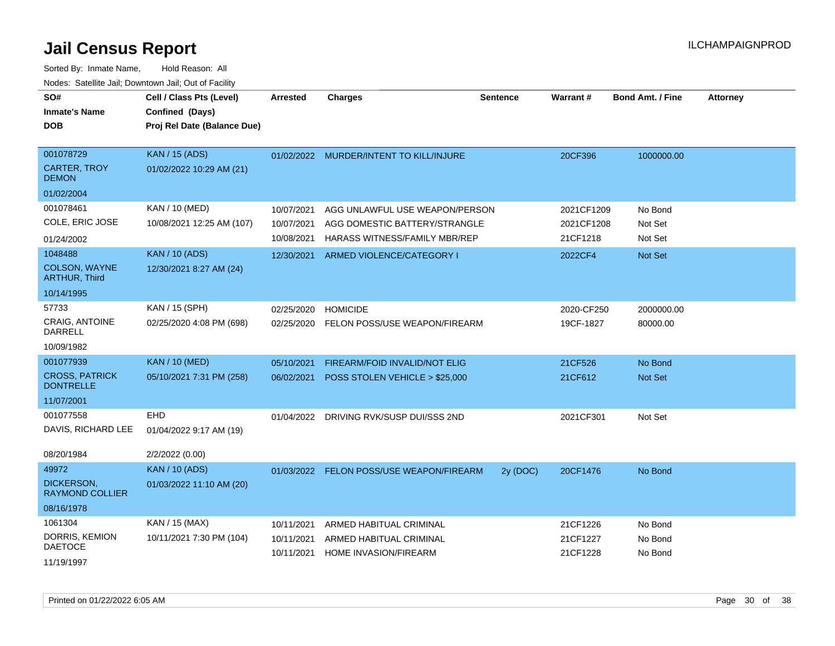| SO#<br><b>Inmate's Name</b><br><b>DOB</b> | Cell / Class Pts (Level)<br>Confined (Days)<br>Proj Rel Date (Balance Due) | <b>Arrested</b> | <b>Charges</b>                           | <b>Sentence</b> | <b>Warrant#</b> | <b>Bond Amt. / Fine</b> | <b>Attorney</b> |
|-------------------------------------------|----------------------------------------------------------------------------|-----------------|------------------------------------------|-----------------|-----------------|-------------------------|-----------------|
| 001078729                                 | <b>KAN / 15 (ADS)</b>                                                      |                 | 01/02/2022 MURDER/INTENT TO KILL/INJURE  |                 | 20CF396         | 1000000.00              |                 |
| <b>CARTER, TROY</b><br><b>DEMON</b>       | 01/02/2022 10:29 AM (21)                                                   |                 |                                          |                 |                 |                         |                 |
| 01/02/2004                                |                                                                            |                 |                                          |                 |                 |                         |                 |
| 001078461                                 | <b>KAN / 10 (MED)</b>                                                      | 10/07/2021      | AGG UNLAWFUL USE WEAPON/PERSON           |                 | 2021CF1209      | No Bond                 |                 |
| COLE, ERIC JOSE                           | 10/08/2021 12:25 AM (107)                                                  | 10/07/2021      | AGG DOMESTIC BATTERY/STRANGLE            |                 | 2021CF1208      | Not Set                 |                 |
| 01/24/2002                                |                                                                            | 10/08/2021      | HARASS WITNESS/FAMILY MBR/REP            |                 | 21CF1218        | Not Set                 |                 |
| 1048488                                   | <b>KAN / 10 (ADS)</b>                                                      | 12/30/2021      | ARMED VIOLENCE/CATEGORY I                |                 | 2022CF4         | Not Set                 |                 |
| COLSON, WAYNE<br><b>ARTHUR, Third</b>     | 12/30/2021 8:27 AM (24)                                                    |                 |                                          |                 |                 |                         |                 |
| 10/14/1995                                |                                                                            |                 |                                          |                 |                 |                         |                 |
| 57733                                     | KAN / 15 (SPH)                                                             | 02/25/2020      | <b>HOMICIDE</b>                          |                 | 2020-CF250      | 2000000.00              |                 |
| <b>CRAIG, ANTOINE</b><br><b>DARRELL</b>   | 02/25/2020 4:08 PM (698)                                                   | 02/25/2020      | FELON POSS/USE WEAPON/FIREARM            |                 | 19CF-1827       | 80000.00                |                 |
| 10/09/1982                                |                                                                            |                 |                                          |                 |                 |                         |                 |
| 001077939                                 | <b>KAN / 10 (MED)</b>                                                      | 05/10/2021      | FIREARM/FOID INVALID/NOT ELIG            |                 | 21CF526         | No Bond                 |                 |
| <b>CROSS, PATRICK</b><br><b>DONTRELLE</b> | 05/10/2021 7:31 PM (258)                                                   | 06/02/2021      | POSS STOLEN VEHICLE > \$25,000           |                 | 21CF612         | Not Set                 |                 |
| 11/07/2001                                |                                                                            |                 |                                          |                 |                 |                         |                 |
| 001077558                                 | <b>EHD</b>                                                                 | 01/04/2022      | DRIVING RVK/SUSP DUI/SSS 2ND             |                 | 2021CF301       | Not Set                 |                 |
| DAVIS, RICHARD LEE                        | 01/04/2022 9:17 AM (19)                                                    |                 |                                          |                 |                 |                         |                 |
| 08/20/1984                                | 2/2/2022 (0.00)                                                            |                 |                                          |                 |                 |                         |                 |
| 49972                                     | <b>KAN / 10 (ADS)</b>                                                      |                 | 01/03/2022 FELON POSS/USE WEAPON/FIREARM | 2y (DOC)        | 20CF1476        | No Bond                 |                 |
| DICKERSON,<br><b>RAYMOND COLLIER</b>      | 01/03/2022 11:10 AM (20)                                                   |                 |                                          |                 |                 |                         |                 |
| 08/16/1978                                |                                                                            |                 |                                          |                 |                 |                         |                 |
| 1061304                                   | KAN / 15 (MAX)                                                             | 10/11/2021      | ARMED HABITUAL CRIMINAL                  |                 | 21CF1226        | No Bond                 |                 |
| DORRIS, KEMION<br><b>DAETOCE</b>          | 10/11/2021 7:30 PM (104)                                                   | 10/11/2021      | ARMED HABITUAL CRIMINAL                  |                 | 21CF1227        | No Bond                 |                 |
| 11/19/1997                                |                                                                            | 10/11/2021      | HOME INVASION/FIREARM                    |                 | 21CF1228        | No Bond                 |                 |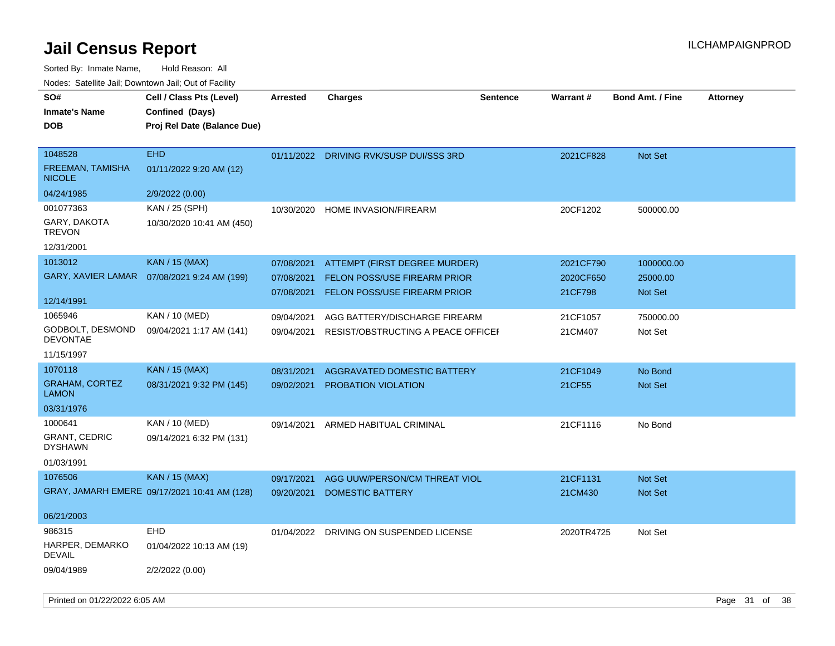Sorted By: Inmate Name, Hold Reason: All Nodes: Satellite Jail; Downtown Jail; Out of Facility

| SO#<br><b>Inmate's Name</b><br><b>DOB</b>    | Cell / Class Pts (Level)<br>Confined (Days)<br>Proj Rel Date (Balance Due) | <b>Arrested</b> | <b>Charges</b>                          | <b>Sentence</b> | <b>Warrant#</b> | <b>Bond Amt. / Fine</b> | <b>Attorney</b> |
|----------------------------------------------|----------------------------------------------------------------------------|-----------------|-----------------------------------------|-----------------|-----------------|-------------------------|-----------------|
| 1048528<br>FREEMAN, TAMISHA<br><b>NICOLE</b> | <b>EHD</b><br>01/11/2022 9:20 AM (12)                                      |                 | 01/11/2022 DRIVING RVK/SUSP DUI/SSS 3RD |                 | 2021CF828       | Not Set                 |                 |
| 04/24/1985                                   | 2/9/2022 (0.00)                                                            |                 |                                         |                 |                 |                         |                 |
| 001077363                                    | KAN / 25 (SPH)                                                             | 10/30/2020      | <b>HOME INVASION/FIREARM</b>            |                 | 20CF1202        | 500000.00               |                 |
| GARY, DAKOTA<br><b>TREVON</b>                | 10/30/2020 10:41 AM (450)                                                  |                 |                                         |                 |                 |                         |                 |
| 12/31/2001                                   |                                                                            |                 |                                         |                 |                 |                         |                 |
| 1013012                                      | <b>KAN / 15 (MAX)</b>                                                      | 07/08/2021      | ATTEMPT (FIRST DEGREE MURDER)           |                 | 2021CF790       | 1000000.00              |                 |
| GARY, XAVIER LAMAR                           | 07/08/2021 9:24 AM (199)                                                   | 07/08/2021      | FELON POSS/USE FIREARM PRIOR            |                 | 2020CF650       | 25000.00                |                 |
|                                              |                                                                            | 07/08/2021      | <b>FELON POSS/USE FIREARM PRIOR</b>     |                 | 21CF798         | <b>Not Set</b>          |                 |
| 12/14/1991<br>1065946                        |                                                                            |                 |                                         |                 |                 |                         |                 |
| GODBOLT, DESMOND                             | KAN / 10 (MED)                                                             | 09/04/2021      | AGG BATTERY/DISCHARGE FIREARM           |                 | 21CF1057        | 750000.00               |                 |
| <b>DEVONTAE</b>                              | 09/04/2021 1:17 AM (141)                                                   | 09/04/2021      | RESIST/OBSTRUCTING A PEACE OFFICEF      |                 | 21CM407         | Not Set                 |                 |
| 11/15/1997                                   |                                                                            |                 |                                         |                 |                 |                         |                 |
| 1070118                                      | <b>KAN / 15 (MAX)</b>                                                      | 08/31/2021      | AGGRAVATED DOMESTIC BATTERY             |                 | 21CF1049        | No Bond                 |                 |
| <b>GRAHAM, CORTEZ</b><br><b>LAMON</b>        | 08/31/2021 9:32 PM (145)                                                   | 09/02/2021      | PROBATION VIOLATION                     |                 | 21CF55          | Not Set                 |                 |
| 03/31/1976                                   |                                                                            |                 |                                         |                 |                 |                         |                 |
| 1000641                                      | KAN / 10 (MED)                                                             | 09/14/2021      | ARMED HABITUAL CRIMINAL                 |                 | 21CF1116        | No Bond                 |                 |
| <b>GRANT, CEDRIC</b><br><b>DYSHAWN</b>       | 09/14/2021 6:32 PM (131)                                                   |                 |                                         |                 |                 |                         |                 |
| 01/03/1991                                   |                                                                            |                 |                                         |                 |                 |                         |                 |
| 1076506                                      | <b>KAN / 15 (MAX)</b>                                                      | 09/17/2021      | AGG UUW/PERSON/CM THREAT VIOL           |                 | 21CF1131        | Not Set                 |                 |
|                                              | GRAY, JAMARH EMERE 09/17/2021 10:41 AM (128)                               | 09/20/2021      | <b>DOMESTIC BATTERY</b>                 |                 | 21CM430         | Not Set                 |                 |
| 06/21/2003                                   |                                                                            |                 |                                         |                 |                 |                         |                 |
| 986315                                       | <b>EHD</b>                                                                 | 01/04/2022      | DRIVING ON SUSPENDED LICENSE            |                 | 2020TR4725      | Not Set                 |                 |
| HARPER, DEMARKO<br><b>DEVAIL</b>             | 01/04/2022 10:13 AM (19)                                                   |                 |                                         |                 |                 |                         |                 |
| 09/04/1989                                   | 2/2/2022 (0.00)                                                            |                 |                                         |                 |                 |                         |                 |

Printed on 01/22/2022 6:05 AM **Page 31** of 38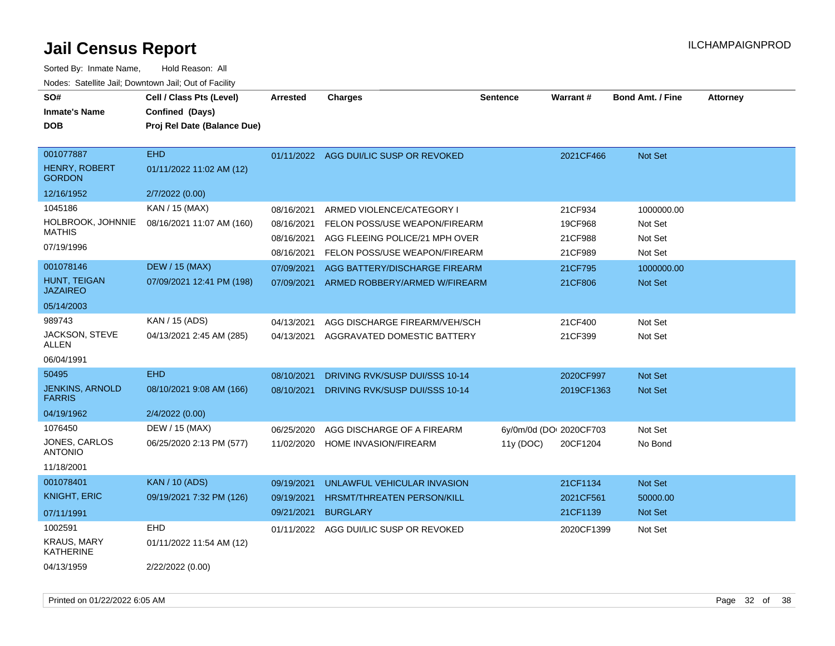| SO#<br><b>Inmate's Name</b><br><b>DOB</b>                | Cell / Class Pts (Level)<br>Confined (Days)<br>Proj Rel Date (Balance Due) | <b>Arrested</b>          | <b>Charges</b>                                                  | <b>Sentence</b>                     | <b>Warrant#</b>    | <b>Bond Amt. / Fine</b>      | <b>Attorney</b> |
|----------------------------------------------------------|----------------------------------------------------------------------------|--------------------------|-----------------------------------------------------------------|-------------------------------------|--------------------|------------------------------|-----------------|
| 001077887<br><b>HENRY, ROBERT</b><br><b>GORDON</b>       | <b>EHD</b><br>01/11/2022 11:02 AM (12)                                     | 01/11/2022               | AGG DUI/LIC SUSP OR REVOKED                                     |                                     | 2021CF466          | <b>Not Set</b>               |                 |
| 12/16/1952                                               | 2/7/2022 (0.00)                                                            |                          |                                                                 |                                     |                    |                              |                 |
| 1045186<br>HOLBROOK, JOHNNIE<br><b>MATHIS</b>            | KAN / 15 (MAX)<br>08/16/2021 11:07 AM (160)                                | 08/16/2021<br>08/16/2021 | ARMED VIOLENCE/CATEGORY I<br>FELON POSS/USE WEAPON/FIREARM      |                                     | 21CF934<br>19CF968 | 1000000.00<br>Not Set        |                 |
| 07/19/1996                                               |                                                                            | 08/16/2021<br>08/16/2021 | AGG FLEEING POLICE/21 MPH OVER<br>FELON POSS/USE WEAPON/FIREARM |                                     | 21CF988<br>21CF989 | Not Set<br>Not Set           |                 |
| 001078146<br>HUNT, TEIGAN<br><b>JAZAIREO</b>             | <b>DEW / 15 (MAX)</b><br>07/09/2021 12:41 PM (198)                         | 07/09/2021<br>07/09/2021 | AGG BATTERY/DISCHARGE FIREARM<br>ARMED ROBBERY/ARMED W/FIREARM  |                                     | 21CF795<br>21CF806 | 1000000.00<br><b>Not Set</b> |                 |
| 05/14/2003                                               |                                                                            |                          |                                                                 |                                     |                    |                              |                 |
| 989743                                                   | KAN / 15 (ADS)                                                             | 04/13/2021               | AGG DISCHARGE FIREARM/VEH/SCH                                   |                                     | 21CF400            | Not Set                      |                 |
| JACKSON, STEVE<br><b>ALLEN</b>                           | 04/13/2021 2:45 AM (285)                                                   | 04/13/2021               | AGGRAVATED DOMESTIC BATTERY                                     |                                     | 21CF399            | Not Set                      |                 |
| 06/04/1991                                               |                                                                            |                          |                                                                 |                                     |                    |                              |                 |
| 50495                                                    | <b>EHD</b>                                                                 | 08/10/2021               | DRIVING RVK/SUSP DUI/SSS 10-14                                  |                                     | 2020CF997          | <b>Not Set</b>               |                 |
| <b>JENKINS, ARNOLD</b><br><b>FARRIS</b>                  | 08/10/2021 9:08 AM (166)                                                   | 08/10/2021               | DRIVING RVK/SUSP DUI/SSS 10-14                                  |                                     | 2019CF1363         | <b>Not Set</b>               |                 |
| 04/19/1962                                               | 2/4/2022 (0.00)                                                            |                          |                                                                 |                                     |                    |                              |                 |
| 1076450<br>JONES, CARLOS<br><b>ANTONIO</b><br>11/18/2001 | DEW / 15 (MAX)<br>06/25/2020 2:13 PM (577)                                 | 06/25/2020<br>11/02/2020 | AGG DISCHARGE OF A FIREARM<br>HOME INVASION/FIREARM             | 6y/0m/0d (DOI 2020CF703<br>11y(DOC) | 20CF1204           | Not Set<br>No Bond           |                 |
| 001078401                                                | <b>KAN / 10 (ADS)</b>                                                      | 09/19/2021               | UNLAWFUL VEHICULAR INVASION                                     |                                     | 21CF1134           | Not Set                      |                 |
| <b>KNIGHT, ERIC</b>                                      | 09/19/2021 7:32 PM (126)                                                   | 09/19/2021               | HRSMT/THREATEN PERSON/KILL                                      |                                     | 2021CF561          | 50000.00                     |                 |
| 07/11/1991                                               |                                                                            | 09/21/2021               | <b>BURGLARY</b>                                                 |                                     | 21CF1139           | <b>Not Set</b>               |                 |
| 1002591                                                  | <b>EHD</b>                                                                 | 01/11/2022               | AGG DUI/LIC SUSP OR REVOKED                                     |                                     | 2020CF1399         | Not Set                      |                 |
| <b>KRAUS, MARY</b><br><b>KATHERINE</b>                   | 01/11/2022 11:54 AM (12)                                                   |                          |                                                                 |                                     |                    |                              |                 |
| 04/13/1959                                               | 2/22/2022 (0.00)                                                           |                          |                                                                 |                                     |                    |                              |                 |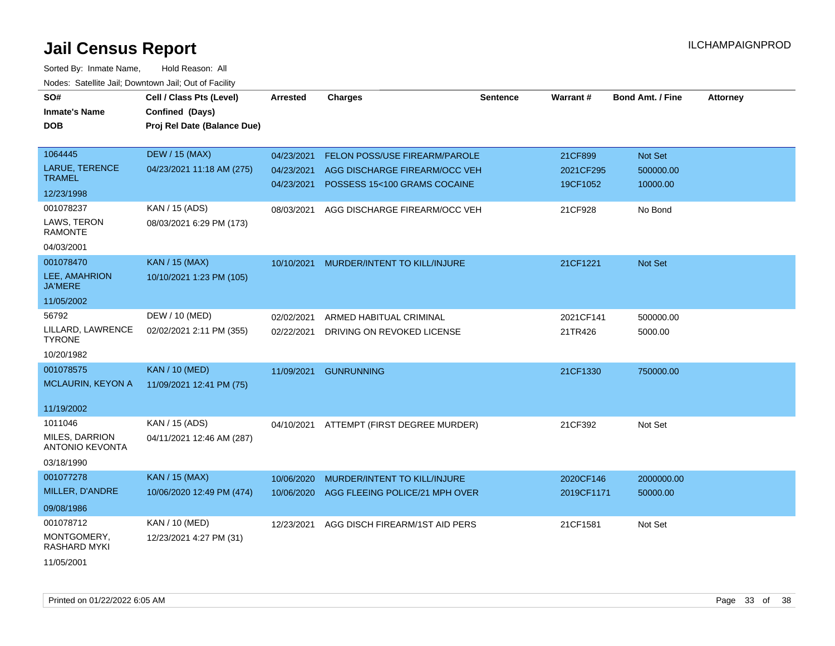| SO#<br><b>Inmate's Name</b><br><b>DOB</b>                | Cell / Class Pts (Level)<br>Confined (Days)<br>Proj Rel Date (Balance Due) | Arrested                               | <b>Charges</b>                                                                                        | <b>Sentence</b> | Warrant#                         | <b>Bond Amt. / Fine</b>          | <b>Attorney</b> |
|----------------------------------------------------------|----------------------------------------------------------------------------|----------------------------------------|-------------------------------------------------------------------------------------------------------|-----------------|----------------------------------|----------------------------------|-----------------|
| 1064445<br><b>LARUE, TERENCE</b><br><b>TRAMEL</b>        | <b>DEW / 15 (MAX)</b><br>04/23/2021 11:18 AM (275)                         | 04/23/2021<br>04/23/2021<br>04/23/2021 | <b>FELON POSS/USE FIREARM/PAROLE</b><br>AGG DISCHARGE FIREARM/OCC VEH<br>POSSESS 15<100 GRAMS COCAINE |                 | 21CF899<br>2021CF295<br>19CF1052 | Not Set<br>500000.00<br>10000.00 |                 |
| 12/23/1998                                               |                                                                            |                                        |                                                                                                       |                 |                                  |                                  |                 |
| 001078237<br>LAWS, TERON<br><b>RAMONTE</b><br>04/03/2001 | KAN / 15 (ADS)<br>08/03/2021 6:29 PM (173)                                 | 08/03/2021                             | AGG DISCHARGE FIREARM/OCC VEH                                                                         |                 | 21CF928                          | No Bond                          |                 |
| 001078470                                                | <b>KAN / 15 (MAX)</b>                                                      | 10/10/2021                             | MURDER/INTENT TO KILL/INJURE                                                                          |                 | 21CF1221                         | Not Set                          |                 |
| LEE, AMAHRION<br><b>JA'MERE</b>                          | 10/10/2021 1:23 PM (105)                                                   |                                        |                                                                                                       |                 |                                  |                                  |                 |
| 11/05/2002                                               |                                                                            |                                        |                                                                                                       |                 |                                  |                                  |                 |
| 56792                                                    | DEW / 10 (MED)                                                             | 02/02/2021                             | ARMED HABITUAL CRIMINAL                                                                               |                 | 2021CF141                        | 500000.00                        |                 |
| LILLARD, LAWRENCE<br><b>TYRONE</b>                       | 02/02/2021 2:11 PM (355)                                                   | 02/22/2021                             | DRIVING ON REVOKED LICENSE                                                                            |                 | 21TR426                          | 5000.00                          |                 |
| 10/20/1982                                               |                                                                            |                                        |                                                                                                       |                 |                                  |                                  |                 |
| 001078575<br><b>MCLAURIN, KEYON A</b>                    | <b>KAN / 10 (MED)</b><br>11/09/2021 12:41 PM (75)                          | 11/09/2021                             | <b>GUNRUNNING</b>                                                                                     |                 | 21CF1330                         | 750000.00                        |                 |
| 11/19/2002                                               |                                                                            |                                        |                                                                                                       |                 |                                  |                                  |                 |
| 1011046                                                  | KAN / 15 (ADS)                                                             | 04/10/2021                             | ATTEMPT (FIRST DEGREE MURDER)                                                                         |                 | 21CF392                          | Not Set                          |                 |
| MILES, DARRION<br><b>ANTONIO KEVONTA</b>                 | 04/11/2021 12:46 AM (287)                                                  |                                        |                                                                                                       |                 |                                  |                                  |                 |
| 03/18/1990                                               |                                                                            |                                        |                                                                                                       |                 |                                  |                                  |                 |
| 001077278                                                | <b>KAN / 15 (MAX)</b>                                                      | 10/06/2020                             | MURDER/INTENT TO KILL/INJURE                                                                          |                 | 2020CF146                        | 2000000.00                       |                 |
| MILLER, D'ANDRE                                          | 10/06/2020 12:49 PM (474)                                                  | 10/06/2020                             | AGG FLEEING POLICE/21 MPH OVER                                                                        |                 | 2019CF1171                       | 50000.00                         |                 |
| 09/08/1986                                               |                                                                            |                                        |                                                                                                       |                 |                                  |                                  |                 |
| 001078712                                                | KAN / 10 (MED)                                                             | 12/23/2021                             | AGG DISCH FIREARM/1ST AID PERS                                                                        |                 | 21CF1581                         | Not Set                          |                 |
| MONTGOMERY,<br>RASHARD MYKI                              | 12/23/2021 4:27 PM (31)                                                    |                                        |                                                                                                       |                 |                                  |                                  |                 |
| 11/05/2001                                               |                                                                            |                                        |                                                                                                       |                 |                                  |                                  |                 |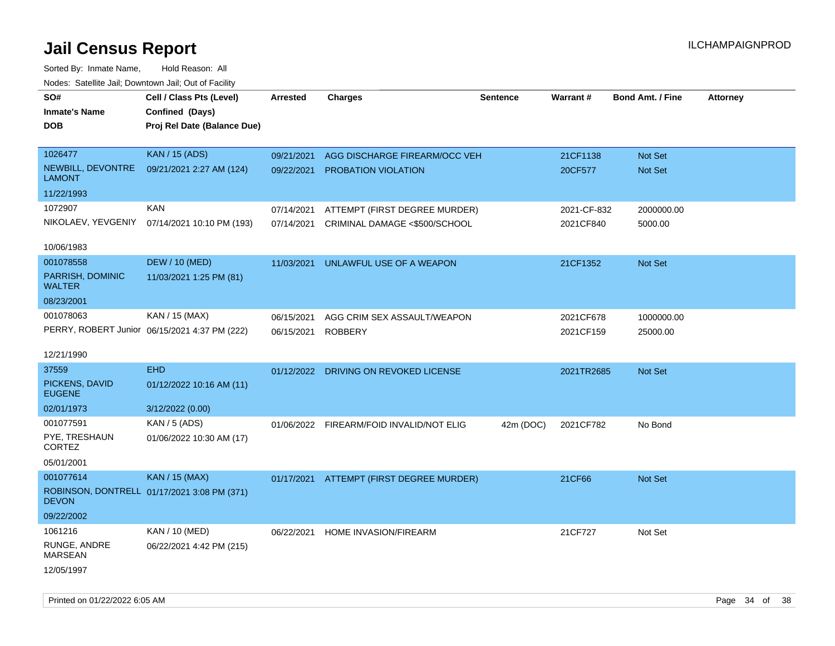| rougs. Calcing Jan, Downtown Jan, Out of Facility |                                               |                 |                                          |                 |             |                         |                 |
|---------------------------------------------------|-----------------------------------------------|-----------------|------------------------------------------|-----------------|-------------|-------------------------|-----------------|
| SO#                                               | Cell / Class Pts (Level)                      | <b>Arrested</b> | <b>Charges</b>                           | <b>Sentence</b> | Warrant#    | <b>Bond Amt. / Fine</b> | <b>Attorney</b> |
| <b>Inmate's Name</b>                              | Confined (Days)                               |                 |                                          |                 |             |                         |                 |
| <b>DOB</b>                                        | Proj Rel Date (Balance Due)                   |                 |                                          |                 |             |                         |                 |
|                                                   |                                               |                 |                                          |                 |             |                         |                 |
| 1026477                                           | <b>KAN / 15 (ADS)</b>                         | 09/21/2021      | AGG DISCHARGE FIREARM/OCC VEH            |                 | 21CF1138    | Not Set                 |                 |
| NEWBILL, DEVONTRE<br><b>LAMONT</b>                | 09/21/2021 2:27 AM (124)                      |                 | 09/22/2021 PROBATION VIOLATION           |                 | 20CF577     | Not Set                 |                 |
| 11/22/1993                                        |                                               |                 |                                          |                 |             |                         |                 |
| 1072907                                           | <b>KAN</b>                                    | 07/14/2021      | ATTEMPT (FIRST DEGREE MURDER)            |                 | 2021-CF-832 | 2000000.00              |                 |
| NIKOLAEV, YEVGENIY                                | 07/14/2021 10:10 PM (193)                     | 07/14/2021      | CRIMINAL DAMAGE <\$500/SCHOOL            |                 | 2021CF840   | 5000.00                 |                 |
|                                                   |                                               |                 |                                          |                 |             |                         |                 |
| 10/06/1983                                        |                                               |                 |                                          |                 |             |                         |                 |
| 001078558                                         | <b>DEW / 10 (MED)</b>                         | 11/03/2021      | UNLAWFUL USE OF A WEAPON                 |                 | 21CF1352    | Not Set                 |                 |
| PARRISH, DOMINIC<br>WALTER                        | 11/03/2021 1:25 PM (81)                       |                 |                                          |                 |             |                         |                 |
| 08/23/2001                                        |                                               |                 |                                          |                 |             |                         |                 |
| 001078063                                         | KAN / 15 (MAX)                                | 06/15/2021      | AGG CRIM SEX ASSAULT/WEAPON              |                 | 2021CF678   | 1000000.00              |                 |
|                                                   | PERRY, ROBERT Junior 06/15/2021 4:37 PM (222) | 06/15/2021      | <b>ROBBERY</b>                           |                 | 2021CF159   | 25000.00                |                 |
|                                                   |                                               |                 |                                          |                 |             |                         |                 |
| 12/21/1990                                        |                                               |                 |                                          |                 |             |                         |                 |
| 37559                                             | <b>EHD</b>                                    |                 | 01/12/2022 DRIVING ON REVOKED LICENSE    |                 | 2021TR2685  | Not Set                 |                 |
| PICKENS, DAVID<br><b>EUGENE</b>                   | 01/12/2022 10:16 AM (11)                      |                 |                                          |                 |             |                         |                 |
| 02/01/1973                                        | 3/12/2022 (0.00)                              |                 |                                          |                 |             |                         |                 |
| 001077591                                         | <b>KAN / 5 (ADS)</b>                          |                 | 01/06/2022 FIREARM/FOID INVALID/NOT ELIG | 42m (DOC)       | 2021CF782   | No Bond                 |                 |
| PYE, TRESHAUN<br>CORTEZ                           | 01/06/2022 10:30 AM (17)                      |                 |                                          |                 |             |                         |                 |
| 05/01/2001                                        |                                               |                 |                                          |                 |             |                         |                 |
| 001077614                                         | <b>KAN / 15 (MAX)</b>                         |                 | 01/17/2021 ATTEMPT (FIRST DEGREE MURDER) |                 | 21CF66      | Not Set                 |                 |
| <b>DEVON</b>                                      | ROBINSON, DONTRELL 01/17/2021 3:08 PM (371)   |                 |                                          |                 |             |                         |                 |
| 09/22/2002                                        |                                               |                 |                                          |                 |             |                         |                 |
| 1061216                                           | KAN / 10 (MED)                                | 06/22/2021      | HOME INVASION/FIREARM                    |                 | 21CF727     | Not Set                 |                 |
| RUNGE, ANDRE<br><b>MARSEAN</b>                    | 06/22/2021 4:42 PM (215)                      |                 |                                          |                 |             |                         |                 |
| 12/05/1997                                        |                                               |                 |                                          |                 |             |                         |                 |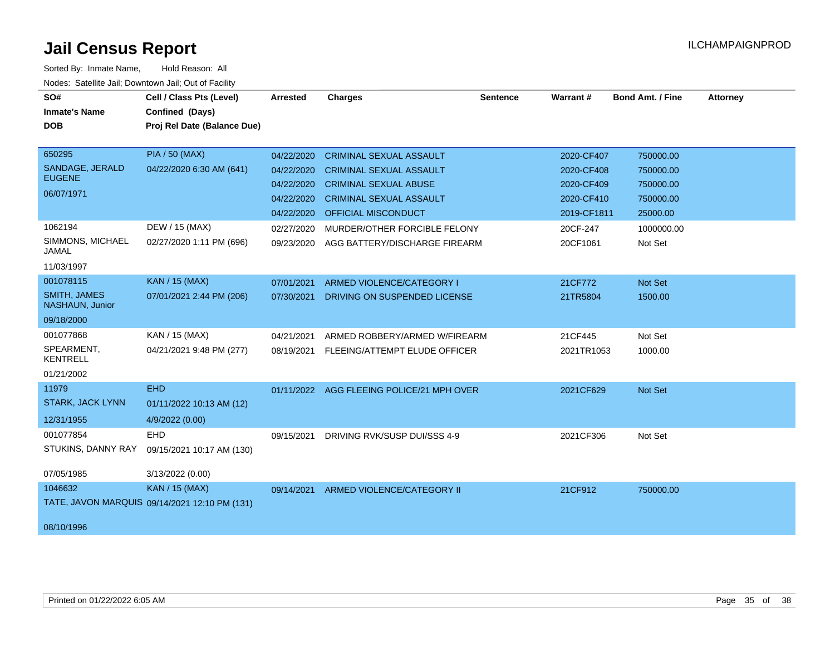| SO#                                    | Cell / Class Pts (Level)                      | <b>Arrested</b> | <b>Charges</b>                            | <b>Sentence</b> | <b>Warrant#</b> | <b>Bond Amt. / Fine</b> | <b>Attorney</b> |
|----------------------------------------|-----------------------------------------------|-----------------|-------------------------------------------|-----------------|-----------------|-------------------------|-----------------|
| <b>Inmate's Name</b>                   | Confined (Days)                               |                 |                                           |                 |                 |                         |                 |
| <b>DOB</b>                             | Proj Rel Date (Balance Due)                   |                 |                                           |                 |                 |                         |                 |
|                                        |                                               |                 |                                           |                 |                 |                         |                 |
| 650295                                 | <b>PIA / 50 (MAX)</b>                         | 04/22/2020      | <b>CRIMINAL SEXUAL ASSAULT</b>            |                 | 2020-CF407      | 750000.00               |                 |
| SANDAGE, JERALD                        | 04/22/2020 6:30 AM (641)                      | 04/22/2020      | <b>CRIMINAL SEXUAL ASSAULT</b>            |                 | 2020-CF408      | 750000.00               |                 |
| <b>EUGENE</b>                          |                                               | 04/22/2020      | <b>CRIMINAL SEXUAL ABUSE</b>              |                 | 2020-CF409      | 750000.00               |                 |
| 06/07/1971                             |                                               | 04/22/2020      | <b>CRIMINAL SEXUAL ASSAULT</b>            |                 | 2020-CF410      | 750000.00               |                 |
|                                        |                                               | 04/22/2020      | <b>OFFICIAL MISCONDUCT</b>                |                 | 2019-CF1811     | 25000.00                |                 |
| 1062194                                | DEW / 15 (MAX)                                | 02/27/2020      | MURDER/OTHER FORCIBLE FELONY              |                 | 20CF-247        | 1000000.00              |                 |
| SIMMONS, MICHAEL<br><b>JAMAL</b>       | 02/27/2020 1:11 PM (696)                      | 09/23/2020      | AGG BATTERY/DISCHARGE FIREARM             |                 | 20CF1061        | Not Set                 |                 |
| 11/03/1997                             |                                               |                 |                                           |                 |                 |                         |                 |
| 001078115                              | <b>KAN / 15 (MAX)</b>                         | 07/01/2021      | ARMED VIOLENCE/CATEGORY I                 |                 | 21CF772         | Not Set                 |                 |
| <b>SMITH, JAMES</b><br>NASHAUN, Junior | 07/01/2021 2:44 PM (206)                      | 07/30/2021      | DRIVING ON SUSPENDED LICENSE              |                 | 21TR5804        | 1500.00                 |                 |
| 09/18/2000                             |                                               |                 |                                           |                 |                 |                         |                 |
| 001077868                              | KAN / 15 (MAX)                                | 04/21/2021      | ARMED ROBBERY/ARMED W/FIREARM             |                 | 21CF445         | Not Set                 |                 |
| SPEARMENT,<br><b>KENTRELL</b>          | 04/21/2021 9:48 PM (277)                      | 08/19/2021      | FLEEING/ATTEMPT ELUDE OFFICER             |                 | 2021TR1053      | 1000.00                 |                 |
| 01/21/2002                             |                                               |                 |                                           |                 |                 |                         |                 |
| 11979                                  | <b>EHD</b>                                    |                 | 01/11/2022 AGG FLEEING POLICE/21 MPH OVER |                 | 2021CF629       | Not Set                 |                 |
| <b>STARK, JACK LYNN</b>                | 01/11/2022 10:13 AM (12)                      |                 |                                           |                 |                 |                         |                 |
| 12/31/1955                             | 4/9/2022 (0.00)                               |                 |                                           |                 |                 |                         |                 |
| 001077854                              | <b>EHD</b>                                    | 09/15/2021      | DRIVING RVK/SUSP DUI/SSS 4-9              |                 | 2021CF306       | Not Set                 |                 |
| STUKINS, DANNY RAY                     | 09/15/2021 10:17 AM (130)                     |                 |                                           |                 |                 |                         |                 |
| 07/05/1985                             | 3/13/2022 (0.00)                              |                 |                                           |                 |                 |                         |                 |
| 1046632                                | <b>KAN / 15 (MAX)</b>                         | 09/14/2021      | ARMED VIOLENCE/CATEGORY II                |                 | 21CF912         | 750000.00               |                 |
|                                        | TATE, JAVON MARQUIS 09/14/2021 12:10 PM (131) |                 |                                           |                 |                 |                         |                 |
| 08/10/1996                             |                                               |                 |                                           |                 |                 |                         |                 |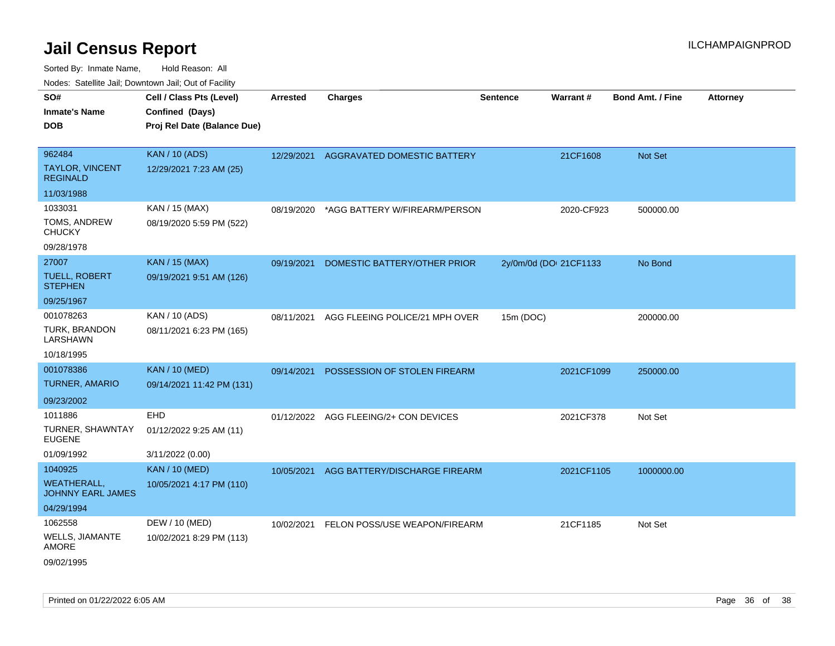| roaco. Calcinio dan, Downtown dan, Oal or Fability |                                                                            |                 |                                       |                 |                        |                         |                 |
|----------------------------------------------------|----------------------------------------------------------------------------|-----------------|---------------------------------------|-----------------|------------------------|-------------------------|-----------------|
| SO#<br>Inmate's Name<br><b>DOB</b>                 | Cell / Class Pts (Level)<br>Confined (Days)<br>Proj Rel Date (Balance Due) | <b>Arrested</b> | <b>Charges</b>                        | <b>Sentence</b> | Warrant#               | <b>Bond Amt. / Fine</b> | <b>Attorney</b> |
| 962484                                             | <b>KAN / 10 (ADS)</b>                                                      | 12/29/2021      | AGGRAVATED DOMESTIC BATTERY           |                 | 21CF1608               | <b>Not Set</b>          |                 |
| TAYLOR, VINCENT<br><b>REGINALD</b>                 | 12/29/2021 7:23 AM (25)                                                    |                 |                                       |                 |                        |                         |                 |
| 11/03/1988                                         |                                                                            |                 |                                       |                 |                        |                         |                 |
| 1033031                                            | KAN / 15 (MAX)                                                             | 08/19/2020      | *AGG BATTERY W/FIREARM/PERSON         |                 | 2020-CF923             | 500000.00               |                 |
| TOMS, ANDREW<br>CHUCKY                             | 08/19/2020 5:59 PM (522)                                                   |                 |                                       |                 |                        |                         |                 |
| 09/28/1978                                         |                                                                            |                 |                                       |                 |                        |                         |                 |
| 27007                                              | <b>KAN / 15 (MAX)</b>                                                      | 09/19/2021      | DOMESTIC BATTERY/OTHER PRIOR          |                 | 2y/0m/0d (DOI 21CF1133 | No Bond                 |                 |
| <b>TUELL, ROBERT</b><br><b>STEPHEN</b>             | 09/19/2021 9:51 AM (126)                                                   |                 |                                       |                 |                        |                         |                 |
| 09/25/1967                                         |                                                                            |                 |                                       |                 |                        |                         |                 |
| 001078263                                          | KAN / 10 (ADS)                                                             | 08/11/2021      | AGG FLEEING POLICE/21 MPH OVER        | 15m (DOC)       |                        | 200000.00               |                 |
| TURK, BRANDON<br>LARSHAWN                          | 08/11/2021 6:23 PM (165)                                                   |                 |                                       |                 |                        |                         |                 |
| 10/18/1995                                         |                                                                            |                 |                                       |                 |                        |                         |                 |
| 001078386                                          | <b>KAN / 10 (MED)</b>                                                      | 09/14/2021      | POSSESSION OF STOLEN FIREARM          |                 | 2021CF1099             | 250000.00               |                 |
| <b>TURNER, AMARIO</b>                              | 09/14/2021 11:42 PM (131)                                                  |                 |                                       |                 |                        |                         |                 |
| 09/23/2002                                         |                                                                            |                 |                                       |                 |                        |                         |                 |
| 1011886                                            | EHD                                                                        |                 | 01/12/2022 AGG FLEEING/2+ CON DEVICES |                 | 2021CF378              | Not Set                 |                 |
| TURNER, SHAWNTAY<br>EUGENE                         | 01/12/2022 9:25 AM (11)                                                    |                 |                                       |                 |                        |                         |                 |
| 01/09/1992                                         | 3/11/2022 (0.00)                                                           |                 |                                       |                 |                        |                         |                 |
| 1040925                                            | <b>KAN / 10 (MED)</b>                                                      | 10/05/2021      | AGG BATTERY/DISCHARGE FIREARM         |                 | 2021CF1105             | 1000000.00              |                 |
| WEATHERALL.<br>JOHNNY EARL JAMES                   | 10/05/2021 4:17 PM (110)                                                   |                 |                                       |                 |                        |                         |                 |
| 04/29/1994                                         |                                                                            |                 |                                       |                 |                        |                         |                 |
| 1062558                                            | DEW / 10 (MED)                                                             | 10/02/2021      | FELON POSS/USE WEAPON/FIREARM         |                 | 21CF1185               | Not Set                 |                 |
| WELLS, JIAMANTE<br>AMORE                           | 10/02/2021 8:29 PM (113)                                                   |                 |                                       |                 |                        |                         |                 |
| 09/02/1995                                         |                                                                            |                 |                                       |                 |                        |                         |                 |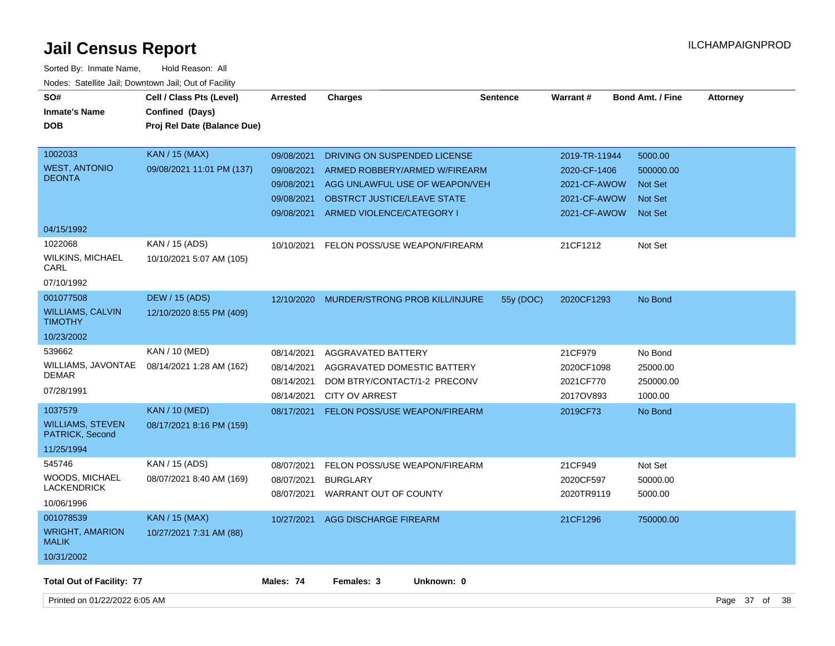| SO#<br><b>Inmate's Name</b><br><b>DOB</b>                           | Cell / Class Pts (Level)<br>Confined (Days)<br>Proj Rel Date (Balance Due) | <b>Arrested</b>                                                    | <b>Charges</b>                                                                                                                                              | <b>Sentence</b> | <b>Warrant#</b>                                                               | <b>Bond Amt. / Fine</b>                                                    | <b>Attorney</b> |  |
|---------------------------------------------------------------------|----------------------------------------------------------------------------|--------------------------------------------------------------------|-------------------------------------------------------------------------------------------------------------------------------------------------------------|-----------------|-------------------------------------------------------------------------------|----------------------------------------------------------------------------|-----------------|--|
| 1002033<br><b>WEST, ANTONIO</b><br><b>DEONTA</b>                    | <b>KAN / 15 (MAX)</b><br>09/08/2021 11:01 PM (137)                         | 09/08/2021<br>09/08/2021<br>09/08/2021<br>09/08/2021<br>09/08/2021 | DRIVING ON SUSPENDED LICENSE<br>ARMED ROBBERY/ARMED W/FIREARM<br>AGG UNLAWFUL USE OF WEAPON/VEH<br>OBSTRCT JUSTICE/LEAVE STATE<br>ARMED VIOLENCE/CATEGORY I |                 | 2019-TR-11944<br>2020-CF-1406<br>2021-CF-AWOW<br>2021-CF-AWOW<br>2021-CF-AWOW | 5000.00<br>500000.00<br><b>Not Set</b><br><b>Not Set</b><br><b>Not Set</b> |                 |  |
| 04/15/1992                                                          |                                                                            |                                                                    |                                                                                                                                                             |                 |                                                                               |                                                                            |                 |  |
| 1022068<br><b>WILKINS, MICHAEL</b><br>CARL<br>07/10/1992            | KAN / 15 (ADS)<br>10/10/2021 5:07 AM (105)                                 | 10/10/2021                                                         | FELON POSS/USE WEAPON/FIREARM                                                                                                                               |                 | 21CF1212                                                                      | Not Set                                                                    |                 |  |
| 001077508<br><b>WILLIAMS, CALVIN</b>                                | <b>DEW / 15 (ADS)</b><br>12/10/2020 8:55 PM (409)                          | 12/10/2020                                                         | MURDER/STRONG PROB KILL/INJURE                                                                                                                              | 55y (DOC)       | 2020CF1293                                                                    | No Bond                                                                    |                 |  |
| <b>TIMOTHY</b>                                                      |                                                                            |                                                                    |                                                                                                                                                             |                 |                                                                               |                                                                            |                 |  |
| 10/23/2002                                                          |                                                                            |                                                                    |                                                                                                                                                             |                 |                                                                               |                                                                            |                 |  |
| 539662<br>WILLIAMS, JAVONTAE<br><b>DEMAR</b><br>07/28/1991          | KAN / 10 (MED)<br>08/14/2021 1:28 AM (162)                                 | 08/14/2021<br>08/14/2021<br>08/14/2021<br>08/14/2021               | <b>AGGRAVATED BATTERY</b><br>AGGRAVATED DOMESTIC BATTERY<br>DOM BTRY/CONTACT/1-2 PRECONV<br><b>CITY OV ARREST</b>                                           |                 | 21CF979<br>2020CF1098<br>2021CF770<br>2017OV893                               | No Bond<br>25000.00<br>250000.00<br>1000.00                                |                 |  |
| 1037579<br><b>WILLIAMS, STEVEN</b><br>PATRICK, Second<br>11/25/1994 | <b>KAN / 10 (MED)</b><br>08/17/2021 8:16 PM (159)                          | 08/17/2021                                                         | <b>FELON POSS/USE WEAPON/FIREARM</b>                                                                                                                        |                 | 2019CF73                                                                      | No Bond                                                                    |                 |  |
| 545746<br><b>WOODS, MICHAEL</b><br><b>LACKENDRICK</b><br>10/06/1996 | KAN / 15 (ADS)<br>08/07/2021 8:40 AM (169)                                 | 08/07/2021<br>08/07/2021                                           | FELON POSS/USE WEAPON/FIREARM<br><b>BURGLARY</b><br>08/07/2021 WARRANT OUT OF COUNTY                                                                        |                 | 21CF949<br>2020CF597<br>2020TR9119                                            | Not Set<br>50000.00<br>5000.00                                             |                 |  |
| 001078539<br><b>WRIGHT, AMARION</b><br><b>MALIK</b><br>10/31/2002   | <b>KAN / 15 (MAX)</b><br>10/27/2021 7:31 AM (88)                           | 10/27/2021                                                         | AGG DISCHARGE FIREARM                                                                                                                                       |                 | 21CF1296                                                                      | 750000.00                                                                  |                 |  |
| <b>Total Out of Facility: 77</b>                                    |                                                                            | Males: 74                                                          | Females: 3<br>Unknown: 0                                                                                                                                    |                 |                                                                               |                                                                            |                 |  |
| Printed on 01/22/2022 6:05 AM                                       |                                                                            |                                                                    |                                                                                                                                                             |                 |                                                                               |                                                                            | Page 37 of 38   |  |